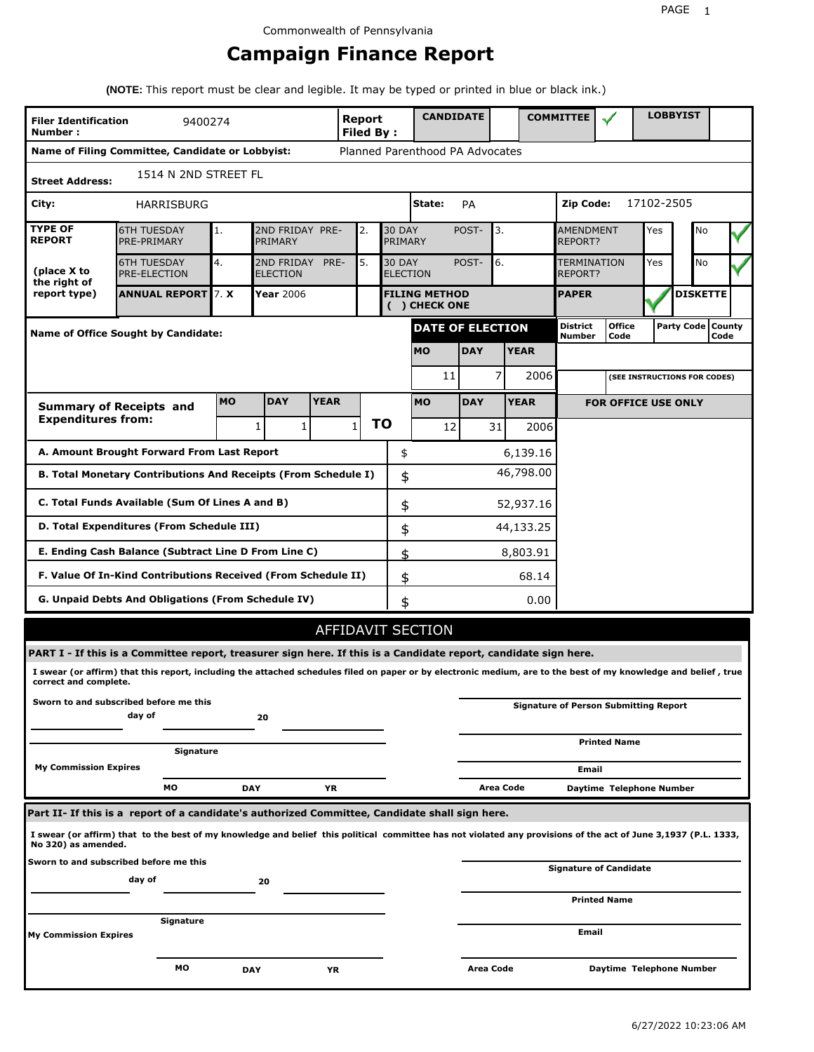# **Campaign Finance Report**

**(NOTE:** This report must be clear and legible. It may be typed or printed in blue or black ink.)

| <b>Filer Identification</b><br>Number: | 9400274                                                                                                                                                         |           |                               |             | <b>Report</b><br>Filed By: |                          | <b>CANDIDATE</b>                     |                  |             | <b>COMMITTEE</b>                   |                                              |            | <b>LOBBYIST</b>              |                             |
|----------------------------------------|-----------------------------------------------------------------------------------------------------------------------------------------------------------------|-----------|-------------------------------|-------------|----------------------------|--------------------------|--------------------------------------|------------------|-------------|------------------------------------|----------------------------------------------|------------|------------------------------|-----------------------------|
|                                        | Name of Filing Committee, Candidate or Lobbyist:                                                                                                                |           |                               |             |                            |                          | Planned Parenthood PA Advocates      |                  |             |                                    |                                              |            |                              |                             |
| <b>Street Address:</b>                 | 1514 N 2ND STREET FL                                                                                                                                            |           |                               |             |                            |                          |                                      |                  |             |                                    |                                              |            |                              |                             |
| City:                                  | HARRISBURG                                                                                                                                                      |           |                               |             |                            |                          | State:                               | PA               |             | Zip Code:                          |                                              | 17102-2505 |                              |                             |
| <b>TYPE OF</b><br><b>REPORT</b>        | <b>6TH TUESDAY</b><br>PRE-PRIMARY                                                                                                                               | 1.        | 2ND FRIDAY PRE-<br>PRIMARY    |             | 2.                         | <b>30 DAY</b><br>PRIMARY |                                      | POST-            | 3.          | <b>AMENDMENT</b><br><b>REPORT?</b> |                                              | Yes        | No                           |                             |
| (place X to<br>the right of            | <b>6TH TUESDAY</b><br><b>PRE-ELECTION</b>                                                                                                                       | 4.        | 2ND FRIDAY<br><b>ELECTION</b> | PRE-        | 5.                         | <b>30 DAY</b>            | <b>ELECTION</b>                      | POST-            | 6.          | TERMINATION<br>REPORT?             |                                              | Yes        | No                           |                             |
| report type)                           | <b>ANNUAL REPORT</b> 7. X                                                                                                                                       |           | Year 2006                     |             |                            |                          | <b>FILING METHOD</b><br>() CHECK ONE |                  |             | <b>PAPER</b>                       |                                              |            | <b>DISKETTE</b>              |                             |
|                                        | Name of Office Sought by Candidate:                                                                                                                             |           |                               |             |                            |                          | <b>DATE OF ELECTION</b>              |                  |             | <b>District</b><br><b>Number</b>   | <b>Office</b><br>Code                        |            |                              | Party Code   County<br>Code |
|                                        |                                                                                                                                                                 |           |                               |             |                            |                          | <b>MO</b>                            | <b>DAY</b>       | <b>YEAR</b> |                                    |                                              |            |                              |                             |
|                                        |                                                                                                                                                                 |           |                               |             |                            |                          | 11                                   |                  | 7<br>2006   |                                    |                                              |            | (SEE INSTRUCTIONS FOR CODES) |                             |
|                                        | <b>Summary of Receipts and</b>                                                                                                                                  | <b>MO</b> | <b>DAY</b>                    | <b>YEAR</b> |                            |                          | <b>MO</b>                            | <b>DAY</b>       | <b>YEAR</b> |                                    | <b>FOR OFFICE USE ONLY</b>                   |            |                              |                             |
| <b>Expenditures from:</b>              |                                                                                                                                                                 |           | 1                             | 1           | $\mathbf{1}$               | ΤO                       | 12                                   | 31               | 2006        |                                    |                                              |            |                              |                             |
|                                        | A. Amount Brought Forward From Last Report                                                                                                                      |           |                               |             |                            | \$                       |                                      |                  | 6,139.16    |                                    |                                              |            |                              |                             |
|                                        | B. Total Monetary Contributions And Receipts (From Schedule I)                                                                                                  |           |                               |             |                            | \$                       |                                      |                  | 46,798.00   |                                    |                                              |            |                              |                             |
|                                        | C. Total Funds Available (Sum Of Lines A and B)                                                                                                                 |           |                               |             |                            | \$                       |                                      |                  | 52,937.16   |                                    |                                              |            |                              |                             |
|                                        | D. Total Expenditures (From Schedule III)                                                                                                                       |           |                               |             |                            | \$                       |                                      |                  | 44,133.25   |                                    |                                              |            |                              |                             |
|                                        | E. Ending Cash Balance (Subtract Line D From Line C)                                                                                                            |           |                               |             |                            | \$                       |                                      |                  | 8,803.91    |                                    |                                              |            |                              |                             |
|                                        | F. Value Of In-Kind Contributions Received (From Schedule II)                                                                                                   |           |                               |             |                            | \$                       |                                      |                  | 68.14       |                                    |                                              |            |                              |                             |
|                                        | <b>G. Unpaid Debts And Obligations (From Schedule IV)</b>                                                                                                       |           |                               |             |                            | \$                       |                                      |                  | 0.00        |                                    |                                              |            |                              |                             |
|                                        |                                                                                                                                                                 |           |                               |             |                            |                          | <b>AFFIDAVIT SECTION</b>             |                  |             |                                    |                                              |            |                              |                             |
|                                        | PART I - If this is a Committee report, treasurer sign here. If this is a Candidate report, candidate sign here.                                                |           |                               |             |                            |                          |                                      |                  |             |                                    |                                              |            |                              |                             |
| correct and complete.                  | I swear (or affirm) that this report, including the attached schedules filed on paper or by electronic medium, are to the best of my knowledge and belief, true |           |                               |             |                            |                          |                                      |                  |             |                                    |                                              |            |                              |                             |
|                                        | Sworn to and subscribed before me this<br>day of                                                                                                                |           | 20                            |             |                            |                          |                                      |                  |             |                                    | <b>Signature of Person Submitting Report</b> |            |                              |                             |
|                                        | Signature                                                                                                                                                       |           |                               |             |                            |                          |                                      |                  |             |                                    | <b>Printed Name</b>                          |            |                              |                             |
| <b>My Commission Expires</b>           |                                                                                                                                                                 |           |                               |             |                            |                          |                                      |                  |             | Email                              |                                              |            |                              |                             |
|                                        | МO                                                                                                                                                              |           | <b>DAY</b>                    | YR          |                            |                          |                                      |                  | Area Code   |                                    | Daytime Telephone Number                     |            |                              |                             |
|                                        | Part II- If this is a report of a candidate's authorized Committee, Candidate shall sign here.                                                                  |           |                               |             |                            |                          |                                      |                  |             |                                    |                                              |            |                              |                             |
| No 320) as amended.                    | I swear (or affirm) that to the best of my knowledge and belief this political committee has not violated any provisions of the act of June 3,1937 (P.L. 1333,  |           |                               |             |                            |                          |                                      |                  |             |                                    |                                              |            |                              |                             |
|                                        | Sworn to and subscribed before me this<br>day of                                                                                                                |           | 20                            |             |                            |                          |                                      |                  |             |                                    | <b>Signature of Candidate</b>                |            |                              |                             |
|                                        |                                                                                                                                                                 |           |                               |             |                            |                          |                                      |                  |             |                                    | <b>Printed Name</b>                          |            |                              |                             |
| My Commission Expires                  | Signature                                                                                                                                                       |           |                               |             |                            |                          |                                      |                  |             | Email                              |                                              |            |                              |                             |
|                                        | МO                                                                                                                                                              |           | <b>DAY</b>                    | ΥR          |                            |                          |                                      | <b>Area Code</b> |             |                                    | Daytime Telephone Number                     |            |                              |                             |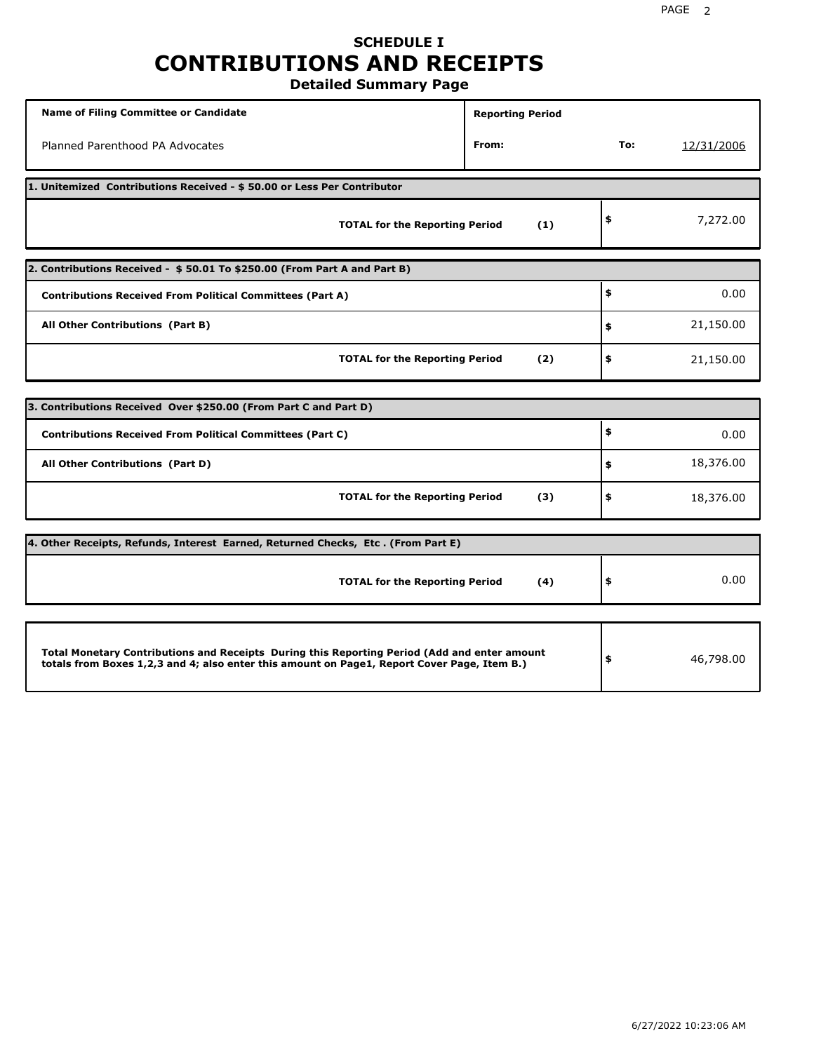# **SCHEDULE I CONTRIBUTIONS AND RECEIPTS**

**Detailed Summary Page**

| <b>Name of Filing Committee or Candidate</b>                                                                                                                                                | <b>Reporting Period</b> |     |            |
|---------------------------------------------------------------------------------------------------------------------------------------------------------------------------------------------|-------------------------|-----|------------|
| Planned Parenthood PA Advocates                                                                                                                                                             | From:                   | To: | 12/31/2006 |
| 1. Unitemized Contributions Received - \$ 50.00 or Less Per Contributor                                                                                                                     |                         |     |            |
| <b>TOTAL for the Reporting Period</b>                                                                                                                                                       | (1)                     | \$  | 7,272.00   |
| 2. Contributions Received - \$50.01 To \$250.00 (From Part A and Part B)                                                                                                                    |                         |     |            |
| <b>Contributions Received From Political Committees (Part A)</b>                                                                                                                            |                         | \$  | 0.00       |
| All Other Contributions (Part B)                                                                                                                                                            |                         | \$  | 21,150.00  |
| <b>TOTAL for the Reporting Period</b>                                                                                                                                                       | (2)                     | \$  | 21,150.00  |
|                                                                                                                                                                                             |                         |     |            |
| 3. Contributions Received Over \$250.00 (From Part C and Part D)                                                                                                                            |                         |     |            |
| <b>Contributions Received From Political Committees (Part C)</b>                                                                                                                            |                         | \$  | 0.00       |
| All Other Contributions (Part D)                                                                                                                                                            |                         | \$  | 18,376.00  |
| <b>TOTAL for the Reporting Period</b>                                                                                                                                                       | (3)                     | \$  | 18,376.00  |
| [4. Other Receipts, Refunds, Interest Earned, Returned Checks, Etc. (From Part E)                                                                                                           |                         |     |            |
| <b>TOTAL for the Reporting Period</b>                                                                                                                                                       | (4)                     | \$  | 0.00       |
|                                                                                                                                                                                             |                         |     |            |
| Total Monetary Contributions and Receipts During this Reporting Period (Add and enter amount<br>totals from Boxes 1,2,3 and 4; also enter this amount on Page1, Report Cover Page, Item B.) |                         | \$  | 46,798.00  |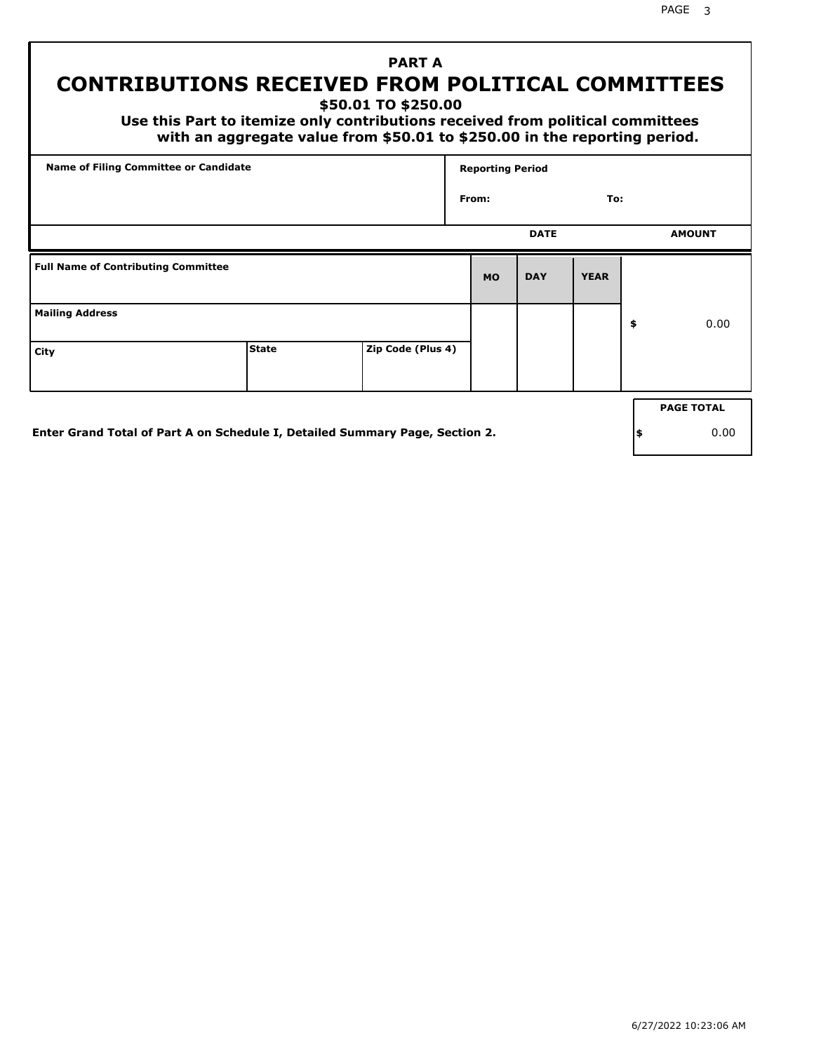PAGE 3

## **PART A CONTRIBUTIONS RECEIVED FROM POLITICAL COMMITTEES**

**\$50.01 TO \$250.00**

 **Use this Part to itemize only contributions received from political committees with an aggregate value from \$50.01 to \$250.00 in the reporting period.**

| Name of Filing Committee or Candidate      |                                                                              |                   | <b>Reporting Period</b> |             |             |     |                   |
|--------------------------------------------|------------------------------------------------------------------------------|-------------------|-------------------------|-------------|-------------|-----|-------------------|
|                                            |                                                                              |                   | From:                   |             | To:         |     |                   |
|                                            |                                                                              |                   |                         | <b>DATE</b> |             |     | <b>AMOUNT</b>     |
| <b>Full Name of Contributing Committee</b> |                                                                              |                   | <b>MO</b>               | <b>DAY</b>  | <b>YEAR</b> |     |                   |
| <b>Mailing Address</b>                     |                                                                              |                   |                         |             |             | \$  | 0.00              |
| City                                       | <b>State</b>                                                                 | Zip Code (Plus 4) |                         |             |             |     |                   |
|                                            |                                                                              |                   |                         |             |             |     | <b>PAGE TOTAL</b> |
|                                            | Enter Grand Total of Part A on Schedule I, Detailed Summary Page, Section 2. |                   |                         |             |             | ∣\$ | 0.00              |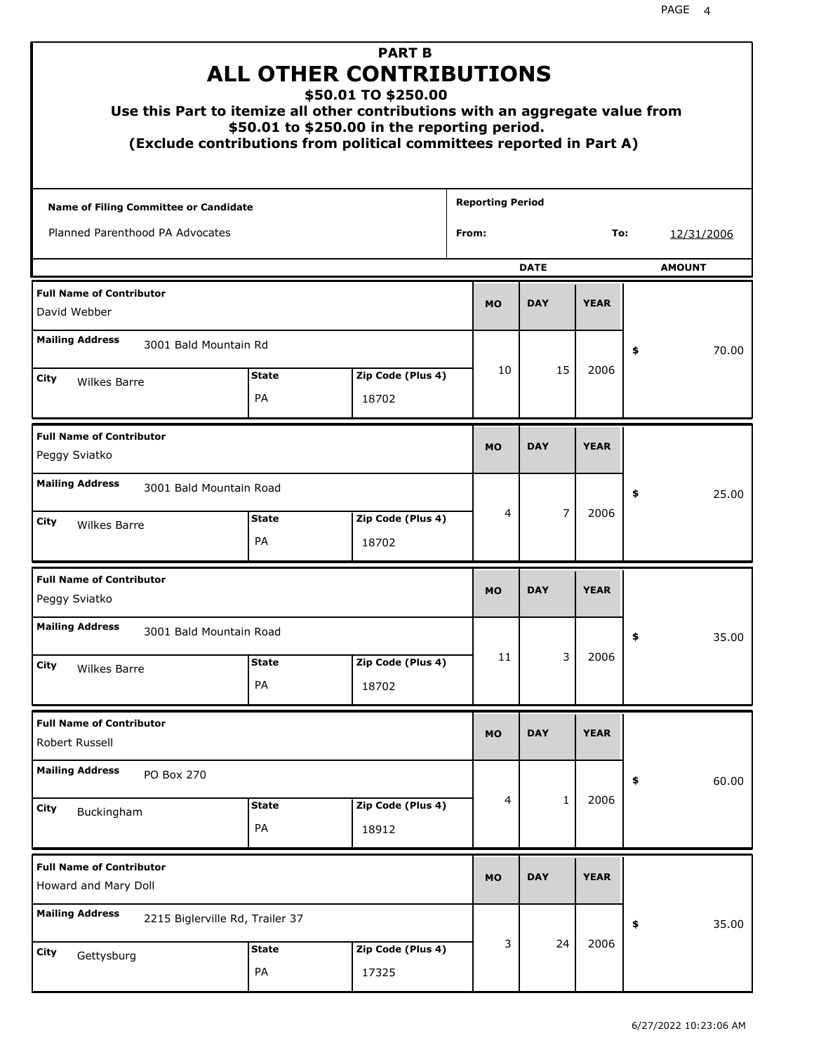|                                                         |                                 |                    | <b>PART B</b><br>ALL OTHER CONTRIBUTIONS<br>\$50.01 TO \$250.00<br>Use this Part to itemize all other contributions with an aggregate value from<br>\$50.01 to \$250.00 in the reporting period.<br>(Exclude contributions from political committees reported in Part A) |                         |                |             |    |               |
|---------------------------------------------------------|---------------------------------|--------------------|--------------------------------------------------------------------------------------------------------------------------------------------------------------------------------------------------------------------------------------------------------------------------|-------------------------|----------------|-------------|----|---------------|
| <b>Name of Filing Committee or Candidate</b>            |                                 |                    |                                                                                                                                                                                                                                                                          | <b>Reporting Period</b> |                |             |    |               |
| Planned Parenthood PA Advocates                         |                                 |                    |                                                                                                                                                                                                                                                                          | From:                   |                | To:         |    | 12/31/2006    |
|                                                         |                                 |                    |                                                                                                                                                                                                                                                                          |                         | <b>DATE</b>    |             |    | <b>AMOUNT</b> |
| <b>Full Name of Contributor</b><br>David Webber         |                                 |                    |                                                                                                                                                                                                                                                                          | <b>MO</b>               | <b>DAY</b>     | <b>YEAR</b> |    |               |
| <b>Mailing Address</b>                                  | 3001 Bald Mountain Rd           |                    |                                                                                                                                                                                                                                                                          |                         |                |             | \$ | 70.00         |
| City                                                    |                                 | <b>State</b>       | Zip Code (Plus 4)                                                                                                                                                                                                                                                        | 10                      | 15             | 2006        |    |               |
| Wilkes Barre                                            |                                 | PA                 | 18702                                                                                                                                                                                                                                                                    |                         |                |             |    |               |
| <b>Full Name of Contributor</b><br>Peggy Sviatko        |                                 |                    |                                                                                                                                                                                                                                                                          | <b>MO</b>               | <b>DAY</b>     | <b>YEAR</b> |    |               |
| <b>Mailing Address</b>                                  | 3001 Bald Mountain Road         |                    |                                                                                                                                                                                                                                                                          |                         |                |             | \$ | 25.00         |
| City<br>Wilkes Barre                                    |                                 | <b>State</b><br>PA | Zip Code (Plus 4)<br>18702                                                                                                                                                                                                                                               | 4                       | $\overline{7}$ | 2006        |    |               |
| <b>Full Name of Contributor</b><br>Peggy Sviatko        |                                 |                    |                                                                                                                                                                                                                                                                          | <b>MO</b>               | <b>DAY</b>     | <b>YEAR</b> |    |               |
| <b>Mailing Address</b>                                  | 3001 Bald Mountain Road         |                    |                                                                                                                                                                                                                                                                          |                         |                |             | Ş, | 35.00         |
| City<br>Wilkes Barre                                    |                                 | <b>State</b>       | Zip Code (Plus 4)                                                                                                                                                                                                                                                        | 11                      | 3              | 2006        |    |               |
|                                                         |                                 | PA                 | 18702                                                                                                                                                                                                                                                                    |                         |                |             |    |               |
| <b>Full Name of Contributor</b><br>Robert Russell       |                                 |                    |                                                                                                                                                                                                                                                                          | <b>MO</b>               | <b>DAY</b>     | <b>YEAR</b> |    |               |
| <b>Mailing Address</b>                                  | PO Box 270                      |                    |                                                                                                                                                                                                                                                                          |                         |                |             | \$ | 60.00         |
| City<br>Buckingham                                      |                                 | <b>State</b><br>PA | Zip Code (Plus 4)<br>18912                                                                                                                                                                                                                                               | 4                       | $\mathbf{1}$   | 2006        |    |               |
| <b>Full Name of Contributor</b><br>Howard and Mary Doll |                                 |                    |                                                                                                                                                                                                                                                                          | <b>MO</b>               | <b>DAY</b>     | <b>YEAR</b> |    |               |
| <b>Mailing Address</b>                                  | 2215 Biglerville Rd, Trailer 37 |                    |                                                                                                                                                                                                                                                                          |                         |                |             | \$ | 35.00         |
| City<br>Gettysburg                                      |                                 | <b>State</b>       | Zip Code (Plus 4)                                                                                                                                                                                                                                                        | 3                       | 24             | 2006        |    |               |
|                                                         |                                 | PA                 | 17325                                                                                                                                                                                                                                                                    |                         |                |             |    |               |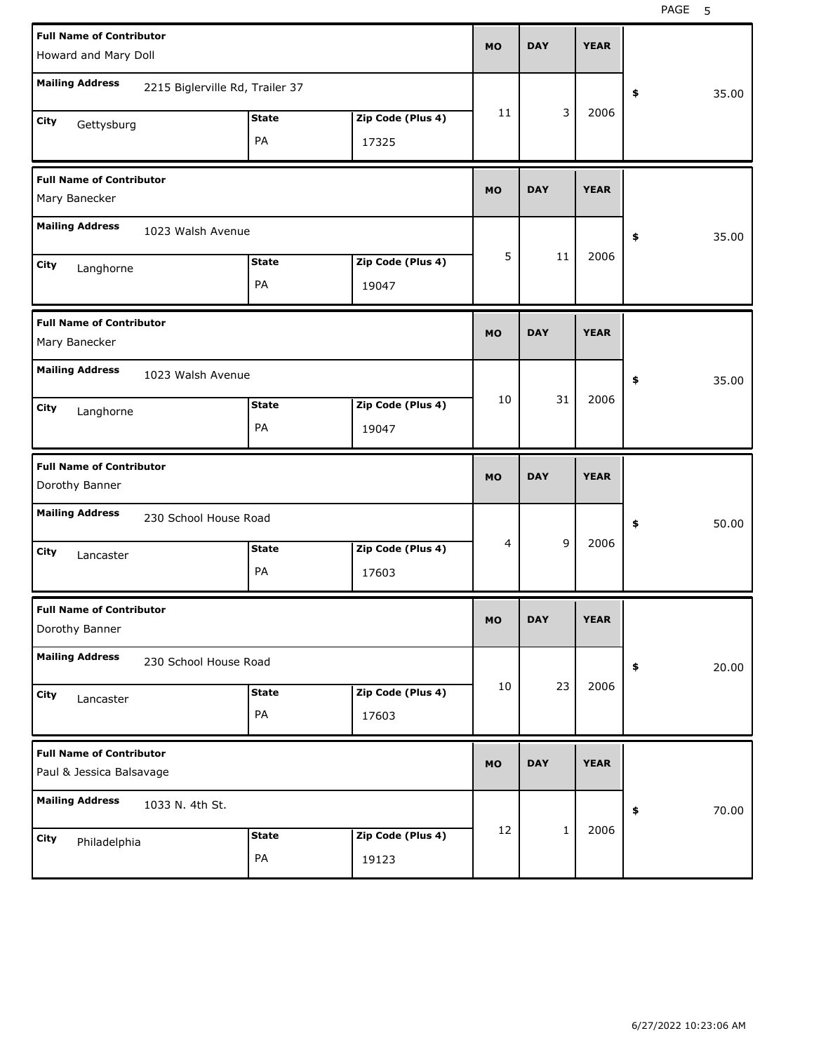| <b>Full Name of Contributor</b><br>Howard and Mary Doll     |                                 |                    |                            | <b>MO</b>      | <b>DAY</b>   | <b>YEAR</b> |             |
|-------------------------------------------------------------|---------------------------------|--------------------|----------------------------|----------------|--------------|-------------|-------------|
| <b>Mailing Address</b>                                      | 2215 Biglerville Rd, Trailer 37 |                    |                            |                |              |             | 35.00<br>\$ |
| City<br>Gettysburg                                          |                                 | <b>State</b><br>PA | Zip Code (Plus 4)<br>17325 | 11             | 3            | 2006        |             |
| <b>Full Name of Contributor</b><br>Mary Banecker            |                                 |                    |                            | <b>MO</b>      | <b>DAY</b>   | <b>YEAR</b> |             |
| <b>Mailing Address</b>                                      | 1023 Walsh Avenue               |                    |                            |                |              |             | 35.00<br>\$ |
| City<br>Langhorne                                           |                                 | <b>State</b><br>PA | Zip Code (Plus 4)<br>19047 | 5              | 11           | 2006        |             |
| <b>Full Name of Contributor</b><br>Mary Banecker            |                                 |                    |                            | <b>MO</b>      | <b>DAY</b>   | <b>YEAR</b> |             |
| <b>Mailing Address</b><br>City<br>Langhorne                 | 1023 Walsh Avenue               | <b>State</b><br>PA | Zip Code (Plus 4)<br>19047 | 10             | 31           | 2006        | 35.00<br>\$ |
|                                                             |                                 |                    |                            |                |              |             |             |
| <b>Full Name of Contributor</b><br>Dorothy Banner           |                                 |                    |                            | <b>MO</b>      | <b>DAY</b>   | <b>YEAR</b> |             |
| <b>Mailing Address</b>                                      | 230 School House Road           |                    |                            |                |              |             | 50.00<br>\$ |
| City<br>Lancaster                                           |                                 | <b>State</b><br>PA | Zip Code (Plus 4)<br>17603 | $\overline{4}$ | 9            | 2006        |             |
| <b>Full Name of Contributor</b><br>Dorothy Banner           |                                 |                    |                            | МO             | <b>DAY</b>   | <b>YEAR</b> |             |
| <b>Mailing Address</b>                                      | 230 School House Road           |                    |                            |                |              |             | 20.00<br>\$ |
| City<br>Lancaster                                           |                                 | <b>State</b><br>PA | Zip Code (Plus 4)<br>17603 | 10             | 23           | 2006        |             |
| <b>Full Name of Contributor</b><br>Paul & Jessica Balsavage |                                 |                    |                            | <b>MO</b>      | <b>DAY</b>   | <b>YEAR</b> |             |
| <b>Mailing Address</b>                                      | 1033 N. 4th St.                 |                    |                            | 12             | $\mathbf{1}$ | 2006        | 70.00<br>\$ |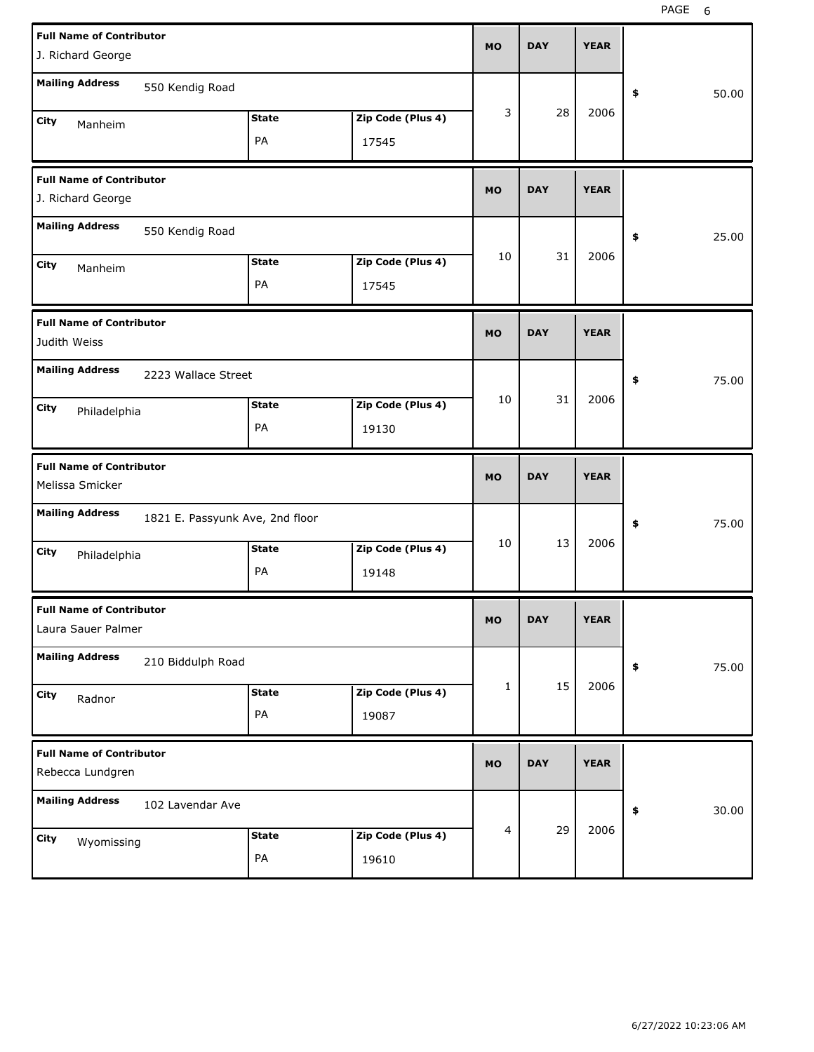| <b>Full Name of Contributor</b><br>J. Richard George  |                                 |                    |                            | <b>MO</b> | <b>DAY</b> | <b>YEAR</b> |             |
|-------------------------------------------------------|---------------------------------|--------------------|----------------------------|-----------|------------|-------------|-------------|
| <b>Mailing Address</b>                                | 550 Kendig Road                 |                    |                            |           |            |             | \$<br>50.00 |
| City<br>Manheim                                       |                                 | <b>State</b><br>PA | Zip Code (Plus 4)<br>17545 | 3         | 28         | 2006        |             |
| <b>Full Name of Contributor</b><br>J. Richard George  |                                 |                    |                            | <b>MO</b> | <b>DAY</b> | <b>YEAR</b> |             |
| <b>Mailing Address</b>                                | 550 Kendig Road                 |                    |                            |           |            |             | \$<br>25.00 |
| City<br>Manheim                                       |                                 | <b>State</b><br>PA | Zip Code (Plus 4)<br>17545 | 10        | 31         | 2006        |             |
| <b>Full Name of Contributor</b><br>Judith Weiss       |                                 |                    |                            | <b>MO</b> | <b>DAY</b> | <b>YEAR</b> |             |
| <b>Mailing Address</b>                                | 2223 Wallace Street             |                    |                            |           |            |             | \$<br>75.00 |
| City<br>Philadelphia                                  |                                 | <b>State</b><br>PA | Zip Code (Plus 4)<br>19130 | 10        | 31         | 2006        |             |
|                                                       |                                 |                    |                            |           |            |             |             |
| <b>Full Name of Contributor</b><br>Melissa Smicker    |                                 |                    |                            | <b>MO</b> | <b>DAY</b> | <b>YEAR</b> |             |
| <b>Mailing Address</b>                                | 1821 E. Passyunk Ave, 2nd floor |                    |                            |           |            |             | \$<br>75.00 |
| City<br>Philadelphia                                  |                                 | <b>State</b><br>PA | Zip Code (Plus 4)<br>19148 | 10        | 13         | 2006        |             |
| <b>Full Name of Contributor</b><br>Laura Sauer Palmer |                                 |                    |                            | МO        | <b>DAY</b> | <b>YEAR</b> |             |
| <b>Mailing Address</b>                                | 210 Biddulph Road               |                    |                            |           |            |             | \$<br>75.00 |
| City<br>Radnor                                        |                                 | <b>State</b><br>PA | Zip Code (Plus 4)<br>19087 | 1         | 15         | 2006        |             |
| <b>Full Name of Contributor</b><br>Rebecca Lundgren   |                                 |                    |                            | <b>MO</b> | <b>DAY</b> | <b>YEAR</b> |             |
| <b>Mailing Address</b>                                | 102 Lavendar Ave                |                    |                            | 4         | 29         | 2006        | \$<br>30.00 |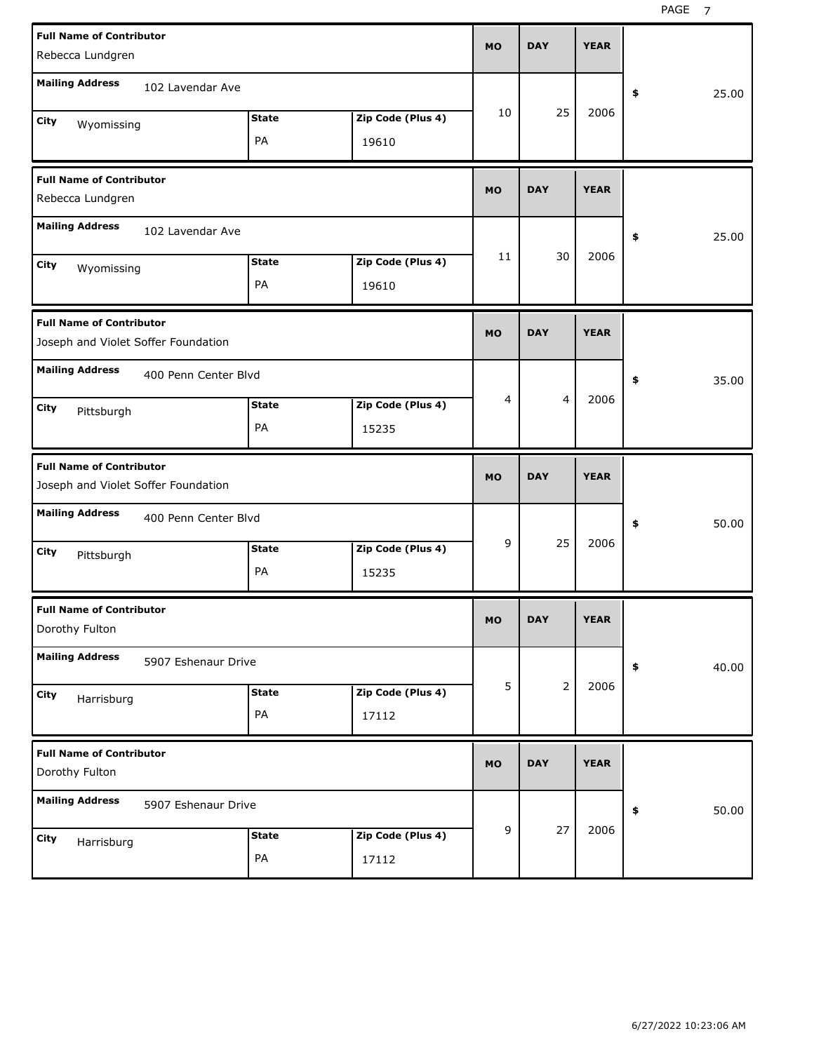| <b>Full Name of Contributor</b><br>Rebecca Lundgren                    |                    |                            | <b>MO</b> | <b>DAY</b>     | <b>YEAR</b> |             |
|------------------------------------------------------------------------|--------------------|----------------------------|-----------|----------------|-------------|-------------|
| <b>Mailing Address</b><br>102 Lavendar Ave                             |                    |                            |           |                |             | 25.00<br>\$ |
| City<br>Wyomissing                                                     | <b>State</b><br>PA | Zip Code (Plus 4)<br>19610 | 10        | 25             | 2006        |             |
| <b>Full Name of Contributor</b><br>Rebecca Lundgren                    |                    |                            | <b>MO</b> | <b>DAY</b>     | <b>YEAR</b> |             |
| <b>Mailing Address</b><br>102 Lavendar Ave                             |                    |                            |           |                |             | 25.00<br>\$ |
| City<br>Wyomissing                                                     | <b>State</b><br>PA | Zip Code (Plus 4)<br>19610 | 11        | 30             | 2006        |             |
| <b>Full Name of Contributor</b><br>Joseph and Violet Soffer Foundation |                    |                            | <b>MO</b> | <b>DAY</b>     | <b>YEAR</b> |             |
| <b>Mailing Address</b><br>400 Penn Center Blvd                         |                    |                            |           |                |             | 35.00<br>\$ |
| City<br>Pittsburgh                                                     | <b>State</b><br>PA | Zip Code (Plus 4)<br>15235 | 4         | 4              | 2006        |             |
|                                                                        |                    |                            |           |                |             |             |
| <b>Full Name of Contributor</b><br>Joseph and Violet Soffer Foundation |                    |                            | <b>MO</b> | <b>DAY</b>     | <b>YEAR</b> |             |
| <b>Mailing Address</b><br>400 Penn Center Blvd                         |                    |                            |           |                |             | 50.00<br>\$ |
| City<br>Pittsburgh                                                     | <b>State</b><br>PA | Zip Code (Plus 4)<br>15235 | 9         | 25             | 2006        |             |
| <b>Full Name of Contributor</b><br>Dorothy Fulton                      |                    |                            | MO        | <b>DAY</b>     | <b>YEAR</b> |             |
| <b>Mailing Address</b><br>5907 Eshenaur Drive                          |                    |                            |           |                |             | 40.00<br>\$ |
| City<br>Harrisburg                                                     | <b>State</b><br>PA | Zip Code (Plus 4)<br>17112 | 5         | $\overline{2}$ | 2006        |             |
| <b>Full Name of Contributor</b><br>Dorothy Fulton                      |                    |                            | <b>MO</b> | <b>DAY</b>     | <b>YEAR</b> |             |
| <b>Mailing Address</b><br>5907 Eshenaur Drive                          |                    |                            | 9         | 27             | 2006        | \$<br>50.00 |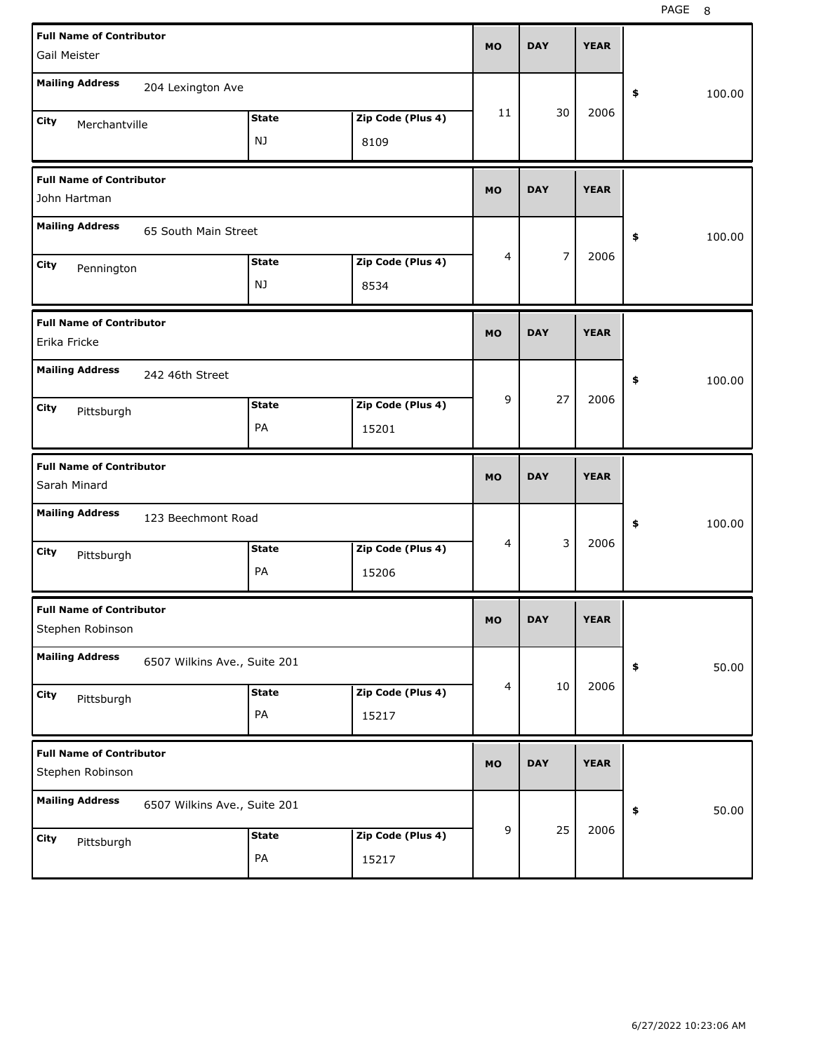| <b>Full Name of Contributor</b><br>Gail Meister        |                    |                            | <b>MO</b>   | <b>DAY</b>     | <b>YEAR</b> |              |
|--------------------------------------------------------|--------------------|----------------------------|-------------|----------------|-------------|--------------|
| <b>Mailing Address</b><br>204 Lexington Ave            |                    |                            |             |                |             | \$<br>100.00 |
| City<br>Merchantville                                  | <b>State</b><br>NJ | Zip Code (Plus 4)<br>8109  | 11          | 30             | 2006        |              |
| <b>Full Name of Contributor</b><br>John Hartman        |                    |                            | <b>MO</b>   | <b>DAY</b>     | <b>YEAR</b> |              |
| <b>Mailing Address</b><br>65 South Main Street         |                    |                            |             |                |             | \$<br>100.00 |
| City<br>Pennington                                     | <b>State</b><br>NJ | Zip Code (Plus 4)<br>8534  | 4           | $\overline{7}$ | 2006        |              |
| <b>Full Name of Contributor</b><br>Erika Fricke        |                    |                            | <b>MO</b>   | <b>DAY</b>     | <b>YEAR</b> |              |
| <b>Mailing Address</b><br>242 46th Street              |                    |                            |             |                |             | \$<br>100.00 |
| City<br>Pittsburgh                                     | <b>State</b><br>PA | Zip Code (Plus 4)<br>15201 | 9           | 27             | 2006        |              |
|                                                        |                    |                            |             |                |             |              |
| <b>Full Name of Contributor</b><br>Sarah Minard        |                    |                            | <b>MO</b>   | <b>DAY</b>     | <b>YEAR</b> |              |
| <b>Mailing Address</b><br>123 Beechmont Road           |                    |                            |             |                |             | \$<br>100.00 |
| City<br>Pittsburgh                                     | <b>State</b><br>PA | Zip Code (Plus 4)<br>15206 | 4           | 3              | 2006        |              |
| <b>Full Name of Contributor</b><br>Stephen Robinson    |                    |                            | <b>MO</b>   | <b>DAY</b>     | <b>YEAR</b> |              |
| <b>Mailing Address</b><br>6507 Wilkins Ave., Suite 201 |                    |                            |             |                |             | 50.00<br>\$  |
| City<br>Pittsburgh                                     | <b>State</b><br>PA | Zip Code (Plus 4)<br>15217 | 4           | $10\,$         | 2006        |              |
| <b>Full Name of Contributor</b><br>Stephen Robinson    |                    |                            | <b>MO</b>   | <b>DAY</b>     | <b>YEAR</b> |              |
| <b>Mailing Address</b><br>6507 Wilkins Ave., Suite 201 |                    |                            | $\mathsf g$ | 25             | 2006        | 50.00<br>\$  |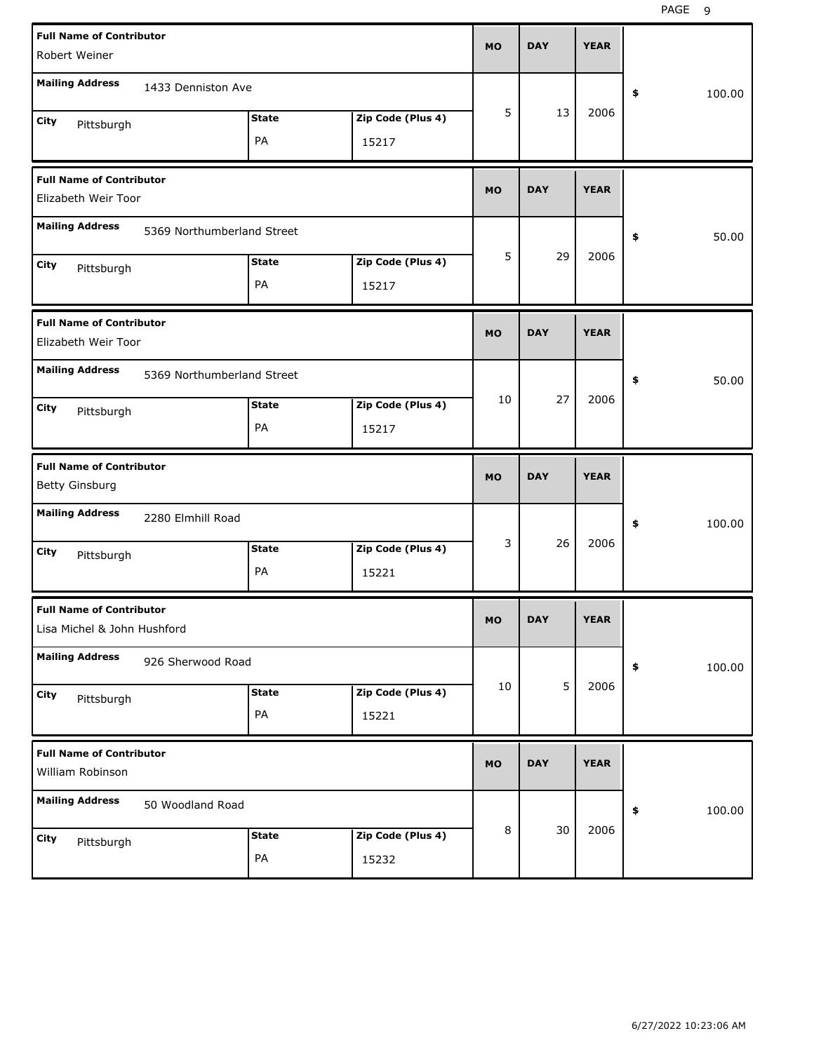| <b>Full Name of Contributor</b><br>Robert Weiner               |                            |                    |                   | <b>MO</b> | <b>DAY</b> | <b>YEAR</b> |              |
|----------------------------------------------------------------|----------------------------|--------------------|-------------------|-----------|------------|-------------|--------------|
| <b>Mailing Address</b>                                         | 1433 Denniston Ave         |                    |                   |           |            |             | \$<br>100.00 |
| City<br>Pittsburgh                                             |                            | <b>State</b><br>PA | Zip Code (Plus 4) | 5         | 13         | 2006        |              |
|                                                                |                            |                    | 15217             |           |            |             |              |
| <b>Full Name of Contributor</b><br>Elizabeth Weir Toor         |                            |                    |                   | <b>MO</b> | <b>DAY</b> | <b>YEAR</b> |              |
| <b>Mailing Address</b>                                         | 5369 Northumberland Street |                    |                   |           |            |             | \$<br>50.00  |
| City<br>Pittsburgh                                             |                            | <b>State</b>       | Zip Code (Plus 4) | 5         | 29         | 2006        |              |
|                                                                |                            | PA                 | 15217             |           |            |             |              |
| <b>Full Name of Contributor</b><br>Elizabeth Weir Toor         |                            |                    |                   | <b>MO</b> | <b>DAY</b> | <b>YEAR</b> |              |
| <b>Mailing Address</b>                                         | 5369 Northumberland Street |                    |                   |           |            |             | \$<br>50.00  |
| City<br>Pittsburgh                                             |                            | <b>State</b>       | Zip Code (Plus 4) | 10        | 27         | 2006        |              |
|                                                                |                            | PA                 | 15217             |           |            |             |              |
|                                                                |                            |                    |                   |           |            |             |              |
| <b>Full Name of Contributor</b><br><b>Betty Ginsburg</b>       |                            |                    |                   | <b>MO</b> | <b>DAY</b> | <b>YEAR</b> |              |
| <b>Mailing Address</b>                                         | 2280 Elmhill Road          |                    |                   |           |            |             | \$<br>100.00 |
| City                                                           |                            | <b>State</b>       | Zip Code (Plus 4) | 3         | 26         | 2006        |              |
| Pittsburgh                                                     |                            | PA                 | 15221             |           |            |             |              |
| <b>Full Name of Contributor</b><br>Lisa Michel & John Hushford |                            |                    |                   | MO        | <b>DAY</b> | <b>YEAR</b> |              |
| <b>Mailing Address</b>                                         | 926 Sherwood Road          |                    |                   |           |            |             | 100.00<br>\$ |
| City                                                           |                            | <b>State</b>       | Zip Code (Plus 4) | 10        | 5          | 2006        |              |
| Pittsburgh                                                     |                            | PA                 | 15221             |           |            |             |              |
| <b>Full Name of Contributor</b><br>William Robinson            |                            |                    |                   | <b>MO</b> | <b>DAY</b> | <b>YEAR</b> |              |
| <b>Mailing Address</b>                                         | 50 Woodland Road           |                    |                   |           |            |             | 100.00<br>\$ |
| City<br>Pittsburgh                                             |                            | <b>State</b>       | Zip Code (Plus 4) | 8         | 30         | 2006        |              |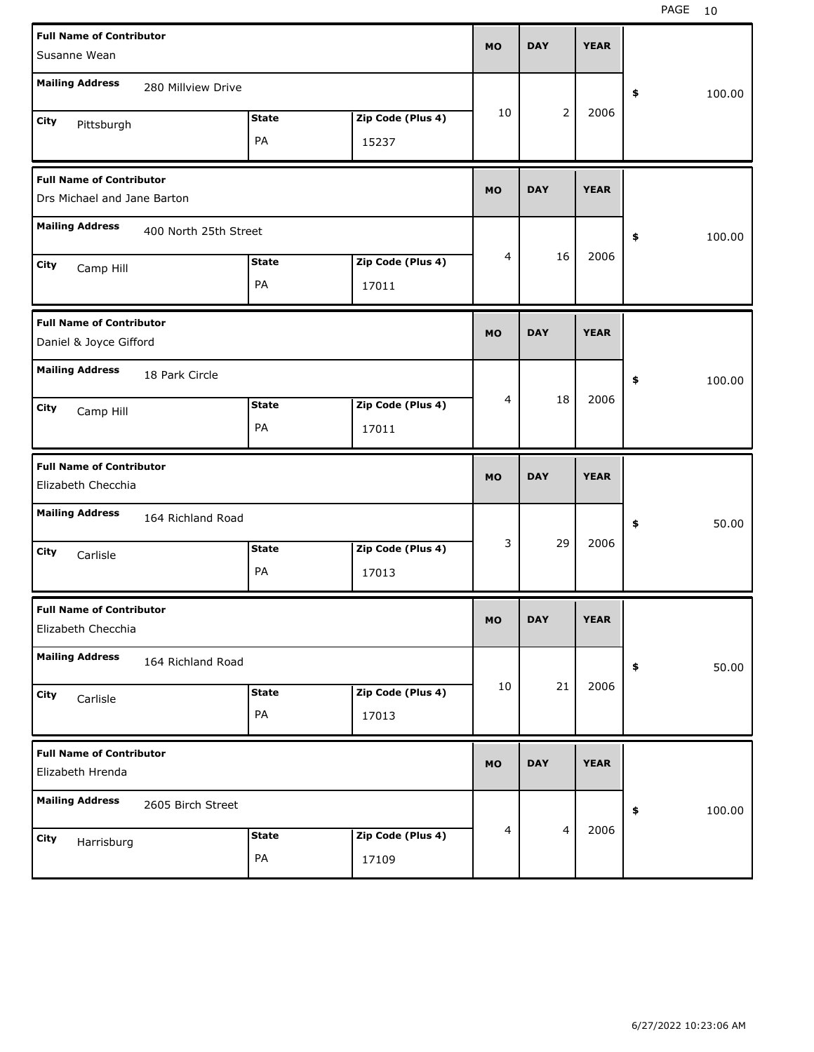| <b>Full Name of Contributor</b><br>Susanne Wean                |                       |                    |                            | <b>MO</b> | <b>DAY</b>     | <b>YEAR</b> |              |
|----------------------------------------------------------------|-----------------------|--------------------|----------------------------|-----------|----------------|-------------|--------------|
| <b>Mailing Address</b>                                         | 280 Millview Drive    |                    |                            |           |                |             | 100.00<br>\$ |
| City<br>Pittsburgh                                             |                       | <b>State</b><br>PA | Zip Code (Plus 4)<br>15237 | 10        | $\overline{2}$ | 2006        |              |
| <b>Full Name of Contributor</b><br>Drs Michael and Jane Barton |                       |                    |                            | <b>MO</b> | <b>DAY</b>     | <b>YEAR</b> |              |
| <b>Mailing Address</b>                                         | 400 North 25th Street |                    |                            |           |                |             | 100.00<br>\$ |
| City<br>Camp Hill                                              |                       | <b>State</b><br>PA | Zip Code (Plus 4)<br>17011 | 4         | 16             | 2006        |              |
| <b>Full Name of Contributor</b><br>Daniel & Joyce Gifford      |                       |                    |                            | <b>MO</b> | <b>DAY</b>     | <b>YEAR</b> |              |
| <b>Mailing Address</b>                                         | 18 Park Circle        |                    |                            |           |                |             | 100.00<br>\$ |
| City<br>Camp Hill                                              |                       | <b>State</b><br>PA | Zip Code (Plus 4)<br>17011 | 4         | 18             | 2006        |              |
|                                                                |                       |                    |                            |           |                |             |              |
| <b>Full Name of Contributor</b><br>Elizabeth Checchia          |                       |                    |                            | <b>MO</b> | <b>DAY</b>     | <b>YEAR</b> |              |
| <b>Mailing Address</b>                                         | 164 Richland Road     |                    |                            |           |                |             | 50.00<br>\$  |
| City<br>Carlisle                                               |                       | <b>State</b><br>PA | Zip Code (Plus 4)<br>17013 | 3         | 29             | 2006        |              |
| <b>Full Name of Contributor</b><br>Elizabeth Checchia          |                       |                    |                            | <b>MO</b> | <b>DAY</b>     | <b>YEAR</b> |              |
| <b>Mailing Address</b>                                         | 164 Richland Road     |                    |                            |           |                |             | 50.00<br>\$  |
| City<br>Carlisle                                               |                       | <b>State</b><br>PA | Zip Code (Plus 4)<br>17013 | 10        | 21             | 2006        |              |
| <b>Full Name of Contributor</b><br>Elizabeth Hrenda            |                       |                    |                            | <b>MO</b> | <b>DAY</b>     | <b>YEAR</b> |              |
| <b>Mailing Address</b>                                         | 2605 Birch Street     |                    |                            | 4         | $\overline{4}$ | 2006        | 100.00<br>\$ |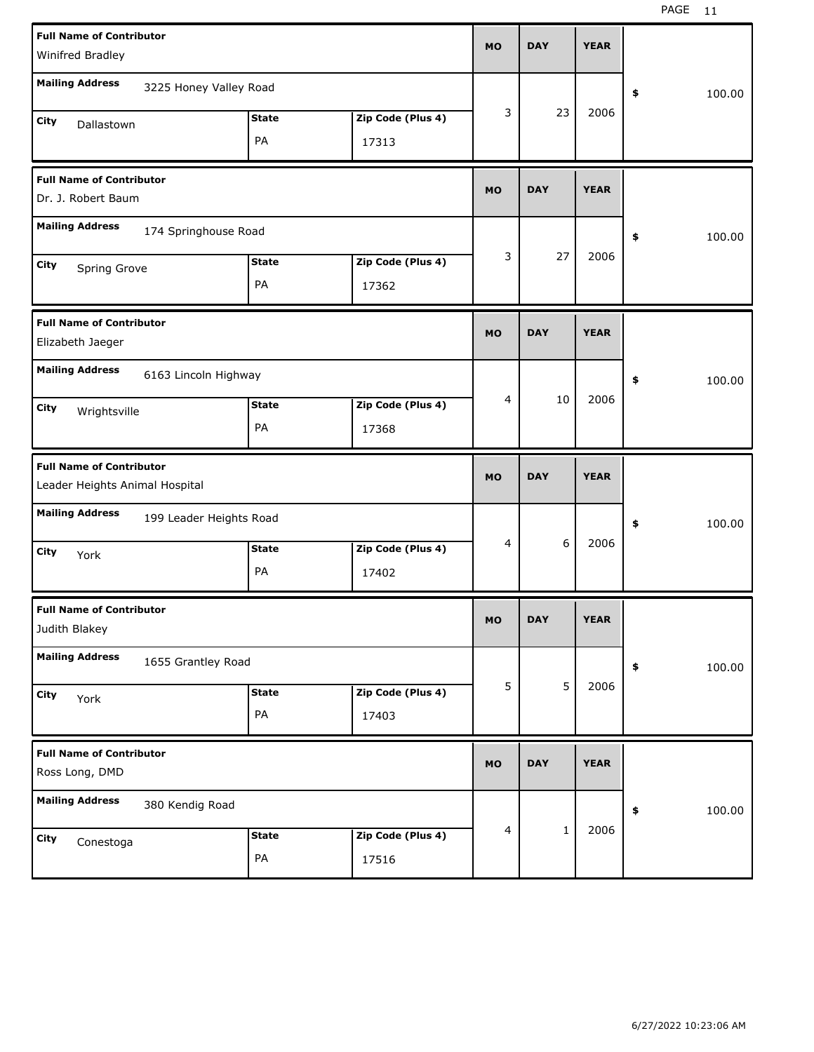| <b>Full Name of Contributor</b><br>Winifred Bradley                      | <b>MO</b> |   | <b>DAY</b>   | <b>YEAR</b> |              |
|--------------------------------------------------------------------------|-----------|---|--------------|-------------|--------------|
| <b>Mailing Address</b><br>3225 Honey Valley Road                         |           |   |              |             | \$<br>100.00 |
| <b>State</b><br>Zip Code (Plus 4)<br>City<br>Dallastown<br>PA<br>17313   |           | 3 | 23           | 2006        |              |
| <b>Full Name of Contributor</b><br>Dr. J. Robert Baum                    | <b>MO</b> |   | <b>DAY</b>   | <b>YEAR</b> |              |
| <b>Mailing Address</b><br>174 Springhouse Road                           |           |   |              |             | \$<br>100.00 |
| Zip Code (Plus 4)<br><b>State</b><br>City<br>Spring Grove<br>PA<br>17362 |           | 3 | 27           | 2006        |              |
| <b>Full Name of Contributor</b><br>Elizabeth Jaeger                      | <b>MO</b> |   | <b>DAY</b>   | <b>YEAR</b> |              |
| <b>Mailing Address</b><br>6163 Lincoln Highway                           |           |   |              |             | \$<br>100.00 |
| Zip Code (Plus 4)<br><b>State</b><br>City<br>Wrightsville<br>PA<br>17368 |           | 4 | 10           | 2006        |              |
|                                                                          |           |   |              |             |              |
| <b>Full Name of Contributor</b><br>Leader Heights Animal Hospital        | <b>MO</b> |   | <b>DAY</b>   | <b>YEAR</b> |              |
| <b>Mailing Address</b><br>199 Leader Heights Road                        |           |   |              |             | \$<br>100.00 |
| <b>State</b><br>Zip Code (Plus 4)<br>City<br>York<br>PA<br>17402         |           | 4 | 6            | 2006        |              |
| <b>Full Name of Contributor</b><br>Judith Blakey                         | МO        |   | <b>DAY</b>   | <b>YEAR</b> |              |
| <b>Mailing Address</b><br>1655 Grantley Road                             |           |   |              |             | \$<br>100.00 |
| Zip Code (Plus 4)<br><b>State</b><br>City<br>York<br>PA<br>17403         |           | 5 | 5            | 2006        |              |
| <b>Full Name of Contributor</b><br>Ross Long, DMD                        | <b>MO</b> |   | <b>DAY</b>   | <b>YEAR</b> |              |
| <b>Mailing Address</b><br>380 Kendig Road                                |           |   | $\mathbf{1}$ | 2006        | \$<br>100.00 |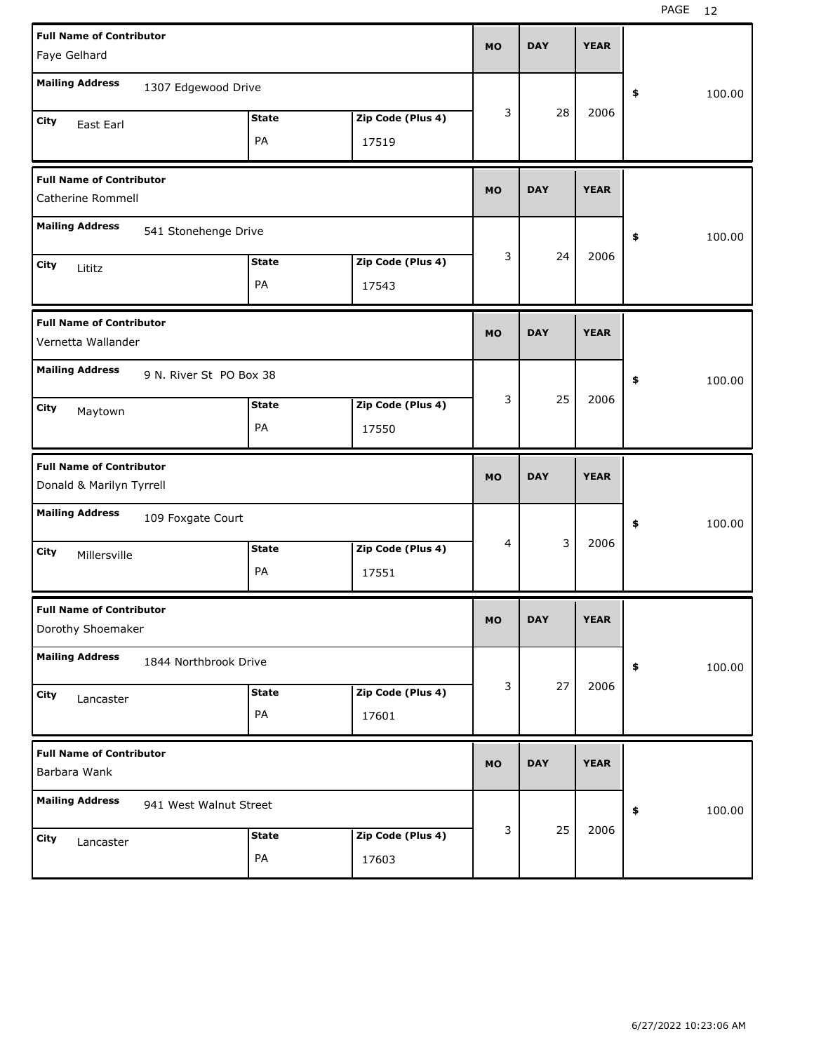| <b>Full Name of Contributor</b><br>Faye Gelhard                          | <b>MO</b> | <b>DAY</b> | <b>YEAR</b> |              |
|--------------------------------------------------------------------------|-----------|------------|-------------|--------------|
| <b>Mailing Address</b><br>1307 Edgewood Drive                            |           |            |             | \$<br>100.00 |
| Zip Code (Plus 4)<br><b>State</b><br>City<br>East Earl<br>PA<br>17519    | 3         | 28         | 2006        |              |
| <b>Full Name of Contributor</b><br>Catherine Rommell                     | <b>MO</b> | <b>DAY</b> | <b>YEAR</b> |              |
| <b>Mailing Address</b><br>541 Stonehenge Drive                           |           |            |             | 100.00<br>\$ |
| Zip Code (Plus 4)<br><b>State</b><br>City<br>Lititz<br>PA<br>17543       | 3         | 24         | 2006        |              |
| <b>Full Name of Contributor</b><br>Vernetta Wallander                    | <b>MO</b> | <b>DAY</b> | <b>YEAR</b> |              |
| <b>Mailing Address</b><br>9 N. River St PO Box 38                        |           |            |             | 100.00<br>\$ |
| Zip Code (Plus 4)<br><b>State</b><br>City<br>Maytown<br>PA<br>17550      | 3         | 25         | 2006        |              |
|                                                                          |           |            |             |              |
| <b>Full Name of Contributor</b><br>Donald & Marilyn Tyrrell              | <b>MO</b> | <b>DAY</b> | <b>YEAR</b> |              |
| <b>Mailing Address</b><br>109 Foxgate Court                              |           |            |             | 100.00<br>\$ |
| Zip Code (Plus 4)<br><b>State</b><br>City<br>Millersville<br>PA<br>17551 | 4         | 3          | 2006        |              |
| <b>Full Name of Contributor</b><br>Dorothy Shoemaker                     | <b>MO</b> | <b>DAY</b> | <b>YEAR</b> |              |
| <b>Mailing Address</b><br>1844 Northbrook Drive                          |           |            |             | \$<br>100.00 |
| Zip Code (Plus 4)<br><b>State</b><br>City<br>Lancaster<br>PA<br>17601    | 3         | 27         | 2006        |              |
| <b>Full Name of Contributor</b><br>Barbara Wank                          | <b>MO</b> | <b>DAY</b> | <b>YEAR</b> |              |
| <b>Mailing Address</b><br>941 West Walnut Street                         | 3         | 25         | 2006        | \$<br>100.00 |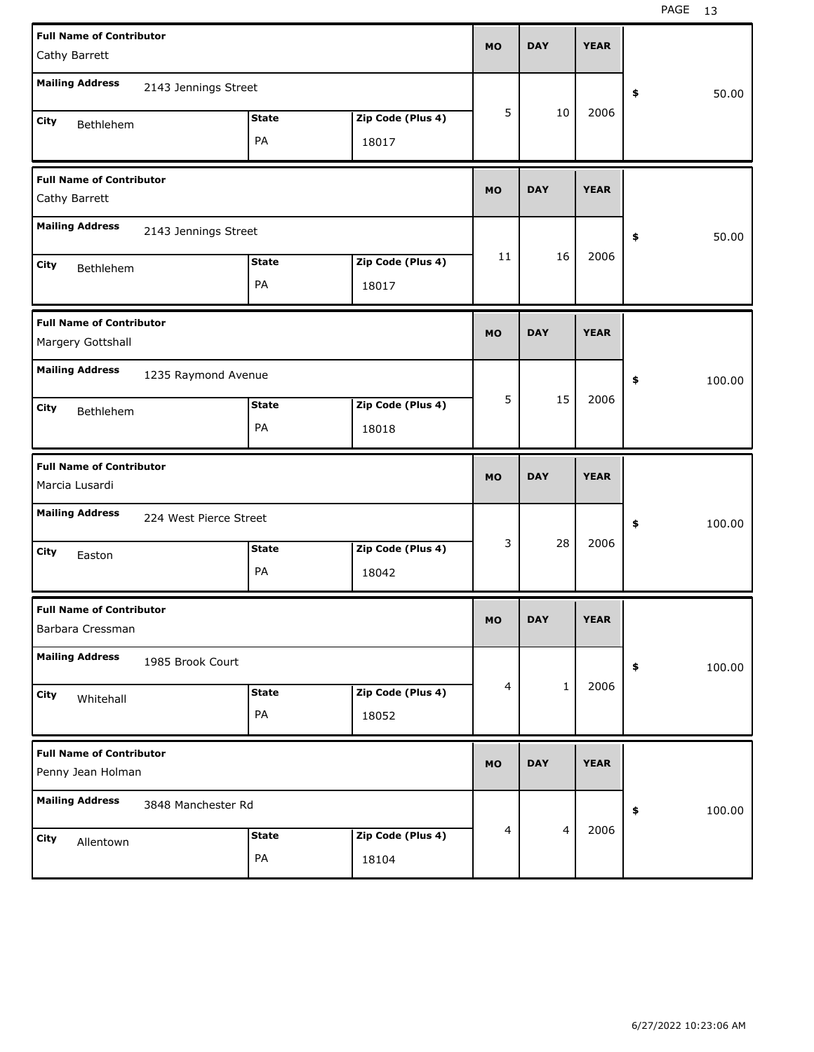| <b>Full Name of Contributor</b><br>Cathy Barrett     |                        |                    |                            | <b>MO</b> | <b>DAY</b>  | <b>YEAR</b> |             |        |
|------------------------------------------------------|------------------------|--------------------|----------------------------|-----------|-------------|-------------|-------------|--------|
| <b>Mailing Address</b>                               | 2143 Jennings Street   |                    |                            |           |             |             | \$          | 50.00  |
| City<br>Bethlehem                                    |                        | <b>State</b><br>PA | Zip Code (Plus 4)<br>18017 | 5         | 10          | 2006        |             |        |
| <b>Full Name of Contributor</b><br>Cathy Barrett     |                        |                    |                            | <b>MO</b> | <b>DAY</b>  | <b>YEAR</b> |             |        |
| <b>Mailing Address</b>                               | 2143 Jennings Street   |                    |                            |           |             |             | \$          | 50.00  |
| City<br>Bethlehem                                    |                        | <b>State</b><br>PA | Zip Code (Plus 4)<br>18017 | 11        | 16          | 2006        |             |        |
| <b>Full Name of Contributor</b><br>Margery Gottshall |                        |                    |                            | <b>MO</b> | <b>DAY</b>  | <b>YEAR</b> |             |        |
| <b>Mailing Address</b>                               | 1235 Raymond Avenue    |                    |                            |           |             |             | \$          | 100.00 |
| City<br>Bethlehem                                    |                        | <b>State</b><br>PA | Zip Code (Plus 4)<br>18018 | 5         | 15          | 2006        |             |        |
|                                                      |                        |                    |                            |           |             |             |             |        |
| <b>Full Name of Contributor</b><br>Marcia Lusardi    |                        |                    |                            | <b>MO</b> | <b>DAY</b>  | <b>YEAR</b> |             |        |
| <b>Mailing Address</b>                               | 224 West Pierce Street |                    |                            |           |             |             | \$          | 100.00 |
| City<br>Easton                                       |                        | <b>State</b><br>PA | Zip Code (Plus 4)<br>18042 | 3         | 28          | 2006        |             |        |
| <b>Full Name of Contributor</b><br>Barbara Cressman  |                        |                    |                            | <b>MO</b> | <b>DAY</b>  | <b>YEAR</b> |             |        |
| <b>Mailing Address</b>                               | 1985 Brook Court       |                    |                            |           |             |             | $\clubsuit$ | 100.00 |
| City<br>Whitehall                                    |                        | <b>State</b><br>PA | Zip Code (Plus 4)<br>18052 | 4         | $\mathbf 1$ | 2006        |             |        |
| <b>Full Name of Contributor</b><br>Penny Jean Holman |                        |                    |                            | <b>MO</b> | <b>DAY</b>  | <b>YEAR</b> |             |        |
| <b>Mailing Address</b>                               | 3848 Manchester Rd     |                    |                            |           | 4           | 2006        | \$          | 100.00 |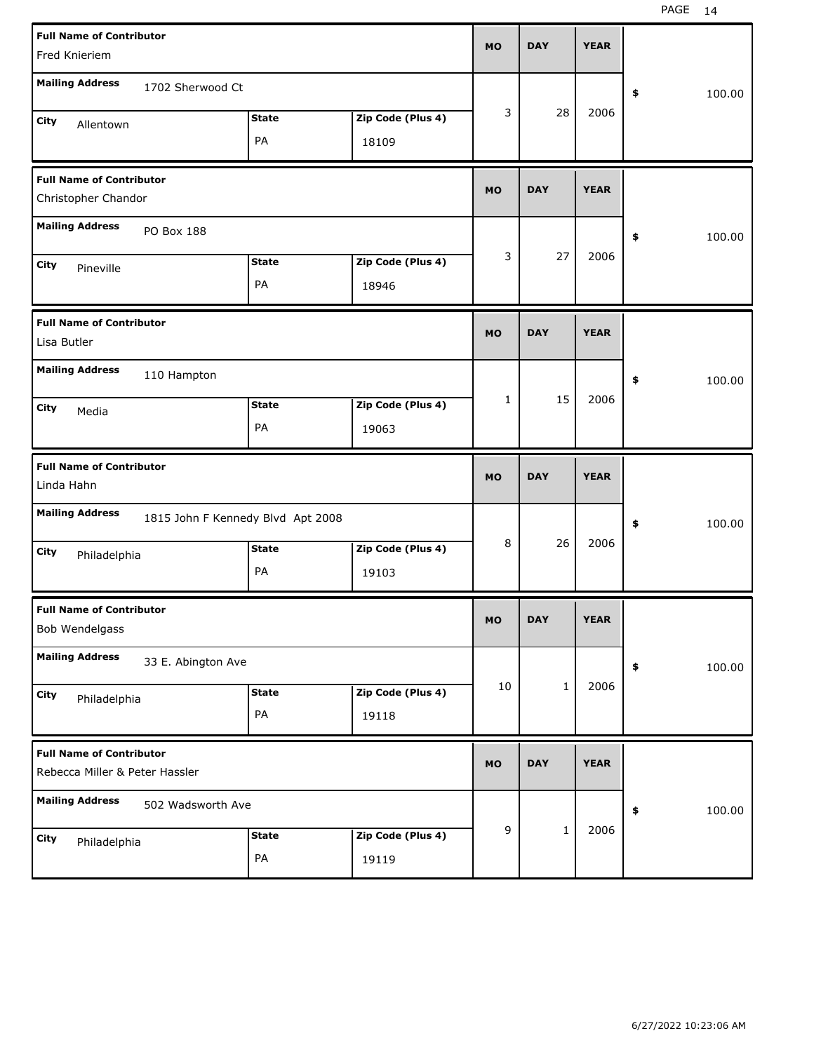| <b>Full Name of Contributor</b><br>Fred Knieriem                  |                                   |                            | <b>MO</b> | <b>DAY</b>   | <b>YEAR</b> |              |
|-------------------------------------------------------------------|-----------------------------------|----------------------------|-----------|--------------|-------------|--------------|
| <b>Mailing Address</b><br>1702 Sherwood Ct                        |                                   |                            |           |              |             | \$<br>100.00 |
| City<br>Allentown                                                 | <b>State</b><br>PA                | Zip Code (Plus 4)<br>18109 | 3         | 28           | 2006        |              |
| <b>Full Name of Contributor</b><br>Christopher Chandor            |                                   |                            | <b>MO</b> | <b>DAY</b>   | <b>YEAR</b> |              |
| <b>Mailing Address</b><br>PO Box 188                              |                                   |                            |           |              |             | \$<br>100.00 |
| City<br>Pineville                                                 | <b>State</b><br>PA                | Zip Code (Plus 4)<br>18946 | 3         | 27           | 2006        |              |
| <b>Full Name of Contributor</b><br>Lisa Butler                    |                                   |                            | <b>MO</b> | <b>DAY</b>   | <b>YEAR</b> |              |
| <b>Mailing Address</b><br>110 Hampton                             |                                   |                            |           |              |             | 100.00<br>\$ |
| City<br>Media                                                     | <b>State</b><br>PA                | Zip Code (Plus 4)<br>19063 | 1         | 15           | 2006        |              |
|                                                                   |                                   |                            |           |              |             |              |
| <b>Full Name of Contributor</b><br>Linda Hahn                     |                                   |                            | <b>MO</b> | <b>DAY</b>   | <b>YEAR</b> |              |
| <b>Mailing Address</b>                                            | 1815 John F Kennedy Blvd Apt 2008 |                            |           |              |             | \$<br>100.00 |
| City<br>Philadelphia                                              | <b>State</b><br>PA                | Zip Code (Plus 4)<br>19103 | 8         | 26           | 2006        |              |
| <b>Full Name of Contributor</b><br>Bob Wendelgass                 |                                   |                            | <b>MO</b> | <b>DAY</b>   | <b>YEAR</b> |              |
| <b>Mailing Address</b><br>33 E. Abington Ave                      |                                   |                            |           |              |             | 100.00<br>\$ |
| City<br>Philadelphia                                              | <b>State</b><br>PA                | Zip Code (Plus 4)<br>19118 | 10        | $\mathbf{1}$ | 2006        |              |
| <b>Full Name of Contributor</b><br>Rebecca Miller & Peter Hassler |                                   |                            | <b>MO</b> | <b>DAY</b>   | <b>YEAR</b> |              |
| <b>Mailing Address</b><br>502 Wadsworth Ave                       |                                   |                            | 9         | $\mathbf 1$  | 2006        | 100.00<br>\$ |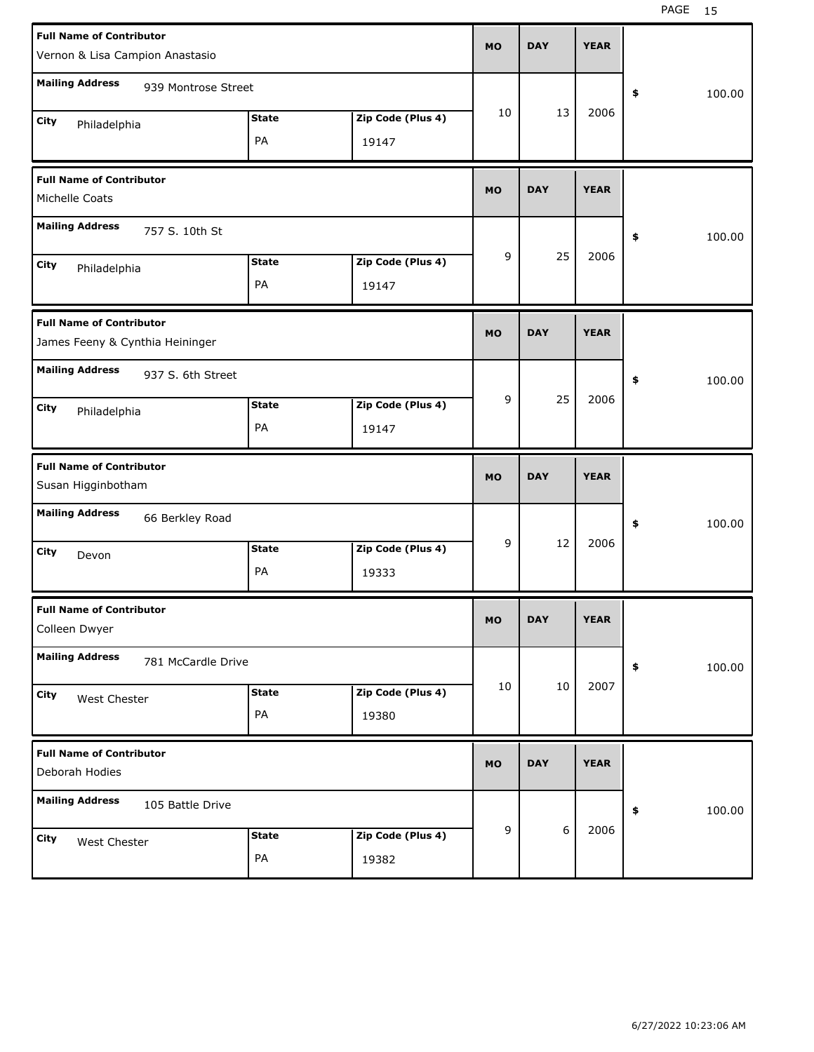| <b>Full Name of Contributor</b><br>Vernon & Lisa Campion Anastasio  |                    |                            | <b>MO</b>      | <b>DAY</b> | <b>YEAR</b> |              |
|---------------------------------------------------------------------|--------------------|----------------------------|----------------|------------|-------------|--------------|
| <b>Mailing Address</b><br>939 Montrose Street                       |                    |                            |                |            |             | 100.00<br>\$ |
| City<br>Philadelphia                                                | <b>State</b><br>PA | Zip Code (Plus 4)<br>19147 | 10             | 13         | 2006        |              |
| <b>Full Name of Contributor</b><br>Michelle Coats                   |                    |                            | <b>MO</b>      | <b>DAY</b> | <b>YEAR</b> |              |
| <b>Mailing Address</b><br>757 S. 10th St                            |                    |                            |                |            |             | \$<br>100.00 |
| City<br>Philadelphia                                                | <b>State</b><br>PA | Zip Code (Plus 4)<br>19147 | 9              | 25         | 2006        |              |
| <b>Full Name of Contributor</b><br>James Feeny & Cynthia Heininger  |                    |                            | <b>MO</b>      | <b>DAY</b> | <b>YEAR</b> |              |
| <b>Mailing Address</b><br>937 S. 6th Street<br>City<br>Philadelphia | <b>State</b><br>PA | Zip Code (Plus 4)<br>19147 | 9              | 25         | 2006        | \$<br>100.00 |
|                                                                     |                    |                            |                |            |             |              |
| <b>Full Name of Contributor</b><br>Susan Higginbotham               |                    |                            | <b>MO</b>      | <b>DAY</b> | <b>YEAR</b> |              |
| <b>Mailing Address</b><br>66 Berkley Road                           |                    |                            |                |            |             | \$<br>100.00 |
| City<br>Devon                                                       | <b>State</b><br>PA | Zip Code (Plus 4)<br>19333 | 9              | 12         | 2006        |              |
| <b>Full Name of Contributor</b><br>Colleen Dwyer                    |                    |                            | MO             | <b>DAY</b> | <b>YEAR</b> |              |
| <b>Mailing Address</b><br>781 McCardle Drive                        |                    |                            |                |            |             | 100.00<br>\$ |
| City<br>West Chester                                                | <b>State</b><br>PA | Zip Code (Plus 4)<br>19380 | 10             | 10         | 2007        |              |
| <b>Full Name of Contributor</b><br>Deborah Hodies                   |                    |                            | <b>MO</b>      | <b>DAY</b> | <b>YEAR</b> |              |
| <b>Mailing Address</b><br>105 Battle Drive                          |                    |                            | $\overline{9}$ | $6\,$      | 2006        | 100.00<br>\$ |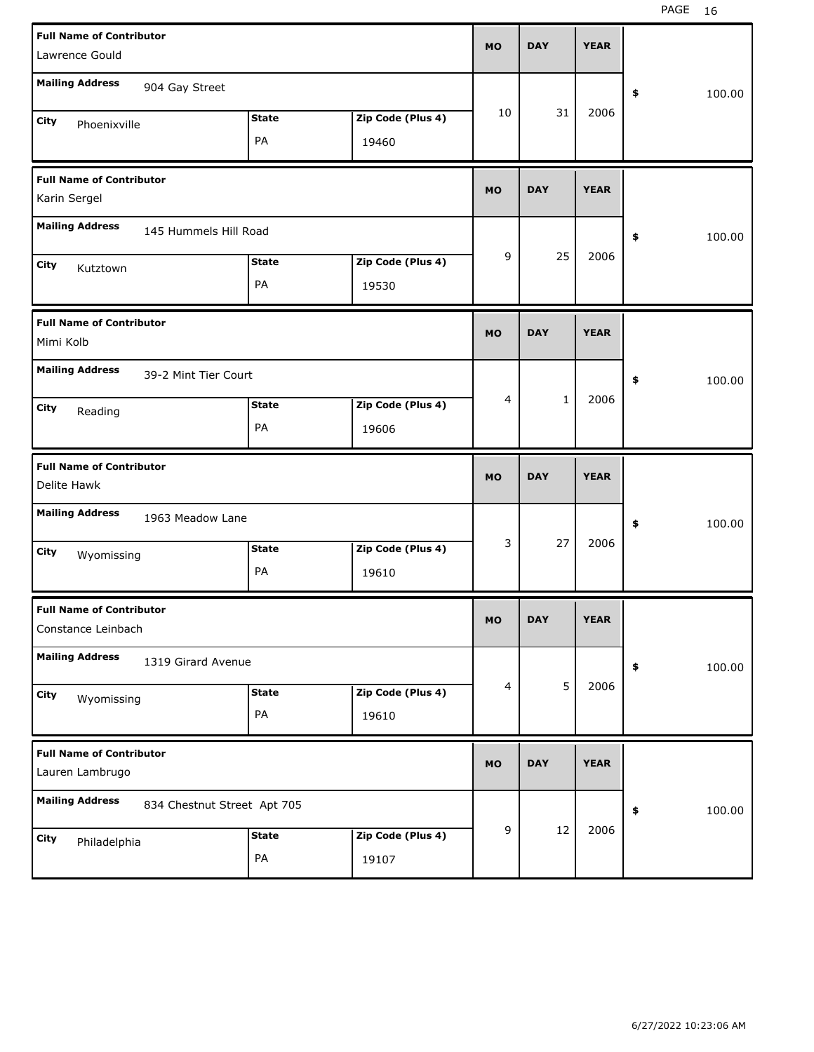| <b>Full Name of Contributor</b><br>Lawrence Gould     |                    |                            | <b>MO</b>      | <b>DAY</b>   | <b>YEAR</b> |              |
|-------------------------------------------------------|--------------------|----------------------------|----------------|--------------|-------------|--------------|
| <b>Mailing Address</b><br>904 Gay Street              |                    |                            |                |              |             | \$<br>100.00 |
| City<br>Phoenixville                                  | <b>State</b><br>PA | Zip Code (Plus 4)<br>19460 | 10             | 31           | 2006        |              |
| <b>Full Name of Contributor</b><br>Karin Sergel       |                    |                            | <b>MO</b>      | <b>DAY</b>   | <b>YEAR</b> |              |
| <b>Mailing Address</b><br>145 Hummels Hill Road       |                    |                            |                |              |             | \$<br>100.00 |
| City<br>Kutztown                                      | <b>State</b><br>PA | Zip Code (Plus 4)<br>19530 | 9              | 25           | 2006        |              |
| <b>Full Name of Contributor</b><br>Mimi Kolb          |                    |                            | <b>MO</b>      | <b>DAY</b>   | <b>YEAR</b> |              |
| <b>Mailing Address</b><br>39-2 Mint Tier Court        |                    |                            |                |              |             | \$<br>100.00 |
| <b>City</b><br>Reading                                | <b>State</b><br>PA | Zip Code (Plus 4)<br>19606 | $\overline{4}$ | $\mathbf{1}$ | 2006        |              |
|                                                       |                    |                            |                |              |             |              |
| <b>Full Name of Contributor</b><br>Delite Hawk        |                    |                            | <b>MO</b>      | <b>DAY</b>   | <b>YEAR</b> |              |
| <b>Mailing Address</b><br>1963 Meadow Lane            |                    |                            |                |              |             | \$<br>100.00 |
| City<br>Wyomissing                                    | <b>State</b><br>PA | Zip Code (Plus 4)<br>19610 | 3              | 27           | 2006        |              |
| <b>Full Name of Contributor</b><br>Constance Leinbach |                    |                            | <b>MO</b>      | <b>DAY</b>   | YEAR        |              |
| <b>Mailing Address</b><br>1319 Girard Avenue          |                    |                            |                |              |             | 100.00<br>\$ |
| City<br>Wyomissing                                    | <b>State</b><br>PA | Zip Code (Plus 4)<br>19610 | 4              | 5            | 2006        |              |
| <b>Full Name of Contributor</b><br>Lauren Lambrugo    |                    |                            | <b>MO</b>      | <b>DAY</b>   | <b>YEAR</b> |              |
| <b>Mailing Address</b><br>834 Chestnut Street Apt 705 |                    |                            | $\mathsf g$    | 12           | 2006        | 100.00<br>\$ |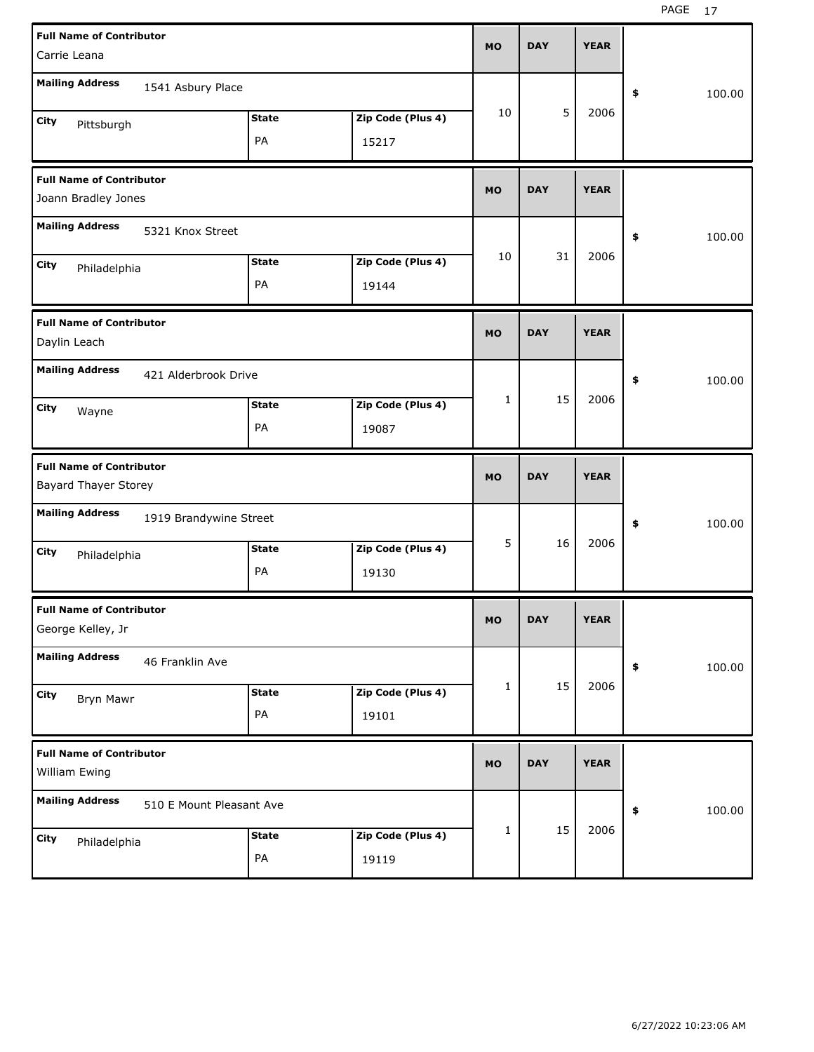| <b>Full Name of Contributor</b><br>Carrie Leana         |                            | <b>MO</b> | <b>DAY</b> | <b>YEAR</b> |              |
|---------------------------------------------------------|----------------------------|-----------|------------|-------------|--------------|
| <b>Mailing Address</b><br>1541 Asbury Place             |                            |           |            |             | 100.00<br>\$ |
| <b>State</b><br>City<br>Pittsburgh<br>PA                | Zip Code (Plus 4)<br>15217 | 10        | 5          | 2006        |              |
| <b>Full Name of Contributor</b><br>Joann Bradley Jones  |                            | <b>MO</b> | <b>DAY</b> | <b>YEAR</b> |              |
| <b>Mailing Address</b><br>5321 Knox Street              |                            |           |            |             | 100.00<br>\$ |
| <b>State</b><br>City<br>Philadelphia<br>PA              | Zip Code (Plus 4)<br>19144 | 10        | 31         | 2006        |              |
| <b>Full Name of Contributor</b><br>Daylin Leach         |                            | <b>MO</b> | <b>DAY</b> | <b>YEAR</b> |              |
| <b>Mailing Address</b><br>421 Alderbrook Drive          |                            |           |            |             | 100.00<br>\$ |
| <b>State</b><br>City<br>Wayne<br>PA                     | Zip Code (Plus 4)<br>19087 | 1         | 15         | 2006        |              |
|                                                         |                            |           |            |             |              |
| <b>Full Name of Contributor</b><br>Bayard Thayer Storey |                            | <b>MO</b> | <b>DAY</b> | <b>YEAR</b> |              |
| <b>Mailing Address</b><br>1919 Brandywine Street        |                            |           |            |             | 100.00<br>\$ |
| <b>State</b><br>City<br>Philadelphia<br>PA              | Zip Code (Plus 4)<br>19130 | 5         | 16         | 2006        |              |
| <b>Full Name of Contributor</b><br>George Kelley, Jr    |                            | MO        | <b>DAY</b> | <b>YEAR</b> |              |
| <b>Mailing Address</b><br>46 Franklin Ave               |                            |           |            |             | 100.00<br>\$ |
| <b>State</b><br>City<br>Bryn Mawr<br>PA                 | Zip Code (Plus 4)<br>19101 | 1         | 15         | 2006        |              |
| <b>Full Name of Contributor</b><br>William Ewing        |                            | <b>MO</b> | <b>DAY</b> | <b>YEAR</b> |              |
| <b>Mailing Address</b><br>510 E Mount Pleasant Ave      |                            |           | 15         | 2006        | 100.00<br>\$ |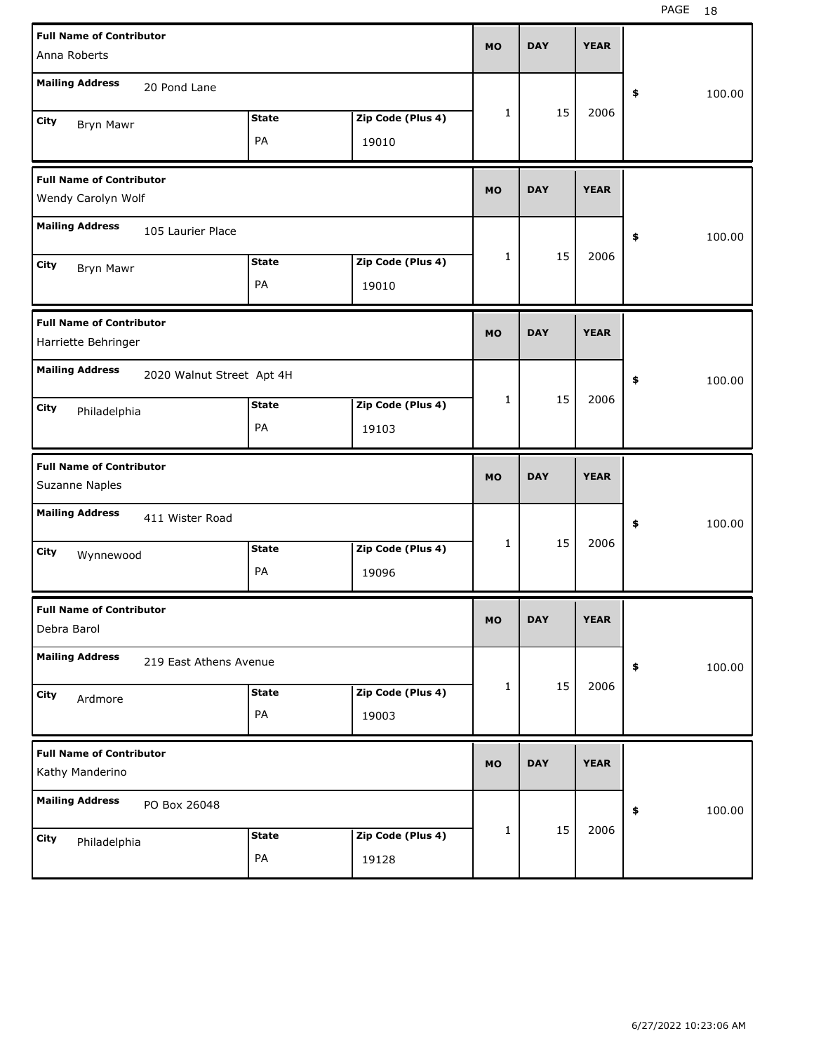| <b>Full Name of Contributor</b><br>Anna Roberts        |                           |              |                   | <b>MO</b> | <b>DAY</b> | <b>YEAR</b> |              |
|--------------------------------------------------------|---------------------------|--------------|-------------------|-----------|------------|-------------|--------------|
|                                                        |                           |              |                   |           |            |             |              |
| <b>Mailing Address</b>                                 | 20 Pond Lane              |              |                   |           |            |             | \$<br>100.00 |
| City<br>Bryn Mawr                                      |                           | <b>State</b> | Zip Code (Plus 4) | 1         | 15         | 2006        |              |
|                                                        |                           | PA           | 19010             |           |            |             |              |
| <b>Full Name of Contributor</b><br>Wendy Carolyn Wolf  |                           |              |                   | <b>MO</b> | <b>DAY</b> | <b>YEAR</b> |              |
| <b>Mailing Address</b>                                 | 105 Laurier Place         |              |                   |           |            |             | \$<br>100.00 |
| City<br>Bryn Mawr                                      |                           | <b>State</b> | Zip Code (Plus 4) | 1         | 15         | 2006        |              |
|                                                        |                           | PA           | 19010             |           |            |             |              |
| <b>Full Name of Contributor</b><br>Harriette Behringer |                           |              |                   | <b>MO</b> | <b>DAY</b> | <b>YEAR</b> |              |
| <b>Mailing Address</b>                                 | 2020 Walnut Street Apt 4H |              |                   |           |            |             | \$<br>100.00 |
| City<br>Philadelphia                                   |                           | <b>State</b> | Zip Code (Plus 4) | 1         | 15         | 2006        |              |
|                                                        |                           | PA           | 19103             |           |            |             |              |
|                                                        |                           |              |                   |           |            |             |              |
| <b>Full Name of Contributor</b><br>Suzanne Naples      |                           |              |                   | <b>MO</b> | <b>DAY</b> | <b>YEAR</b> |              |
| <b>Mailing Address</b>                                 | 411 Wister Road           |              |                   |           |            |             | \$<br>100.00 |
| City                                                   |                           | <b>State</b> | Zip Code (Plus 4) | 1         | 15         | 2006        |              |
| Wynnewood                                              |                           | PA           | 19096             |           |            |             |              |
| <b>Full Name of Contributor</b><br>Debra Barol         |                           |              |                   | <b>MO</b> | <b>DAY</b> | <b>YEAR</b> |              |
| <b>Mailing Address</b>                                 | 219 East Athens Avenue    |              |                   |           |            |             | \$<br>100.00 |
| City                                                   |                           | <b>State</b> | Zip Code (Plus 4) | 1         | 15         | 2006        |              |
| Ardmore                                                |                           | PA           | 19003             |           |            |             |              |
| <b>Full Name of Contributor</b><br>Kathy Manderino     |                           |              |                   | MO        | <b>DAY</b> | <b>YEAR</b> |              |
| <b>Mailing Address</b>                                 | PO Box 26048              |              |                   |           |            |             | \$<br>100.00 |
| City<br>Philadelphia                                   |                           | <b>State</b> | Zip Code (Plus 4) | 1         | 15         | 2006        |              |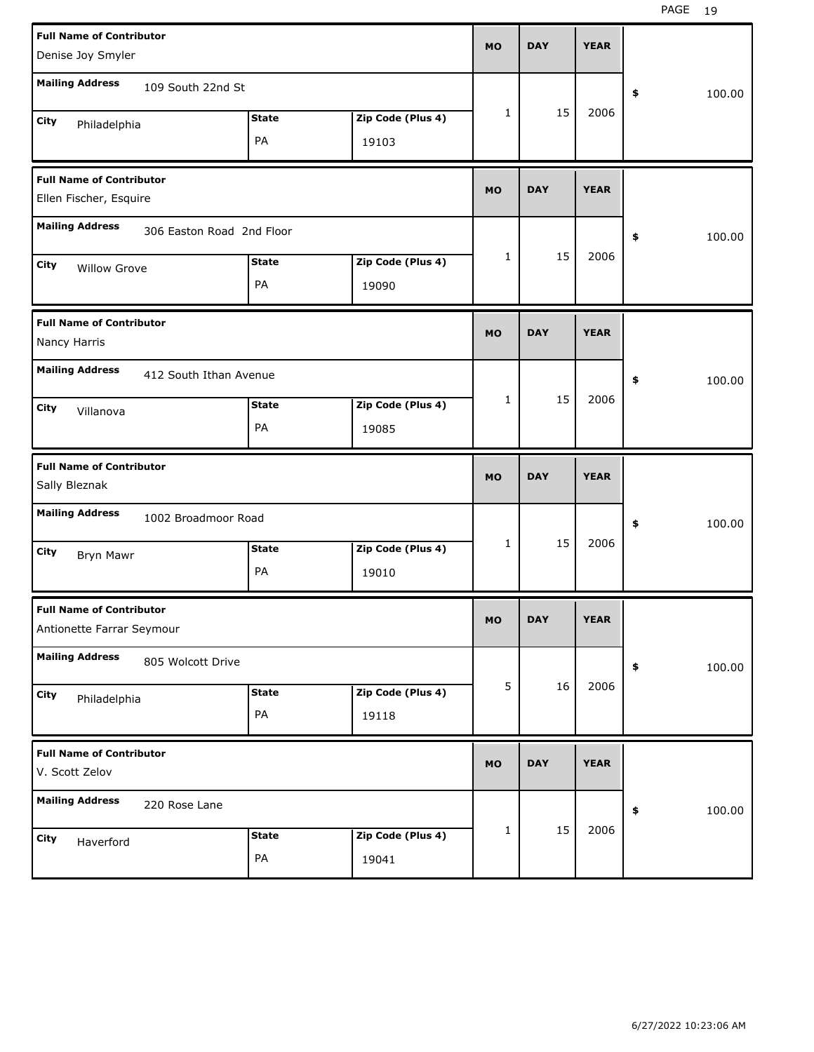| <b>Full Name of Contributor</b><br>Denise Joy Smyler         |              |                   | <b>MO</b> | <b>DAY</b> | <b>YEAR</b> |              |
|--------------------------------------------------------------|--------------|-------------------|-----------|------------|-------------|--------------|
|                                                              |              |                   |           |            |             |              |
| <b>Mailing Address</b><br>109 South 22nd St                  |              |                   |           |            |             | \$<br>100.00 |
| City<br>Philadelphia                                         | <b>State</b> | Zip Code (Plus 4) | 1         | 15         | 2006        |              |
|                                                              | PA           | 19103             |           |            |             |              |
| <b>Full Name of Contributor</b>                              |              |                   | <b>MO</b> | <b>DAY</b> | <b>YEAR</b> |              |
| Ellen Fischer, Esquire                                       |              |                   |           |            |             |              |
| <b>Mailing Address</b><br>306 Easton Road 2nd Floor          |              |                   |           |            |             | \$<br>100.00 |
| City<br><b>Willow Grove</b>                                  | <b>State</b> | Zip Code (Plus 4) | 1         | 15         | 2006        |              |
|                                                              | PA           | 19090             |           |            |             |              |
| <b>Full Name of Contributor</b>                              |              |                   | <b>MO</b> | <b>DAY</b> | <b>YEAR</b> |              |
| Nancy Harris                                                 |              |                   |           |            |             |              |
| <b>Mailing Address</b><br>412 South Ithan Avenue             |              |                   |           |            |             | \$<br>100.00 |
| City<br>Villanova                                            | <b>State</b> | Zip Code (Plus 4) | 1         | 15         | 2006        |              |
|                                                              | PA           | 19085             |           |            |             |              |
|                                                              |              |                   |           |            |             |              |
| <b>Full Name of Contributor</b><br>Sally Bleznak             |              |                   | <b>MO</b> | <b>DAY</b> | <b>YEAR</b> |              |
| <b>Mailing Address</b><br>1002 Broadmoor Road                |              |                   |           |            |             | \$<br>100.00 |
| City                                                         | <b>State</b> | Zip Code (Plus 4) | 1         | 15         | 2006        |              |
| Bryn Mawr                                                    | PA           | 19010             |           |            |             |              |
| <b>Full Name of Contributor</b><br>Antionette Farrar Seymour |              |                   | МO        | <b>DAY</b> | <b>YEAR</b> |              |
| <b>Mailing Address</b><br>805 Wolcott Drive                  |              |                   |           |            |             | \$<br>100.00 |
| City                                                         | <b>State</b> | Zip Code (Plus 4) | 5         | 16         | 2006        |              |
| Philadelphia                                                 | PA           | 19118             |           |            |             |              |
| <b>Full Name of Contributor</b><br>V. Scott Zelov            |              |                   | <b>MO</b> | <b>DAY</b> | <b>YEAR</b> |              |
| <b>Mailing Address</b><br>220 Rose Lane                      |              |                   |           |            |             | \$<br>100.00 |
| City<br>Haverford                                            | <b>State</b> | Zip Code (Plus 4) | 1         | 15         | 2006        |              |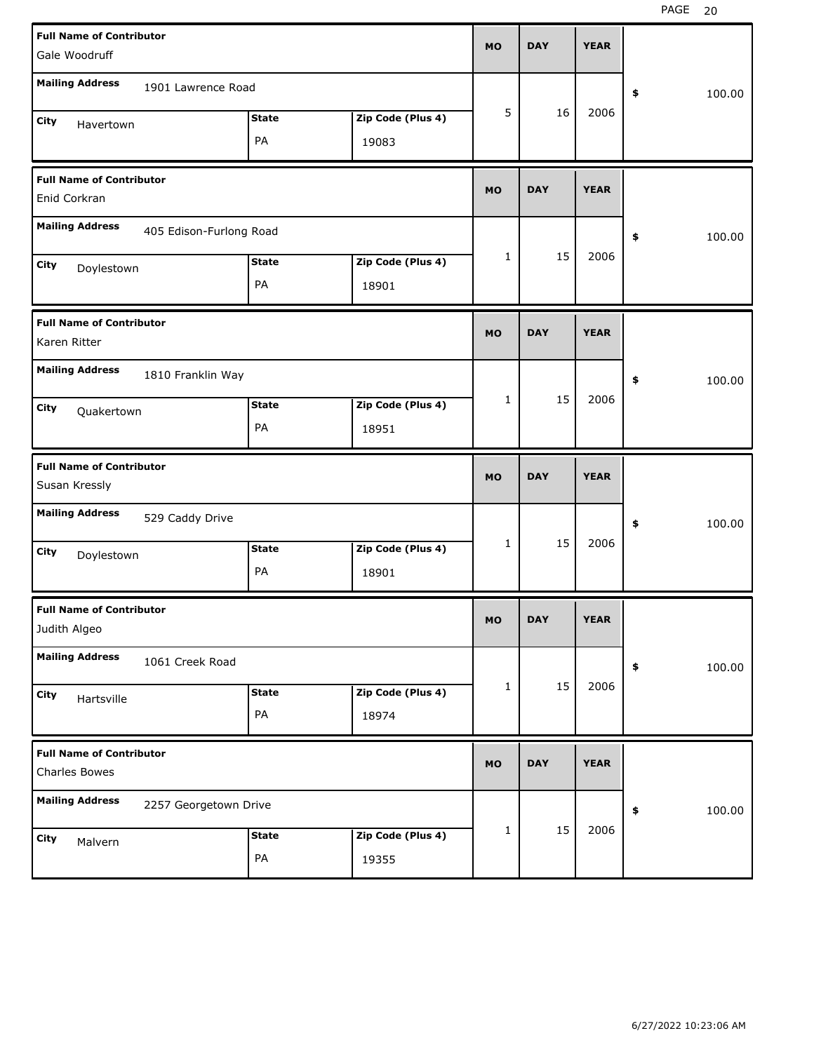| <b>Full Name of Contributor</b>                  |                         |              |                   |           | <b>DAY</b> | <b>YEAR</b> |              |
|--------------------------------------------------|-------------------------|--------------|-------------------|-----------|------------|-------------|--------------|
| Gale Woodruff                                    |                         |              |                   | <b>MO</b> |            |             |              |
| <b>Mailing Address</b>                           | 1901 Lawrence Road      |              |                   |           |            |             | \$<br>100.00 |
| City<br>Havertown                                |                         | <b>State</b> | Zip Code (Plus 4) | 5         | 16         | 2006        |              |
|                                                  |                         | PA           | 19083             |           |            |             |              |
| <b>Full Name of Contributor</b><br>Enid Corkran  |                         |              |                   | <b>MO</b> | <b>DAY</b> | <b>YEAR</b> |              |
| <b>Mailing Address</b>                           | 405 Edison-Furlong Road |              |                   |           |            |             | \$<br>100.00 |
| City<br>Doylestown                               |                         | <b>State</b> | Zip Code (Plus 4) | 1         | 15         | 2006        |              |
|                                                  |                         | PA           | 18901             |           |            |             |              |
| <b>Full Name of Contributor</b><br>Karen Ritter  |                         |              |                   | <b>MO</b> | <b>DAY</b> | <b>YEAR</b> |              |
| <b>Mailing Address</b>                           | 1810 Franklin Way       |              |                   |           |            |             | \$<br>100.00 |
| City<br>Quakertown                               |                         | <b>State</b> | Zip Code (Plus 4) | 1         | 15         | 2006        |              |
|                                                  |                         | PA           | 18951             |           |            |             |              |
|                                                  |                         |              |                   |           |            |             |              |
| <b>Full Name of Contributor</b><br>Susan Kressly |                         |              |                   | <b>MO</b> | <b>DAY</b> | <b>YEAR</b> |              |
| <b>Mailing Address</b>                           | 529 Caddy Drive         |              |                   |           |            |             | \$<br>100.00 |
| City<br>Doylestown                               |                         | <b>State</b> | Zip Code (Plus 4) | 1         | 15         | 2006        |              |
|                                                  |                         | PA           | 18901             |           |            |             |              |
| <b>Full Name of Contributor</b><br>Judith Algeo  |                         |              |                   | MO        | <b>DAY</b> | <b>YEAR</b> |              |
| <b>Mailing Address</b>                           | 1061 Creek Road         |              |                   |           |            |             | \$<br>100.00 |
| City<br>Hartsville                               |                         | <b>State</b> | Zip Code (Plus 4) | 1         | 15         | 2006        |              |
|                                                  |                         | PA           | 18974             |           |            |             |              |
| <b>Full Name of Contributor</b><br>Charles Bowes |                         |              |                   | <b>MO</b> | <b>DAY</b> | <b>YEAR</b> |              |
| <b>Mailing Address</b>                           | 2257 Georgetown Drive   |              |                   |           |            |             | \$<br>100.00 |
| City<br>Malvern                                  |                         | <b>State</b> | Zip Code (Plus 4) | 1         | 15         | 2006        |              |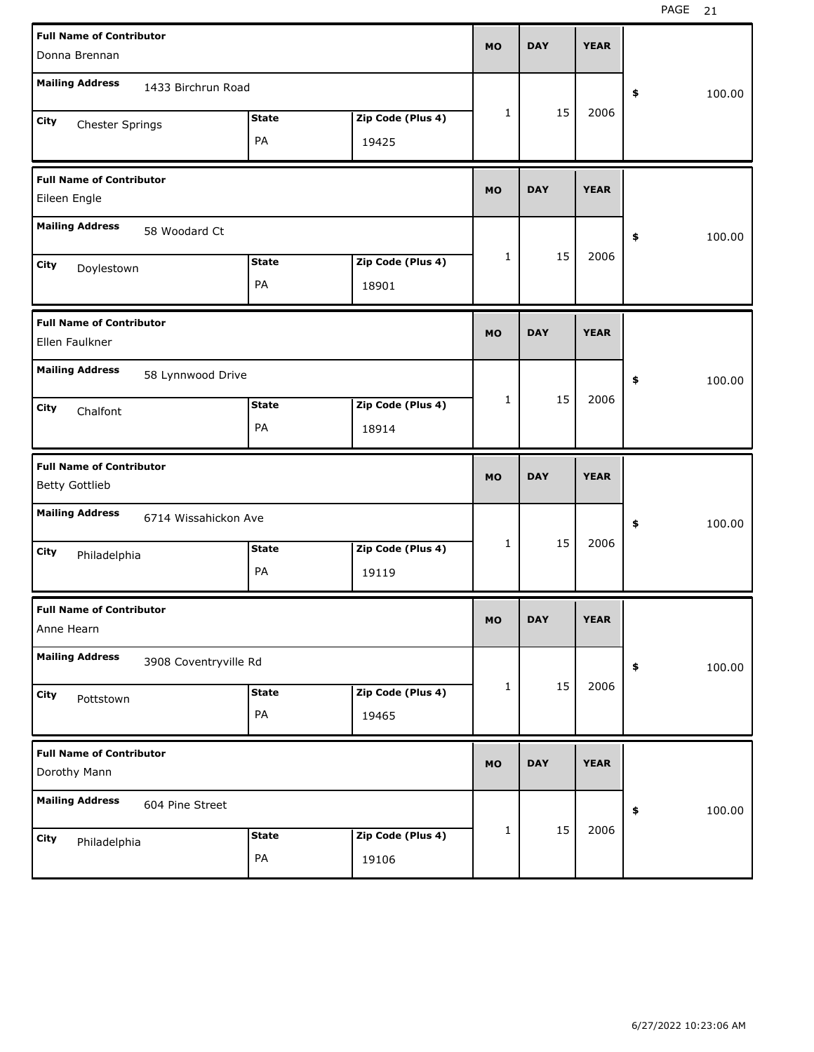| <b>Full Name of Contributor</b><br>Donna Brennan         |                            | <b>MO</b> | <b>DAY</b> | <b>YEAR</b> |              |
|----------------------------------------------------------|----------------------------|-----------|------------|-------------|--------------|
| <b>Mailing Address</b><br>1433 Birchrun Road             |                            |           |            |             | \$<br>100.00 |
| <b>State</b><br>City<br>Chester Springs<br>PA            | Zip Code (Plus 4)<br>19425 | 1         | 15         | 2006        |              |
| <b>Full Name of Contributor</b><br>Eileen Engle          |                            | <b>MO</b> | <b>DAY</b> | <b>YEAR</b> |              |
| <b>Mailing Address</b><br>58 Woodard Ct                  |                            |           |            |             | \$<br>100.00 |
| <b>State</b><br>City<br>Doylestown<br>PA                 | Zip Code (Plus 4)<br>18901 | 1         | 15         | 2006        |              |
| <b>Full Name of Contributor</b><br>Ellen Faulkner        |                            | <b>MO</b> | <b>DAY</b> | <b>YEAR</b> |              |
| <b>Mailing Address</b><br>58 Lynnwood Drive              |                            |           |            |             | \$<br>100.00 |
| <b>State</b><br>City<br>Chalfont<br>PA                   | Zip Code (Plus 4)<br>18914 | 1         | 15         | 2006        |              |
|                                                          |                            |           |            |             |              |
| <b>Full Name of Contributor</b><br><b>Betty Gottlieb</b> |                            | <b>MO</b> | <b>DAY</b> | <b>YEAR</b> |              |
| <b>Mailing Address</b><br>6714 Wissahickon Ave           |                            |           |            |             | \$<br>100.00 |
| <b>State</b><br>City<br>Philadelphia<br>PA               | Zip Code (Plus 4)<br>19119 | 1         | 15         | 2006        |              |
| <b>Full Name of Contributor</b><br>Anne Hearn            |                            | <b>MO</b> | <b>DAY</b> | <b>YEAR</b> |              |
| <b>Mailing Address</b><br>3908 Coventryville Rd          |                            |           |            |             | 100.00<br>\$ |
| <b>State</b><br>City<br>Pottstown<br>PA                  | Zip Code (Plus 4)<br>19465 | 1         | 15         | 2006        |              |
| <b>Full Name of Contributor</b><br>Dorothy Mann          |                            | <b>MO</b> | <b>DAY</b> | <b>YEAR</b> |              |
| <b>Mailing Address</b><br>604 Pine Street                |                            |           | 15         | 2006        | 100.00<br>\$ |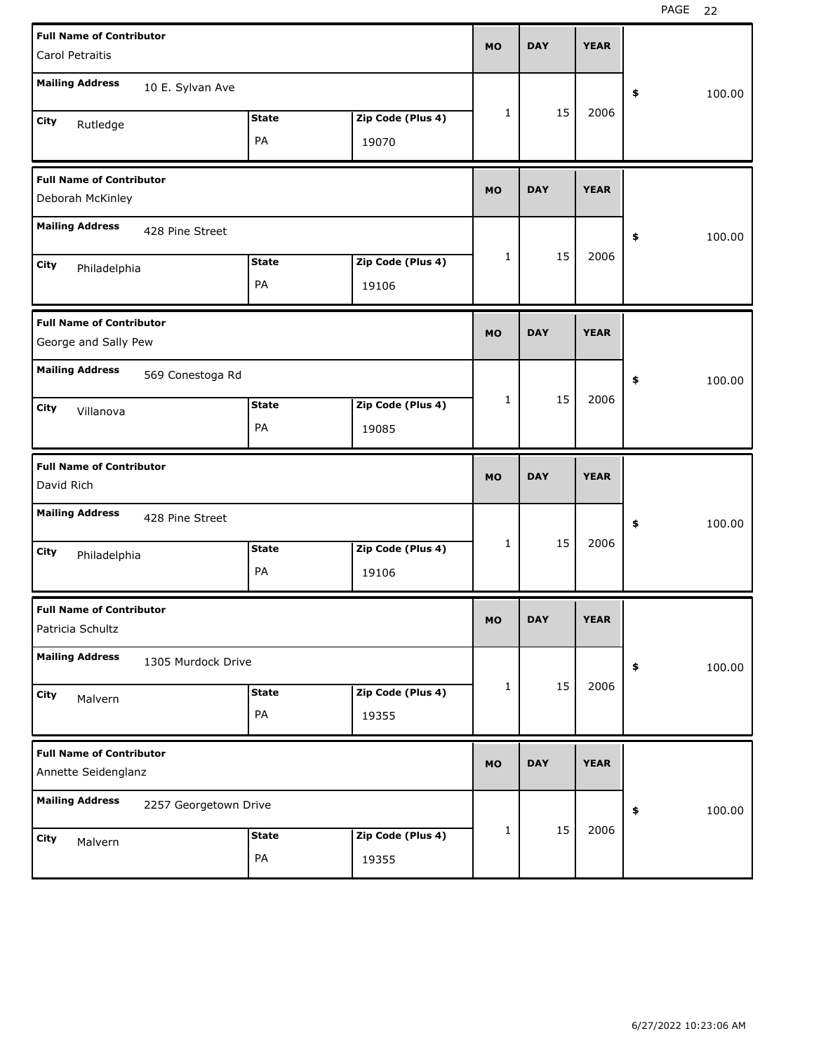| <b>Full Name of Contributor</b><br>Carol Petraitis      |                            | <b>MO</b> | <b>DAY</b> | <b>YEAR</b> |              |
|---------------------------------------------------------|----------------------------|-----------|------------|-------------|--------------|
| <b>Mailing Address</b><br>10 E. Sylvan Ave              |                            |           |            |             | \$<br>100.00 |
| <b>State</b><br>City<br>Rutledge<br>PA                  | Zip Code (Plus 4)<br>19070 | 1         | 15         | 2006        |              |
| <b>Full Name of Contributor</b><br>Deborah McKinley     |                            | <b>MO</b> | <b>DAY</b> | <b>YEAR</b> |              |
| <b>Mailing Address</b><br>428 Pine Street               |                            |           |            |             | \$<br>100.00 |
| <b>State</b><br>City<br>Philadelphia<br>PA              | Zip Code (Plus 4)<br>19106 | 1         | 15         | 2006        |              |
| <b>Full Name of Contributor</b><br>George and Sally Pew |                            | <b>MO</b> | <b>DAY</b> | <b>YEAR</b> |              |
| <b>Mailing Address</b><br>569 Conestoga Rd              |                            |           |            |             | \$<br>100.00 |
| <b>State</b><br>City<br>Villanova<br>PA                 | Zip Code (Plus 4)<br>19085 | 1         | 15         | 2006        |              |
|                                                         |                            |           |            |             |              |
| <b>Full Name of Contributor</b><br>David Rich           |                            | <b>MO</b> | <b>DAY</b> | <b>YEAR</b> |              |
| <b>Mailing Address</b><br>428 Pine Street               |                            |           |            |             | \$<br>100.00 |
| <b>State</b><br>City<br>Philadelphia<br>PA              | Zip Code (Plus 4)<br>19106 | 1         | 15         | 2006        |              |
| <b>Full Name of Contributor</b><br>Patricia Schultz     |                            | <b>MO</b> | <b>DAY</b> | <b>YEAR</b> |              |
| <b>Mailing Address</b><br>1305 Murdock Drive            |                            |           |            |             | 100.00<br>\$ |
| <b>State</b><br>City<br>Malvern<br>PA                   | Zip Code (Plus 4)<br>19355 | 1         | 15         | 2006        |              |
| <b>Full Name of Contributor</b><br>Annette Seidenglanz  |                            | <b>MO</b> | <b>DAY</b> | <b>YEAR</b> |              |
| <b>Mailing Address</b><br>2257 Georgetown Drive         |                            |           | 15         | 2006        | 100.00<br>\$ |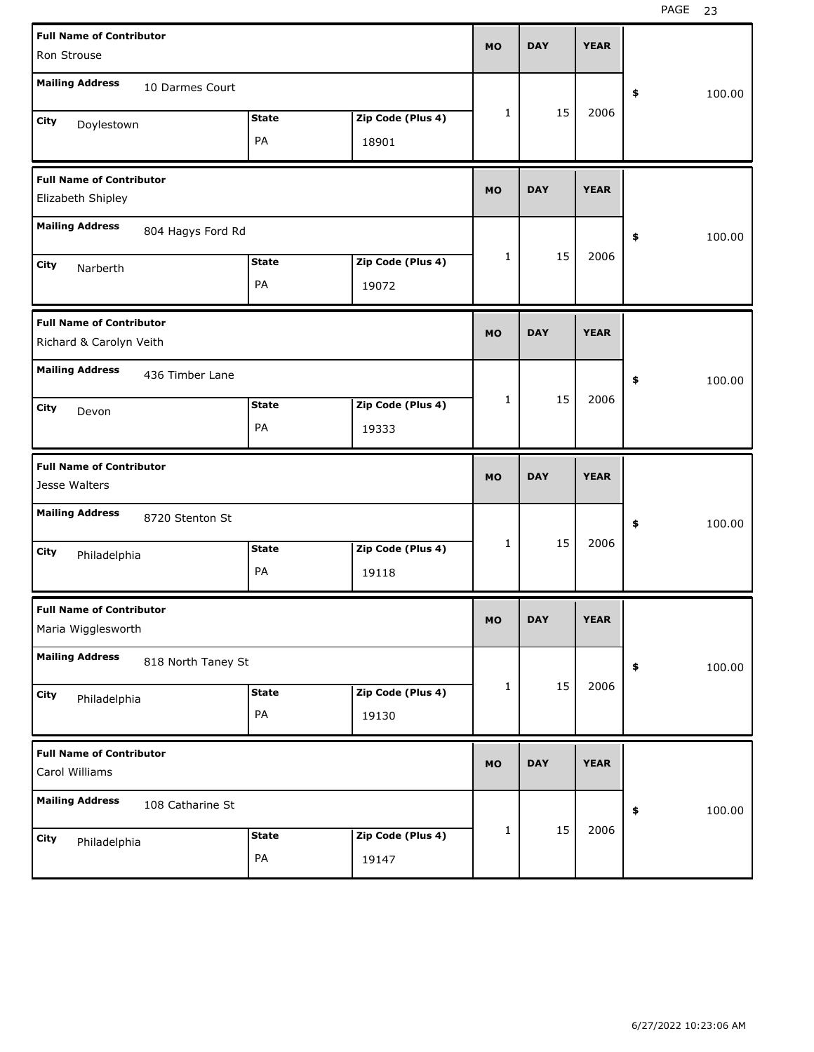| <b>Full Name of Contributor</b><br>Ron Strouse                           | <b>MO</b>    | <b>DAY</b> | <b>YEAR</b> |              |
|--------------------------------------------------------------------------|--------------|------------|-------------|--------------|
| <b>Mailing Address</b><br>10 Darmes Court                                |              |            |             | \$<br>100.00 |
| Zip Code (Plus 4)<br><b>State</b><br>City<br>Doylestown<br>PA<br>18901   | 1            | 15         | 2006        |              |
| <b>Full Name of Contributor</b><br>Elizabeth Shipley                     | <b>MO</b>    | <b>DAY</b> | <b>YEAR</b> |              |
| <b>Mailing Address</b><br>804 Hagys Ford Rd                              |              |            |             | \$<br>100.00 |
| Zip Code (Plus 4)<br><b>State</b><br>City<br>Narberth<br>PA<br>19072     | 1            | 15         | 2006        |              |
| <b>Full Name of Contributor</b><br>Richard & Carolyn Veith               | <b>MO</b>    | <b>DAY</b> | <b>YEAR</b> |              |
| <b>Mailing Address</b><br>436 Timber Lane                                |              |            |             | \$<br>100.00 |
| Zip Code (Plus 4)<br><b>State</b><br>City<br>Devon<br>PA<br>19333        | $\mathbf{1}$ | 15         | 2006        |              |
|                                                                          |              |            |             |              |
| <b>Full Name of Contributor</b><br>Jesse Walters                         | <b>MO</b>    | <b>DAY</b> | <b>YEAR</b> |              |
| <b>Mailing Address</b><br>8720 Stenton St                                |              |            |             | \$<br>100.00 |
| Zip Code (Plus 4)<br><b>State</b><br>City<br>Philadelphia<br>PA<br>19118 | $\mathbf{1}$ | 15         | 2006        |              |
| <b>Full Name of Contributor</b><br>Maria Wigglesworth                    | <b>MO</b>    | <b>DAY</b> | <b>YEAR</b> |              |
| <b>Mailing Address</b><br>818 North Taney St                             |              |            |             | 100.00<br>\$ |
| Zip Code (Plus 4)<br><b>State</b><br>City<br>Philadelphia<br>PA<br>19130 | 1            | 15         | 2006        |              |
| <b>Full Name of Contributor</b><br>Carol Williams                        | <b>MO</b>    | <b>DAY</b> | <b>YEAR</b> |              |
| <b>Mailing Address</b><br>108 Catharine St                               |              | 15         | 2006        | 100.00<br>\$ |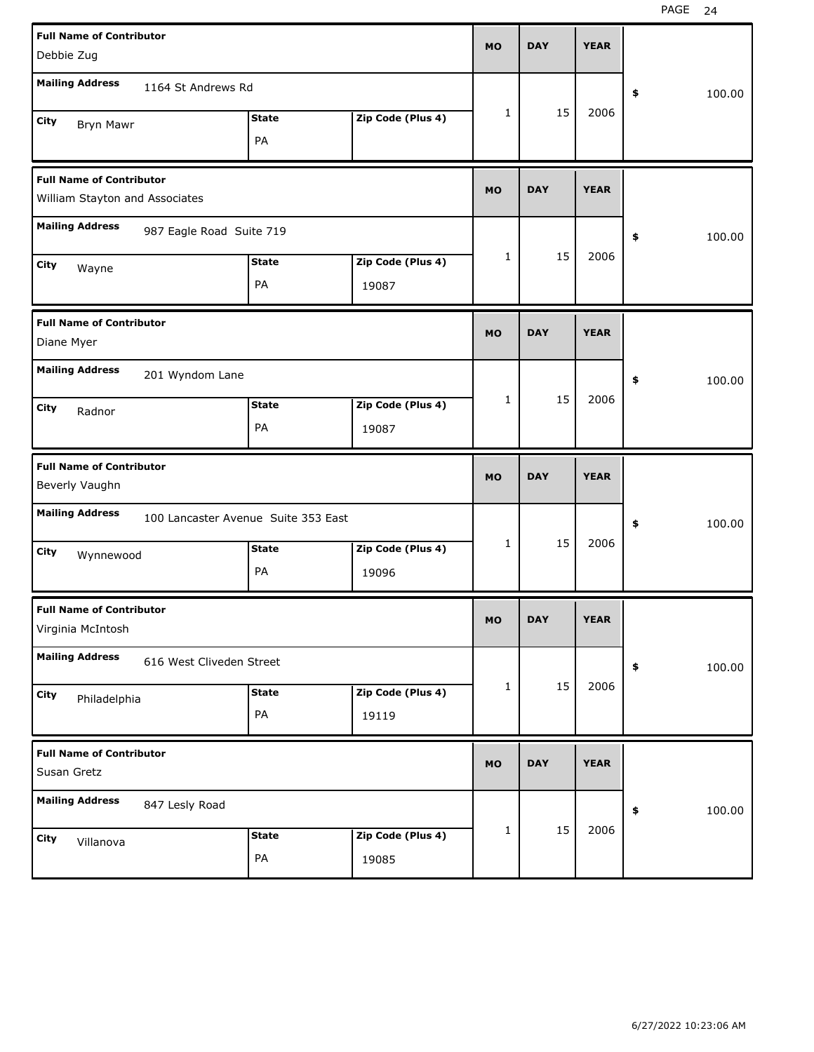| <b>Full Name of Contributor</b>                                   |                                     |              |                   | <b>MO</b> | <b>DAY</b> | <b>YEAR</b> |              |
|-------------------------------------------------------------------|-------------------------------------|--------------|-------------------|-----------|------------|-------------|--------------|
| Debbie Zug                                                        |                                     |              |                   |           |            |             |              |
| <b>Mailing Address</b>                                            | 1164 St Andrews Rd                  |              |                   |           |            |             | \$<br>100.00 |
| City<br>Bryn Mawr                                                 |                                     | <b>State</b> | Zip Code (Plus 4) | 1         | 15         | 2006        |              |
|                                                                   |                                     | PA           |                   |           |            |             |              |
| <b>Full Name of Contributor</b><br>William Stayton and Associates |                                     |              |                   | <b>MO</b> | <b>DAY</b> | <b>YEAR</b> |              |
| <b>Mailing Address</b>                                            |                                     |              |                   |           |            |             |              |
|                                                                   | 987 Eagle Road Suite 719            |              |                   |           |            |             | \$<br>100.00 |
| City<br>Wayne                                                     |                                     | <b>State</b> | Zip Code (Plus 4) | 1         | 15         | 2006        |              |
|                                                                   |                                     | PA           | 19087             |           |            |             |              |
| <b>Full Name of Contributor</b><br>Diane Myer                     |                                     |              |                   | <b>MO</b> | <b>DAY</b> | <b>YEAR</b> |              |
| <b>Mailing Address</b>                                            | 201 Wyndom Lane                     |              |                   |           |            |             | \$<br>100.00 |
| City<br>Radnor                                                    |                                     | <b>State</b> | Zip Code (Plus 4) | 1         | 15         | 2006        |              |
|                                                                   |                                     | PA           | 19087             |           |            |             |              |
|                                                                   |                                     |              |                   |           |            |             |              |
| <b>Full Name of Contributor</b><br>Beverly Vaughn                 |                                     |              |                   | <b>MO</b> | <b>DAY</b> | <b>YEAR</b> |              |
| <b>Mailing Address</b>                                            | 100 Lancaster Avenue Suite 353 East |              |                   |           |            |             | \$<br>100.00 |
| City                                                              |                                     | <b>State</b> | Zip Code (Plus 4) | 1         | 15         | 2006        |              |
| Wynnewood                                                         |                                     | PA           | 19096             |           |            |             |              |
| <b>Full Name of Contributor</b><br>Virginia McIntosh              |                                     |              |                   | <b>MO</b> | <b>DAY</b> | <b>YEAR</b> |              |
| <b>Mailing Address</b>                                            | 616 West Cliveden Street            |              |                   |           |            |             | \$<br>100.00 |
|                                                                   |                                     | <b>State</b> | Zip Code (Plus 4) | 1         | 15         | 2006        |              |
| City<br>Philadelphia                                              |                                     | PA           | 19119             |           |            |             |              |
| <b>Full Name of Contributor</b><br>Susan Gretz                    |                                     |              |                   | <b>MO</b> | <b>DAY</b> | <b>YEAR</b> |              |
| <b>Mailing Address</b>                                            | 847 Lesly Road                      |              |                   |           |            |             | \$<br>100.00 |
|                                                                   |                                     | <b>State</b> | Zip Code (Plus 4) | 1         | 15         | 2006        |              |
| City<br>Villanova                                                 |                                     | PA           | 19085             |           |            |             |              |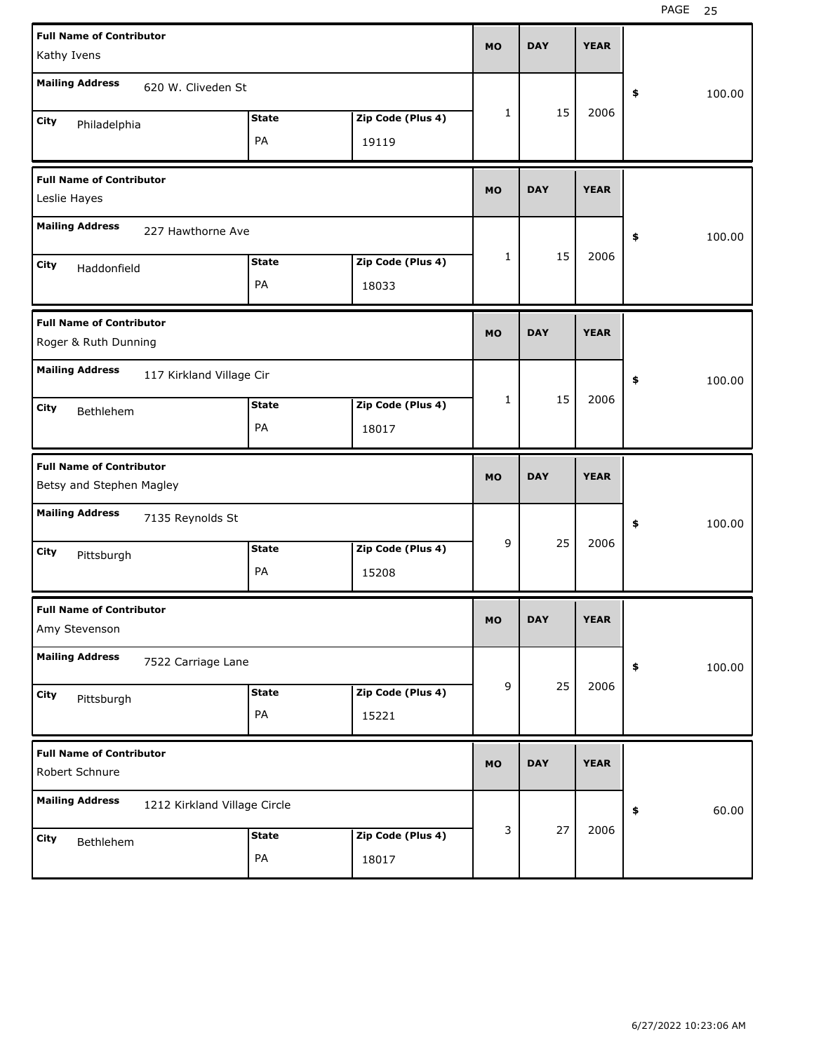| <b>Full Name of Contributor</b>                             |                              |              |                   | <b>MO</b> | <b>DAY</b> | <b>YEAR</b> |              |
|-------------------------------------------------------------|------------------------------|--------------|-------------------|-----------|------------|-------------|--------------|
| Kathy Ivens                                                 |                              |              |                   |           |            |             |              |
| <b>Mailing Address</b>                                      | 620 W. Cliveden St           |              |                   |           |            |             | \$<br>100.00 |
| City<br>Philadelphia                                        |                              | <b>State</b> | Zip Code (Plus 4) | 1         | 15         | 2006        |              |
|                                                             |                              | PA           | 19119             |           |            |             |              |
| <b>Full Name of Contributor</b><br>Leslie Hayes             |                              |              |                   | <b>MO</b> | <b>DAY</b> | <b>YEAR</b> |              |
| <b>Mailing Address</b>                                      | 227 Hawthorne Ave            |              |                   |           |            |             | \$<br>100.00 |
| City<br>Haddonfield                                         |                              | <b>State</b> | Zip Code (Plus 4) | 1         | 15         | 2006        |              |
|                                                             |                              | PA           | 18033             |           |            |             |              |
| <b>Full Name of Contributor</b><br>Roger & Ruth Dunning     |                              |              |                   | <b>MO</b> | <b>DAY</b> | <b>YEAR</b> |              |
| <b>Mailing Address</b>                                      | 117 Kirkland Village Cir     |              |                   |           |            |             | \$<br>100.00 |
| City<br>Bethlehem                                           |                              | <b>State</b> | Zip Code (Plus 4) | 1         | 15         | 2006        |              |
|                                                             |                              | PA           | 18017             |           |            |             |              |
|                                                             |                              |              |                   |           |            |             |              |
| <b>Full Name of Contributor</b><br>Betsy and Stephen Magley |                              |              |                   | <b>MO</b> | <b>DAY</b> | <b>YEAR</b> |              |
| <b>Mailing Address</b>                                      | 7135 Reynolds St             |              |                   |           |            |             | \$<br>100.00 |
| City                                                        |                              | <b>State</b> | Zip Code (Plus 4) | 9         | 25         | 2006        |              |
| Pittsburgh                                                  |                              | PA           | 15208             |           |            |             |              |
| <b>Full Name of Contributor</b><br>Amy Stevenson            |                              |              |                   | MO        | <b>DAY</b> | <b>YEAR</b> |              |
| <b>Mailing Address</b>                                      | 7522 Carriage Lane           |              |                   |           |            |             | \$<br>100.00 |
| City<br>Pittsburgh                                          |                              | <b>State</b> | Zip Code (Plus 4) | 9         | 25         | 2006        |              |
|                                                             |                              | PA           | 15221             |           |            |             |              |
| <b>Full Name of Contributor</b><br>Robert Schnure           |                              |              |                   | <b>MO</b> | <b>DAY</b> | <b>YEAR</b> |              |
| <b>Mailing Address</b>                                      | 1212 Kirkland Village Circle |              |                   |           |            |             | \$<br>60.00  |
| City<br>Bethlehem                                           |                              | <b>State</b> | Zip Code (Plus 4) | 3         | 27         | 2006        |              |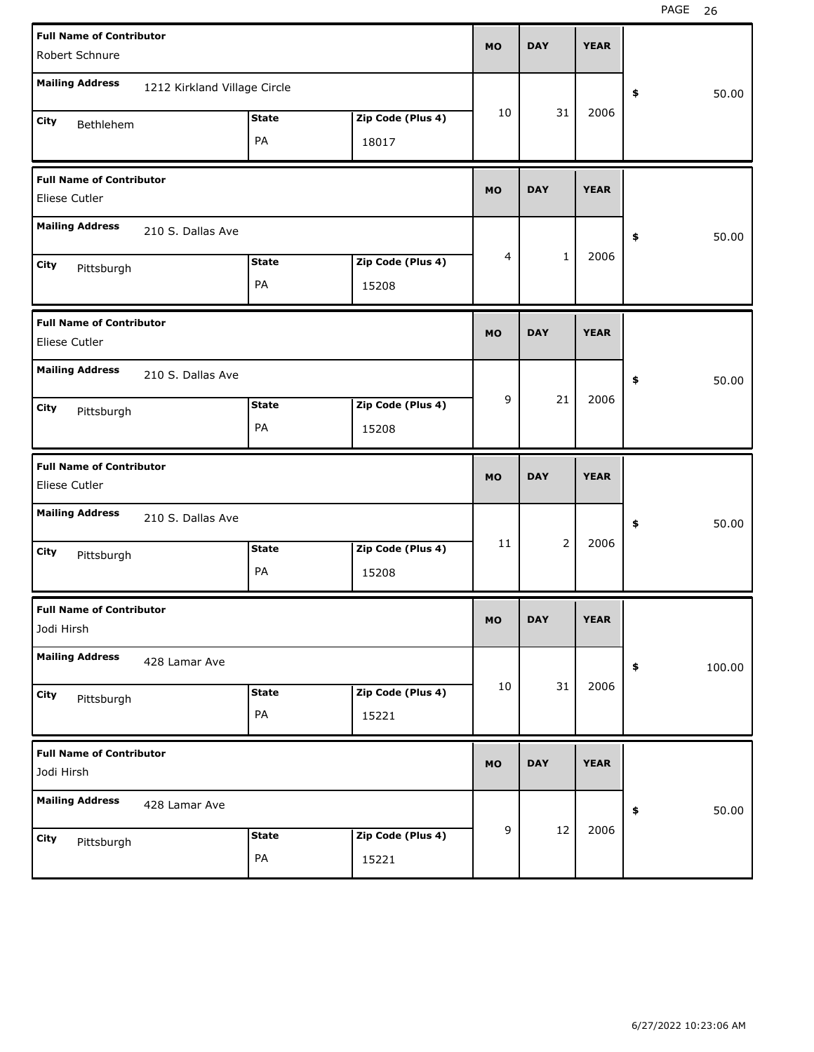| <b>Full Name of Contributor</b>                  |                              |              |                   | <b>MO</b> | <b>DAY</b>     | <b>YEAR</b> |              |
|--------------------------------------------------|------------------------------|--------------|-------------------|-----------|----------------|-------------|--------------|
| Robert Schnure                                   |                              |              |                   |           |                |             |              |
| <b>Mailing Address</b>                           | 1212 Kirkland Village Circle |              |                   |           |                |             | \$<br>50.00  |
| City<br>Bethlehem                                |                              | <b>State</b> | Zip Code (Plus 4) | 10        | 31             | 2006        |              |
|                                                  |                              | PA           | 18017             |           |                |             |              |
| <b>Full Name of Contributor</b><br>Eliese Cutler |                              |              |                   | <b>MO</b> | <b>DAY</b>     | <b>YEAR</b> |              |
| <b>Mailing Address</b>                           | 210 S. Dallas Ave            |              |                   |           |                |             | \$<br>50.00  |
| City<br>Pittsburgh                               |                              | <b>State</b> | Zip Code (Plus 4) | 4         | $\mathbf{1}$   | 2006        |              |
|                                                  |                              | PA           | 15208             |           |                |             |              |
| <b>Full Name of Contributor</b><br>Eliese Cutler |                              |              |                   | <b>MO</b> | <b>DAY</b>     | <b>YEAR</b> |              |
| <b>Mailing Address</b>                           | 210 S. Dallas Ave            |              |                   |           |                |             | \$<br>50.00  |
| City<br>Pittsburgh                               |                              | <b>State</b> | Zip Code (Plus 4) | 9         | 21             | 2006        |              |
|                                                  |                              | PA           | 15208             |           |                |             |              |
|                                                  |                              |              |                   |           |                |             |              |
| <b>Full Name of Contributor</b><br>Eliese Cutler |                              |              |                   | <b>MO</b> | <b>DAY</b>     | <b>YEAR</b> |              |
| <b>Mailing Address</b>                           | 210 S. Dallas Ave            |              |                   |           |                |             | \$<br>50.00  |
| City                                             |                              | <b>State</b> | Zip Code (Plus 4) | 11        | $\overline{2}$ | 2006        |              |
| Pittsburgh                                       |                              | PA           | 15208             |           |                |             |              |
| <b>Full Name of Contributor</b><br>Jodi Hirsh    |                              |              |                   | МO        | <b>DAY</b>     | <b>YEAR</b> |              |
| <b>Mailing Address</b>                           | 428 Lamar Ave                |              |                   |           |                |             | \$<br>100.00 |
| City                                             |                              | <b>State</b> | Zip Code (Plus 4) | 10        | 31             | 2006        |              |
| Pittsburgh                                       |                              | PA           | 15221             |           |                |             |              |
| <b>Full Name of Contributor</b><br>Jodi Hirsh    |                              |              |                   | <b>MO</b> | <b>DAY</b>     | <b>YEAR</b> |              |
| <b>Mailing Address</b>                           | 428 Lamar Ave                |              |                   |           |                |             | \$<br>50.00  |
| City<br>Pittsburgh                               |                              | <b>State</b> | Zip Code (Plus 4) | 9         | 12             | 2006        |              |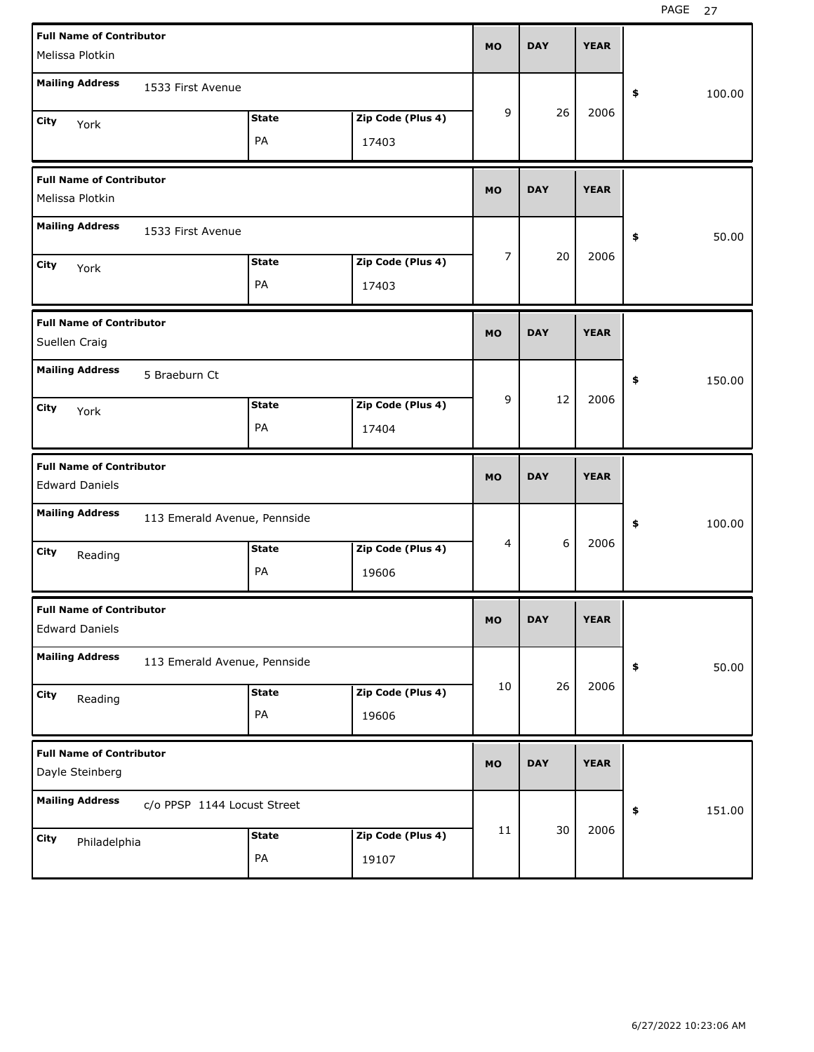| <b>Full Name of Contributor</b>                    |                              |              |                   | <b>MO</b> | <b>DAY</b> | <b>YEAR</b> |              |
|----------------------------------------------------|------------------------------|--------------|-------------------|-----------|------------|-------------|--------------|
| Melissa Plotkin                                    |                              |              |                   |           |            |             |              |
| <b>Mailing Address</b>                             | 1533 First Avenue            |              |                   |           |            |             | \$<br>100.00 |
| City<br>York                                       |                              | <b>State</b> | Zip Code (Plus 4) | 9         | 26         | 2006        |              |
|                                                    |                              | PA           | 17403             |           |            |             |              |
| <b>Full Name of Contributor</b>                    |                              |              |                   | <b>MO</b> | <b>DAY</b> | <b>YEAR</b> |              |
| Melissa Plotkin                                    |                              |              |                   |           |            |             |              |
| <b>Mailing Address</b>                             | 1533 First Avenue            |              |                   |           |            |             | \$<br>50.00  |
| City<br>York                                       |                              | <b>State</b> | Zip Code (Plus 4) | 7         | 20         | 2006        |              |
|                                                    |                              | PA           | 17403             |           |            |             |              |
| <b>Full Name of Contributor</b>                    |                              |              |                   | <b>MO</b> | <b>DAY</b> | <b>YEAR</b> |              |
| Suellen Craig                                      |                              |              |                   |           |            |             |              |
| <b>Mailing Address</b>                             | 5 Braeburn Ct                |              |                   |           |            |             | \$<br>150.00 |
| City<br>York                                       |                              | <b>State</b> | Zip Code (Plus 4) | 9         | 12         | 2006        |              |
|                                                    |                              | PA           | 17404             |           |            |             |              |
|                                                    |                              |              |                   |           |            |             |              |
| <b>Full Name of Contributor</b>                    |                              |              |                   | <b>MO</b> | <b>DAY</b> | <b>YEAR</b> |              |
| <b>Edward Daniels</b>                              |                              |              |                   |           |            |             |              |
| <b>Mailing Address</b>                             | 113 Emerald Avenue, Pennside |              |                   |           |            |             | \$<br>100.00 |
| City<br>Reading                                    |                              | <b>State</b> | Zip Code (Plus 4) | 4         | 6          | 2006        |              |
|                                                    |                              | PA           | 19606             |           |            |             |              |
| <b>Full Name of Contributor</b>                    |                              |              |                   | <b>MO</b> | <b>DAY</b> | <b>YEAR</b> |              |
| <b>Edward Daniels</b>                              |                              |              |                   |           |            |             |              |
| <b>Mailing Address</b>                             | 113 Emerald Avenue, Pennside |              |                   |           |            |             | 50.00<br>\$  |
| City<br>Reading                                    |                              | <b>State</b> | Zip Code (Plus 4) | 10        | 26         | 2006        |              |
|                                                    |                              | PA           | 19606             |           |            |             |              |
| <b>Full Name of Contributor</b><br>Dayle Steinberg |                              |              |                   | <b>MO</b> | <b>DAY</b> | <b>YEAR</b> |              |
| <b>Mailing Address</b>                             | c/o PPSP 1144 Locust Street  |              |                   |           |            |             | 151.00<br>\$ |
| City<br>Philadelphia                               |                              | <b>State</b> | Zip Code (Plus 4) | 11        | 30         | 2006        |              |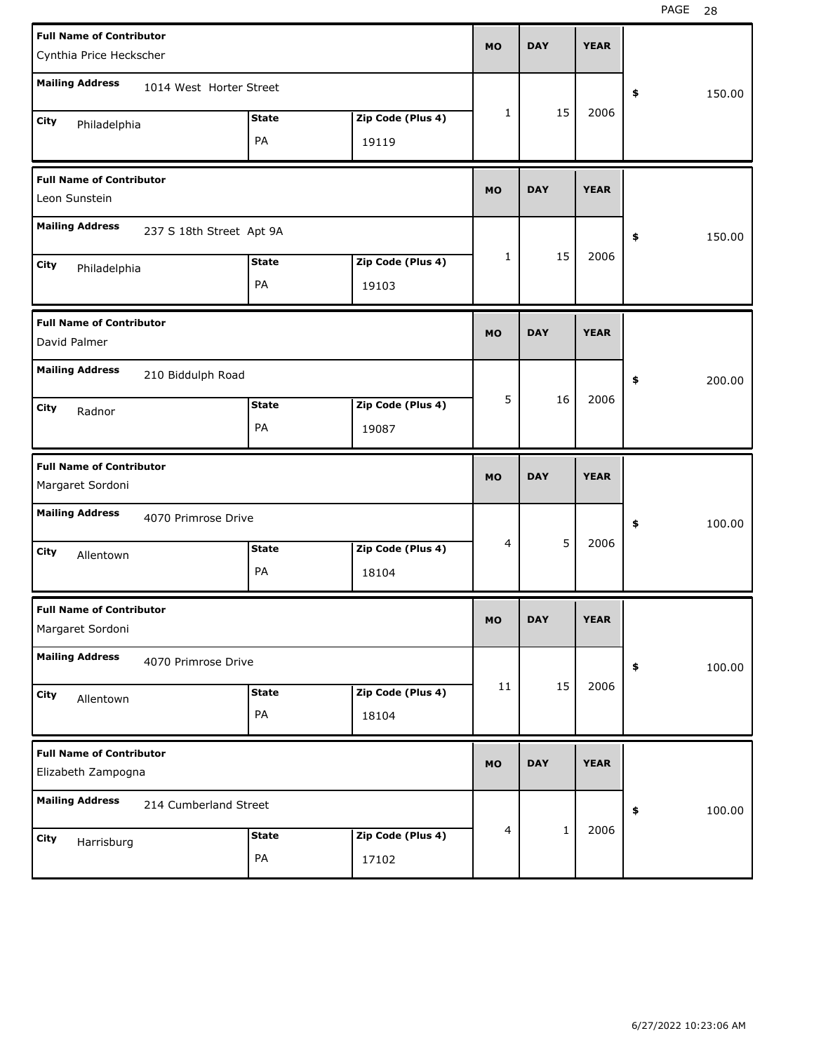| <b>Full Name of Contributor</b><br>Cynthia Price Heckscher |                          |                            | <b>MO</b>      | <b>DAY</b>  | <b>YEAR</b> |              |
|------------------------------------------------------------|--------------------------|----------------------------|----------------|-------------|-------------|--------------|
| <b>Mailing Address</b>                                     | 1014 West Horter Street  |                            |                |             |             | \$<br>150.00 |
| City<br>Philadelphia                                       | <b>State</b><br>PA       | Zip Code (Plus 4)<br>19119 | $\mathbf{1}$   | 15          | 2006        |              |
| <b>Full Name of Contributor</b><br>Leon Sunstein           |                          |                            | <b>MO</b>      | <b>DAY</b>  | <b>YEAR</b> |              |
| <b>Mailing Address</b>                                     | 237 S 18th Street Apt 9A |                            |                |             |             | \$<br>150.00 |
| City<br>Philadelphia                                       | <b>State</b><br>PA       | Zip Code (Plus 4)<br>19103 | $\mathbf{1}$   | 15          | 2006        |              |
| <b>Full Name of Contributor</b><br>David Palmer            |                          |                            | <b>MO</b>      | <b>DAY</b>  | <b>YEAR</b> |              |
| <b>Mailing Address</b>                                     | 210 Biddulph Road        |                            |                |             |             | 200.00<br>\$ |
| <b>City</b><br>Radnor                                      | <b>State</b><br>PA       | Zip Code (Plus 4)<br>19087 | 5              | 16          | 2006        |              |
|                                                            |                          |                            |                |             |             |              |
| <b>Full Name of Contributor</b><br>Margaret Sordoni        |                          |                            | <b>MO</b>      | <b>DAY</b>  | <b>YEAR</b> |              |
| <b>Mailing Address</b>                                     | 4070 Primrose Drive      |                            |                |             |             | \$<br>100.00 |
| City<br>Allentown                                          | <b>State</b><br>PA       | Zip Code (Plus 4)<br>18104 | 4              | 5           | 2006        |              |
| <b>Full Name of Contributor</b><br>Margaret Sordoni        |                          |                            | <b>MO</b>      | <b>DAY</b>  | YEAR        |              |
| <b>Mailing Address</b>                                     | 4070 Primrose Drive      |                            |                |             |             | \$<br>100.00 |
| City<br>Allentown                                          | <b>State</b><br>PA       | Zip Code (Plus 4)<br>18104 | 11             | 15          | 2006        |              |
| <b>Full Name of Contributor</b><br>Elizabeth Zampogna      |                          |                            | <b>MO</b>      | <b>DAY</b>  | <b>YEAR</b> |              |
| <b>Mailing Address</b>                                     | 214 Cumberland Street    |                            | $\overline{4}$ | $\mathbf 1$ | 2006        | 100.00<br>\$ |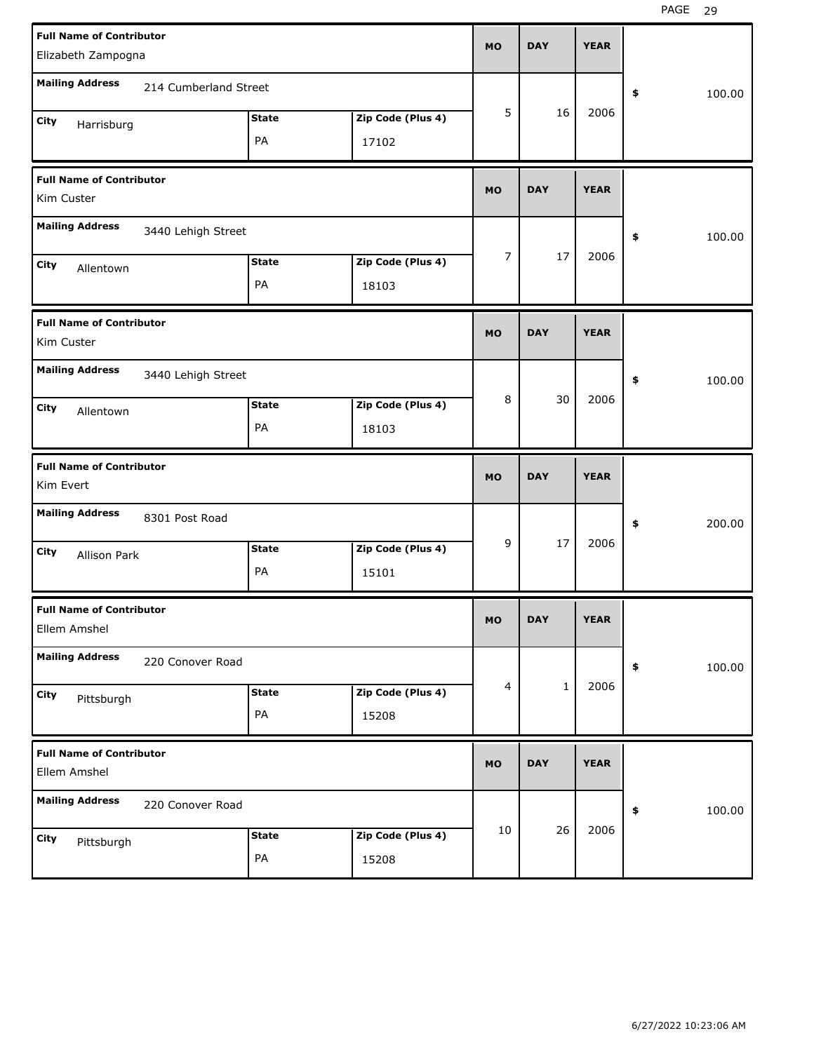| <b>Full Name of Contributor</b>                 |                       |              |                   | <b>MO</b> | <b>DAY</b>   | <b>YEAR</b> |            |        |
|-------------------------------------------------|-----------------------|--------------|-------------------|-----------|--------------|-------------|------------|--------|
| Elizabeth Zampogna                              |                       |              |                   |           |              |             |            |        |
| <b>Mailing Address</b>                          | 214 Cumberland Street |              |                   |           |              |             | \$         | 100.00 |
| City<br>Harrisburg                              |                       | <b>State</b> | Zip Code (Plus 4) | 5         | 16           | 2006        |            |        |
|                                                 |                       | PA           | 17102             |           |              |             |            |        |
| <b>Full Name of Contributor</b><br>Kim Custer   |                       |              |                   | <b>MO</b> | <b>DAY</b>   | <b>YEAR</b> |            |        |
| <b>Mailing Address</b>                          | 3440 Lehigh Street    |              |                   |           |              |             | \$         | 100.00 |
| City<br>Allentown                               |                       | <b>State</b> | Zip Code (Plus 4) | 7         | 17           | 2006        |            |        |
|                                                 |                       | PA           | 18103             |           |              |             |            |        |
| <b>Full Name of Contributor</b><br>Kim Custer   |                       |              |                   | <b>MO</b> | <b>DAY</b>   | <b>YEAR</b> |            |        |
| <b>Mailing Address</b>                          | 3440 Lehigh Street    |              |                   |           |              |             | \$         | 100.00 |
| City<br>Allentown                               |                       | <b>State</b> | Zip Code (Plus 4) | 8         | 30           | 2006        |            |        |
|                                                 |                       | PA           | 18103             |           |              |             |            |        |
|                                                 |                       |              |                   |           |              |             |            |        |
| <b>Full Name of Contributor</b><br>Kim Evert    |                       |              |                   | <b>MO</b> | <b>DAY</b>   | <b>YEAR</b> |            |        |
| <b>Mailing Address</b>                          | 8301 Post Road        |              |                   |           |              |             | \$         | 200.00 |
| City<br>Allison Park                            |                       | <b>State</b> | Zip Code (Plus 4) | 9         | 17           | 2006        |            |        |
|                                                 |                       | PA           | 15101             |           |              |             |            |        |
| <b>Full Name of Contributor</b><br>Ellem Amshel |                       |              |                   | <b>MO</b> | <b>DAY</b>   | <b>YEAR</b> |            |        |
| <b>Mailing Address</b>                          | 220 Conover Road      |              |                   |           |              |             | $\pmb{\$}$ | 100.00 |
| City                                            |                       | <b>State</b> | Zip Code (Plus 4) | 4         | $\mathbf{1}$ | 2006        |            |        |
| Pittsburgh                                      |                       | PA           | 15208             |           |              |             |            |        |
| <b>Full Name of Contributor</b><br>Ellem Amshel |                       |              |                   | <b>MO</b> | <b>DAY</b>   | <b>YEAR</b> |            |        |
| <b>Mailing Address</b>                          | 220 Conover Road      |              |                   |           |              |             | \$         | 100.00 |
| City<br>Pittsburgh                              |                       | <b>State</b> | Zip Code (Plus 4) | 10        | 26           | 2006        |            |        |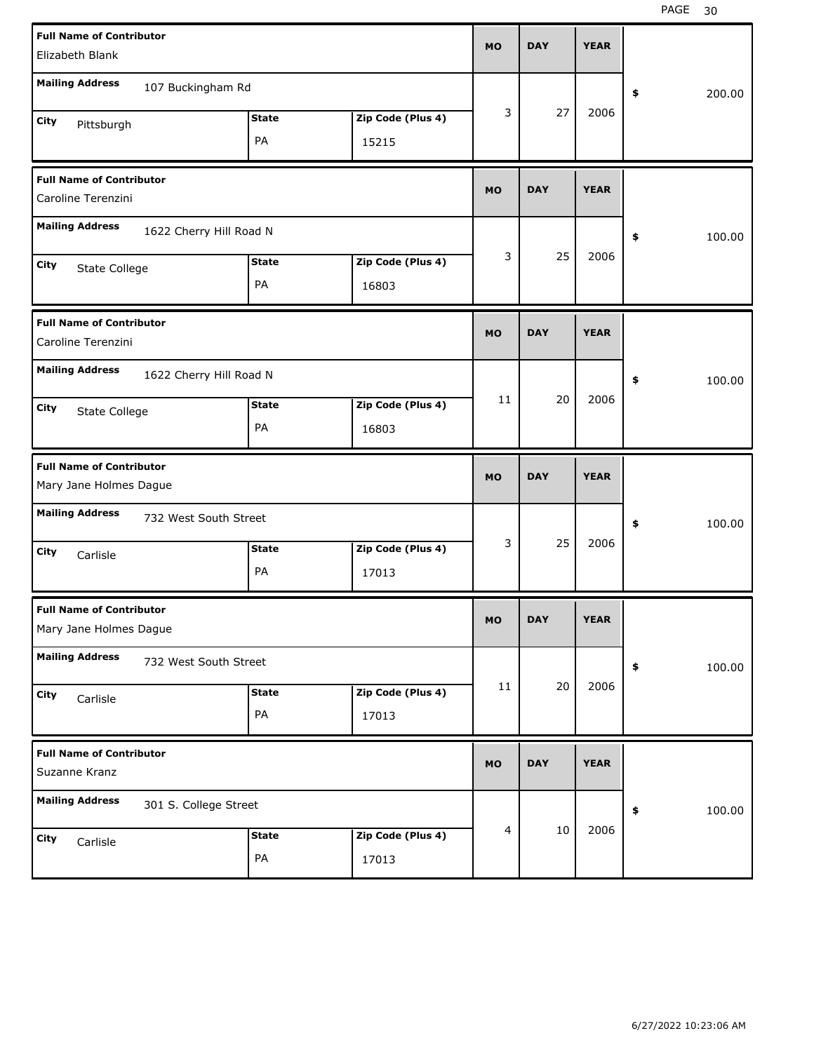| <b>Full Name of Contributor</b><br>Elizabeth Blank        |                    |                            | <b>MO</b> | <b>DAY</b> | <b>YEAR</b> |              |
|-----------------------------------------------------------|--------------------|----------------------------|-----------|------------|-------------|--------------|
| <b>Mailing Address</b><br>107 Buckingham Rd               |                    |                            |           |            |             | 200.00<br>\$ |
| City<br>Pittsburgh                                        | <b>State</b><br>PA | Zip Code (Plus 4)<br>15215 | 3         | 27         | 2006        |              |
| <b>Full Name of Contributor</b><br>Caroline Terenzini     |                    |                            | <b>MO</b> | <b>DAY</b> | <b>YEAR</b> |              |
| <b>Mailing Address</b><br>1622 Cherry Hill Road N         |                    |                            |           |            |             | \$<br>100.00 |
| City<br>State College                                     | <b>State</b><br>PA | Zip Code (Plus 4)<br>16803 | 3         | 25         | 2006        |              |
| <b>Full Name of Contributor</b><br>Caroline Terenzini     |                    |                            | <b>MO</b> | <b>DAY</b> | <b>YEAR</b> |              |
| <b>Mailing Address</b><br>1622 Cherry Hill Road N         |                    |                            |           |            |             | 100.00<br>\$ |
| City<br>State College                                     | <b>State</b><br>PA | Zip Code (Plus 4)<br>16803 | 11        | 20         | 2006        |              |
|                                                           |                    |                            |           |            |             |              |
| <b>Full Name of Contributor</b><br>Mary Jane Holmes Dague |                    |                            | <b>MO</b> | <b>DAY</b> | <b>YEAR</b> |              |
| <b>Mailing Address</b><br>732 West South Street           |                    |                            |           |            |             | \$<br>100.00 |
| City<br>Carlisle                                          | <b>State</b><br>PA | Zip Code (Plus 4)<br>17013 | 3         | 25         | 2006        |              |
| <b>Full Name of Contributor</b><br>Mary Jane Holmes Dague |                    |                            | <b>MO</b> | <b>DAY</b> | <b>YEAR</b> |              |
| <b>Mailing Address</b><br>732 West South Street           |                    |                            |           |            |             | 100.00<br>\$ |
| City<br>Carlisle                                          | <b>State</b><br>PA | Zip Code (Plus 4)<br>17013 | 11        | 20         | 2006        |              |
| <b>Full Name of Contributor</b><br>Suzanne Kranz          |                    |                            | <b>MO</b> | <b>DAY</b> | <b>YEAR</b> |              |
| <b>Mailing Address</b><br>301 S. College Street           |                    |                            |           | $10\,$     | 2006        | 100.00<br>\$ |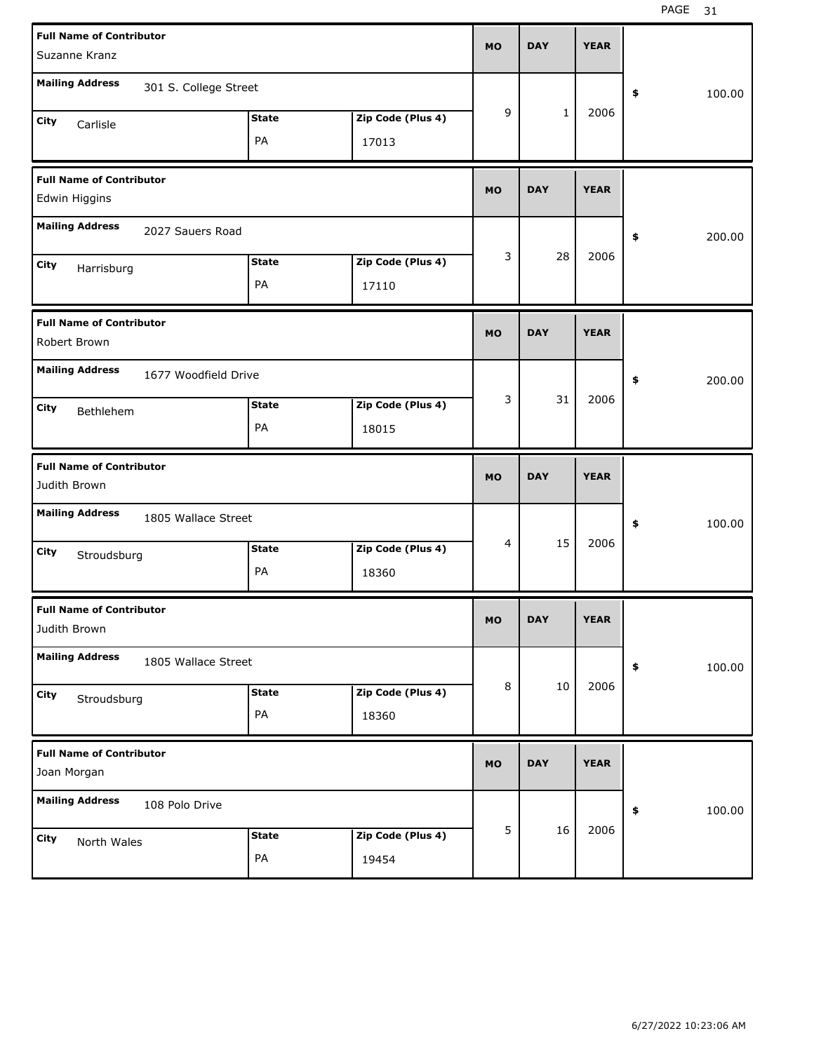| <b>Full Name of Contributor</b>                 |                       |              |                   | <b>MO</b> | <b>DAY</b>   | <b>YEAR</b> |              |
|-------------------------------------------------|-----------------------|--------------|-------------------|-----------|--------------|-------------|--------------|
| Suzanne Kranz                                   |                       |              |                   |           |              |             |              |
| <b>Mailing Address</b>                          | 301 S. College Street |              |                   |           |              |             | \$<br>100.00 |
| City<br>Carlisle                                |                       | <b>State</b> | Zip Code (Plus 4) | 9         | $\mathbf{1}$ | 2006        |              |
|                                                 |                       | PA           | 17013             |           |              |             |              |
| <b>Full Name of Contributor</b>                 |                       |              |                   | <b>MO</b> | <b>DAY</b>   | <b>YEAR</b> |              |
| Edwin Higgins                                   |                       |              |                   |           |              |             |              |
| <b>Mailing Address</b>                          | 2027 Sauers Road      |              |                   |           |              |             | \$<br>200.00 |
| City<br>Harrisburg                              |                       | <b>State</b> | Zip Code (Plus 4) | 3         | 28           | 2006        |              |
|                                                 |                       | PA           | 17110             |           |              |             |              |
| <b>Full Name of Contributor</b>                 |                       |              |                   | <b>MO</b> | <b>DAY</b>   | <b>YEAR</b> |              |
| Robert Brown                                    |                       |              |                   |           |              |             |              |
| <b>Mailing Address</b>                          | 1677 Woodfield Drive  |              |                   |           |              |             | \$<br>200.00 |
| City<br>Bethlehem                               |                       | <b>State</b> | Zip Code (Plus 4) | 3         | 31           | 2006        |              |
|                                                 |                       | PA           | 18015             |           |              |             |              |
|                                                 |                       |              |                   |           |              |             |              |
| <b>Full Name of Contributor</b><br>Judith Brown |                       |              |                   | <b>MO</b> | <b>DAY</b>   | <b>YEAR</b> |              |
| <b>Mailing Address</b>                          | 1805 Wallace Street   |              |                   |           |              |             | \$<br>100.00 |
| City                                            |                       | <b>State</b> | Zip Code (Plus 4) | 4         | 15           | 2006        |              |
| Stroudsburg                                     |                       | PA           | 18360             |           |              |             |              |
| <b>Full Name of Contributor</b><br>Judith Brown |                       |              |                   | МO        | <b>DAY</b>   | <b>YEAR</b> |              |
| <b>Mailing Address</b>                          | 1805 Wallace Street   |              |                   |           |              |             | \$<br>100.00 |
| City                                            |                       | <b>State</b> | Zip Code (Plus 4) | $\,8\,$   | 10           | 2006        |              |
| Stroudsburg                                     |                       | PA           | 18360             |           |              |             |              |
| <b>Full Name of Contributor</b><br>Joan Morgan  |                       |              |                   | <b>MO</b> | <b>DAY</b>   | <b>YEAR</b> |              |
| <b>Mailing Address</b>                          | 108 Polo Drive        |              |                   |           |              |             | \$<br>100.00 |
| City<br>North Wales                             |                       | <b>State</b> | Zip Code (Plus 4) | 5         | 16           | 2006        |              |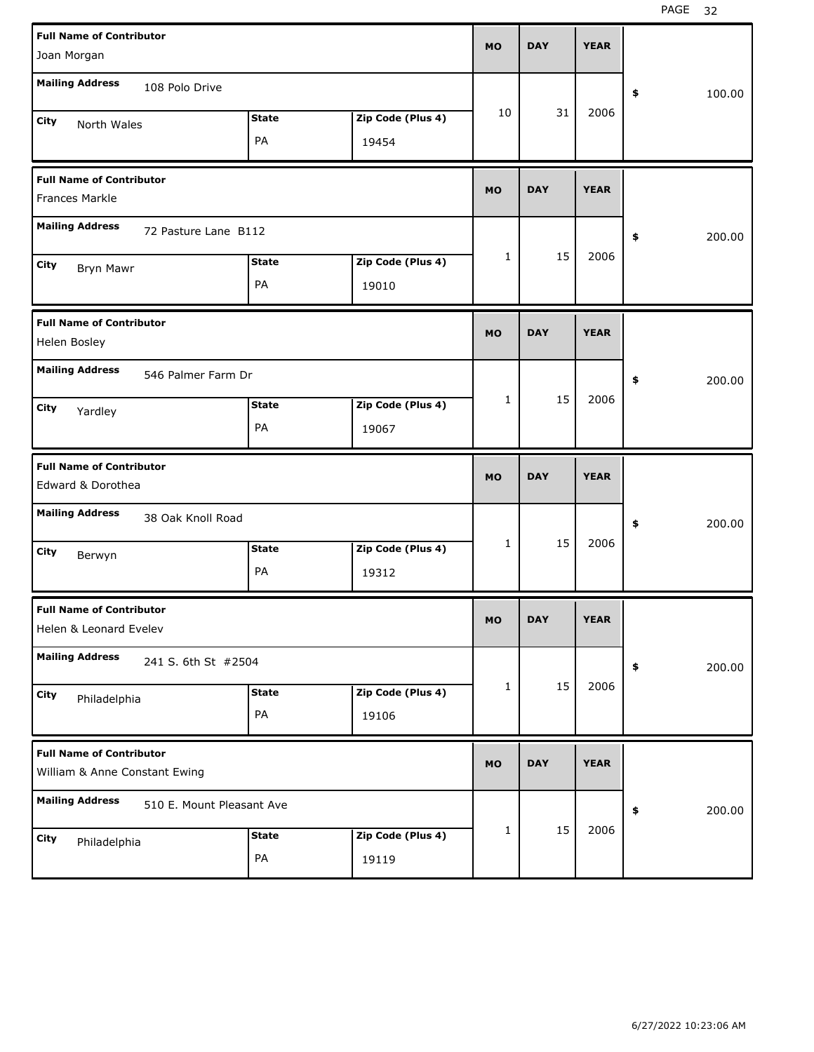| <b>Full Name of Contributor</b><br>Joan Morgan                   |                           |                            | <b>MO</b> | <b>DAY</b> | <b>YEAR</b> |              |
|------------------------------------------------------------------|---------------------------|----------------------------|-----------|------------|-------------|--------------|
| <b>Mailing Address</b><br>108 Polo Drive                         |                           |                            |           |            |             | \$<br>100.00 |
| City<br>North Wales                                              | <b>State</b><br>PA        | Zip Code (Plus 4)<br>19454 | 10        | 31         | 2006        |              |
| <b>Full Name of Contributor</b><br><b>Frances Markle</b>         |                           |                            | <b>MO</b> | <b>DAY</b> | <b>YEAR</b> |              |
| <b>Mailing Address</b><br>72 Pasture Lane B112                   |                           |                            |           |            |             | \$<br>200.00 |
| City<br>Bryn Mawr                                                | <b>State</b><br>PA        | Zip Code (Plus 4)<br>19010 | 1         | 15         | 2006        |              |
| <b>Full Name of Contributor</b><br>Helen Bosley                  |                           |                            | <b>MO</b> | <b>DAY</b> | <b>YEAR</b> |              |
| <b>Mailing Address</b><br>546 Palmer Farm Dr                     |                           |                            |           |            |             | \$<br>200.00 |
| City<br>Yardley                                                  | <b>State</b><br>PA        | Zip Code (Plus 4)<br>19067 | 1         | 15         | 2006        |              |
|                                                                  |                           |                            |           |            |             |              |
| <b>Full Name of Contributor</b><br>Edward & Dorothea             |                           |                            | <b>MO</b> | <b>DAY</b> | <b>YEAR</b> |              |
| <b>Mailing Address</b><br>38 Oak Knoll Road                      |                           |                            |           |            |             | \$<br>200.00 |
| City<br>Berwyn                                                   | <b>State</b><br>PA        | Zip Code (Plus 4)<br>19312 | 1         | 15         | 2006        |              |
| <b>Full Name of Contributor</b><br>Helen & Leonard Evelev        |                           |                            | MO        | <b>DAY</b> | <b>YEAR</b> |              |
| <b>Mailing Address</b><br>241 S. 6th St #2504                    |                           |                            |           |            |             | \$<br>200.00 |
| City<br>Philadelphia                                             | <b>State</b><br>PA        | Zip Code (Plus 4)<br>19106 | 1         | 15         | 2006        |              |
| <b>Full Name of Contributor</b><br>William & Anne Constant Ewing |                           |                            | <b>MO</b> | <b>DAY</b> | <b>YEAR</b> |              |
| <b>Mailing Address</b>                                           | 510 E. Mount Pleasant Ave |                            | 1         | 15         | 2006        | \$<br>200.00 |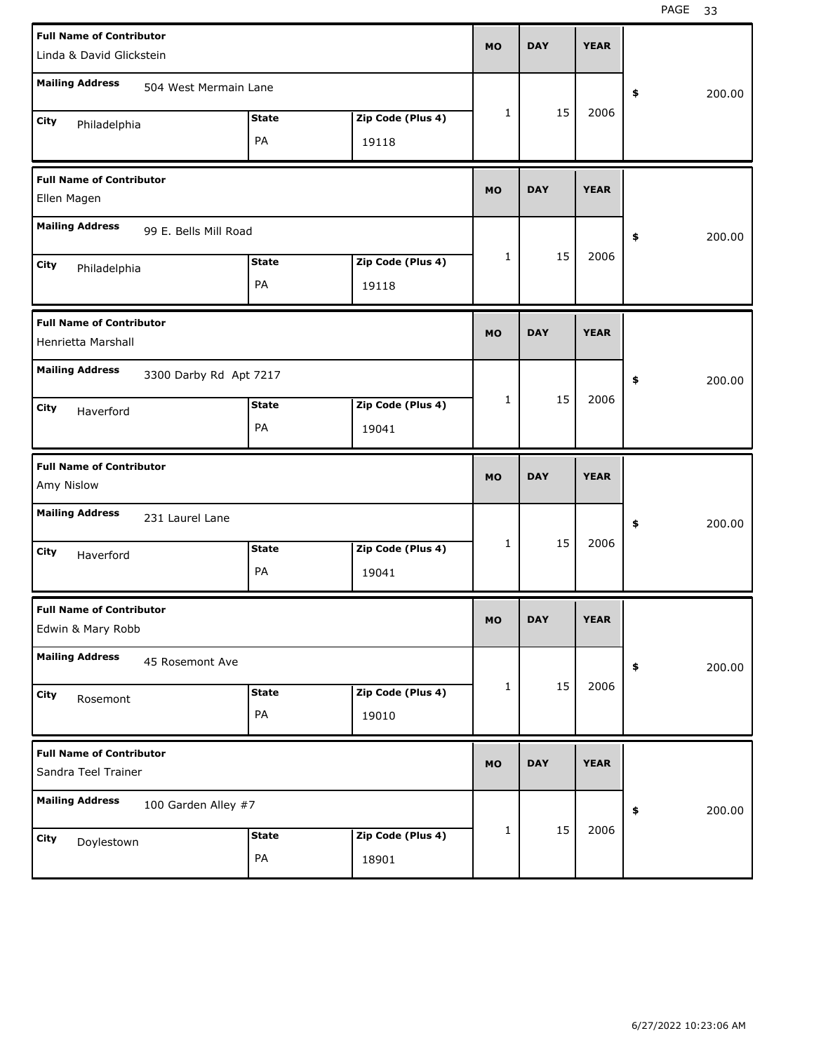| <b>Full Name of Contributor</b><br>Linda & David Glickstein |                        |                    |                            | <b>MO</b>    | <b>DAY</b> | <b>YEAR</b> |              |
|-------------------------------------------------------------|------------------------|--------------------|----------------------------|--------------|------------|-------------|--------------|
| <b>Mailing Address</b>                                      | 504 West Mermain Lane  |                    |                            |              |            |             | \$<br>200.00 |
| City<br>Philadelphia                                        |                        | <b>State</b><br>PA | Zip Code (Plus 4)<br>19118 | 1            | 15         | 2006        |              |
| <b>Full Name of Contributor</b><br>Ellen Magen              |                        |                    |                            | <b>MO</b>    | <b>DAY</b> | <b>YEAR</b> |              |
| <b>Mailing Address</b>                                      | 99 E. Bells Mill Road  |                    |                            |              |            |             | \$<br>200.00 |
| City<br>Philadelphia                                        |                        | <b>State</b><br>PA | Zip Code (Plus 4)<br>19118 | $\mathbf{1}$ | 15         | 2006        |              |
| <b>Full Name of Contributor</b><br>Henrietta Marshall       |                        |                    |                            | <b>MO</b>    | <b>DAY</b> | <b>YEAR</b> |              |
| <b>Mailing Address</b>                                      | 3300 Darby Rd Apt 7217 |                    |                            |              |            |             | \$<br>200.00 |
| City<br>Haverford                                           |                        | <b>State</b><br>PA | Zip Code (Plus 4)<br>19041 | 1            | 15         | 2006        |              |
|                                                             |                        |                    |                            |              |            |             |              |
| <b>Full Name of Contributor</b><br>Amy Nislow               |                        |                    |                            | <b>MO</b>    | <b>DAY</b> | <b>YEAR</b> |              |
| <b>Mailing Address</b>                                      | 231 Laurel Lane        |                    |                            |              |            |             | \$<br>200.00 |
| City<br>Haverford                                           |                        | <b>State</b><br>PA | Zip Code (Plus 4)<br>19041 | 1            | 15         | 2006        |              |
| <b>Full Name of Contributor</b><br>Edwin & Mary Robb        |                        |                    |                            | <b>MO</b>    | <b>DAY</b> | <b>YEAR</b> |              |
| <b>Mailing Address</b>                                      | 45 Rosemont Ave        |                    |                            |              |            |             | \$<br>200.00 |
| City<br>Rosemont                                            |                        | <b>State</b><br>PA | Zip Code (Plus 4)<br>19010 | $\mathbf{1}$ | 15         | 2006        |              |
| <b>Full Name of Contributor</b><br>Sandra Teel Trainer      |                        |                    |                            | <b>MO</b>    | <b>DAY</b> | <b>YEAR</b> |              |
| <b>Mailing Address</b>                                      | 100 Garden Alley #7    |                    |                            | $\mathbf{1}$ | 15         | 2006        | \$<br>200.00 |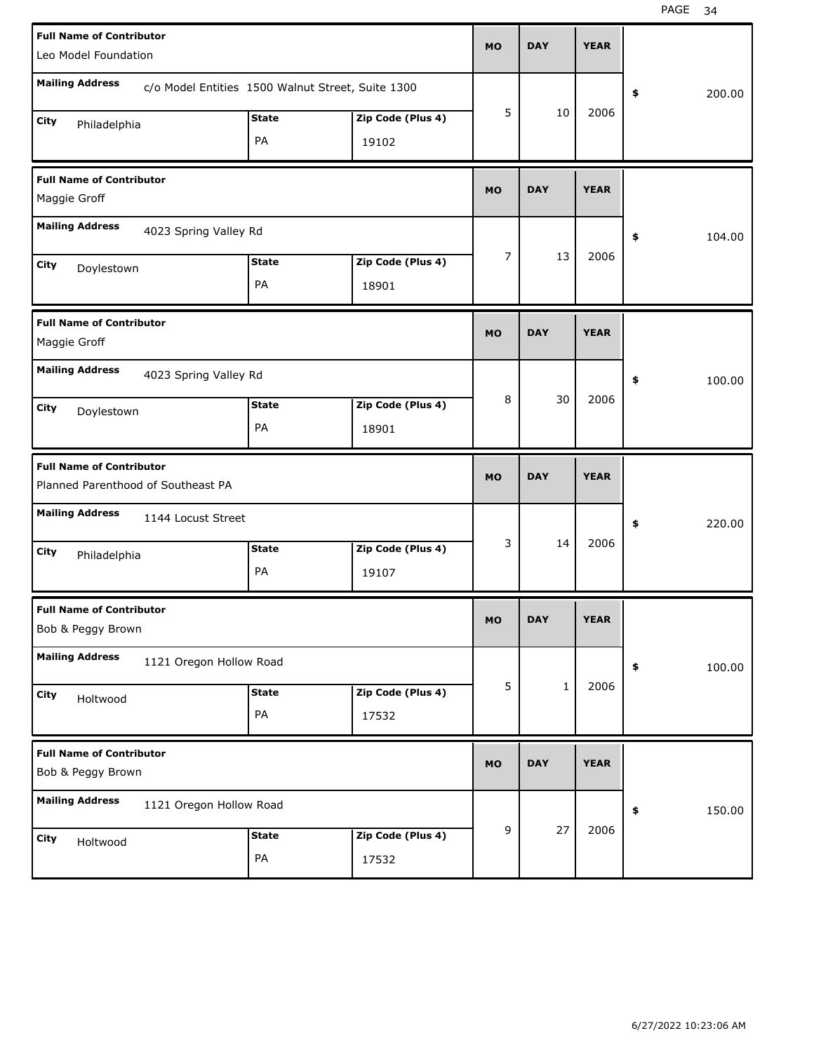| <b>Full Name of Contributor</b><br>Leo Model Foundation               |                                                   |                   | <b>MO</b> | <b>DAY</b>   | <b>YEAR</b> |              |
|-----------------------------------------------------------------------|---------------------------------------------------|-------------------|-----------|--------------|-------------|--------------|
| <b>Mailing Address</b>                                                |                                                   |                   |           |              |             |              |
|                                                                       | c/o Model Entities 1500 Walnut Street, Suite 1300 |                   |           |              |             | \$<br>200.00 |
| City<br>Philadelphia                                                  | <b>State</b>                                      | Zip Code (Plus 4) | 5         | 10           | 2006        |              |
|                                                                       | PA                                                | 19102             |           |              |             |              |
| <b>Full Name of Contributor</b><br>Maggie Groff                       |                                                   |                   | <b>MO</b> | <b>DAY</b>   | <b>YEAR</b> |              |
| <b>Mailing Address</b><br>4023 Spring Valley Rd                       |                                                   |                   |           |              |             | \$<br>104.00 |
| City<br>Doylestown                                                    | <b>State</b>                                      | Zip Code (Plus 4) | 7         | 13           | 2006        |              |
|                                                                       | PA                                                | 18901             |           |              |             |              |
| <b>Full Name of Contributor</b><br>Maggie Groff                       |                                                   |                   | <b>MO</b> | <b>DAY</b>   | <b>YEAR</b> |              |
| <b>Mailing Address</b><br>4023 Spring Valley Rd                       |                                                   |                   |           |              |             | \$<br>100.00 |
| City<br>Doylestown                                                    | <b>State</b>                                      | Zip Code (Plus 4) | 8         | 30           | 2006        |              |
|                                                                       | PA                                                | 18901             |           |              |             |              |
|                                                                       |                                                   |                   |           |              |             |              |
| <b>Full Name of Contributor</b><br>Planned Parenthood of Southeast PA |                                                   |                   | <b>MO</b> | <b>DAY</b>   | <b>YEAR</b> |              |
| <b>Mailing Address</b><br>1144 Locust Street                          |                                                   |                   |           |              |             | \$<br>220.00 |
| City<br>Philadelphia                                                  | <b>State</b>                                      | Zip Code (Plus 4) | 3         | 14           | 2006        |              |
|                                                                       | PA                                                | 19107             |           |              |             |              |
| <b>Full Name of Contributor</b><br>Bob & Peggy Brown                  |                                                   |                   | <b>MO</b> | <b>DAY</b>   | <b>YEAR</b> |              |
| <b>Mailing Address</b><br>1121 Oregon Hollow Road                     |                                                   |                   |           |              |             | \$<br>100.00 |
| City<br>Holtwood                                                      | <b>State</b>                                      | Zip Code (Plus 4) | 5         | $\mathbf{1}$ | 2006        |              |
|                                                                       | PA                                                | 17532             |           |              |             |              |
| <b>Full Name of Contributor</b><br>Bob & Peggy Brown                  |                                                   |                   | <b>MO</b> | <b>DAY</b>   | <b>YEAR</b> |              |
| <b>Mailing Address</b><br>1121 Oregon Hollow Road                     |                                                   |                   |           |              |             | \$<br>150.00 |
| City<br>Holtwood                                                      | <b>State</b>                                      | Zip Code (Plus 4) | 9         | 27           | 2006        |              |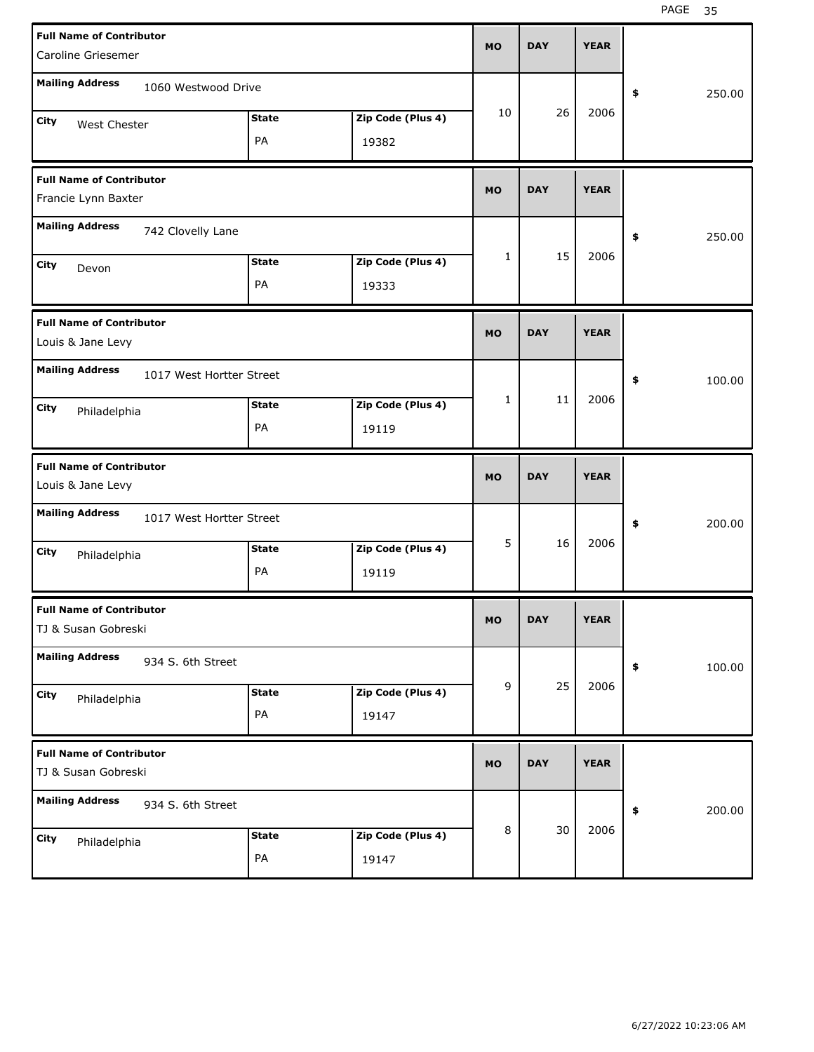| <b>Full Name of Contributor</b><br>Caroline Griesemer  |                    |                            | <b>MO</b>    | <b>DAY</b> | <b>YEAR</b> |              |
|--------------------------------------------------------|--------------------|----------------------------|--------------|------------|-------------|--------------|
| <b>Mailing Address</b><br>1060 Westwood Drive          |                    |                            |              |            |             | \$<br>250.00 |
| City<br>West Chester                                   | <b>State</b><br>PA | Zip Code (Plus 4)<br>19382 | 10           | 26         | 2006        |              |
| <b>Full Name of Contributor</b><br>Francie Lynn Baxter |                    |                            | <b>MO</b>    | <b>DAY</b> | <b>YEAR</b> |              |
| <b>Mailing Address</b><br>742 Clovelly Lane            |                    |                            |              |            |             | \$<br>250.00 |
| City<br>Devon                                          | <b>State</b><br>PA | Zip Code (Plus 4)<br>19333 | $\mathbf{1}$ | 15         | 2006        |              |
| <b>Full Name of Contributor</b><br>Louis & Jane Levy   |                    |                            | <b>MO</b>    | <b>DAY</b> | <b>YEAR</b> |              |
| <b>Mailing Address</b><br>1017 West Hortter Street     |                    |                            |              |            |             | \$<br>100.00 |
| City<br>Philadelphia                                   | <b>State</b><br>PA | Zip Code (Plus 4)<br>19119 | 1            | 11         | 2006        |              |
|                                                        |                    |                            |              |            |             |              |
| <b>Full Name of Contributor</b><br>Louis & Jane Levy   |                    |                            | <b>MO</b>    | <b>DAY</b> | <b>YEAR</b> |              |
| <b>Mailing Address</b><br>1017 West Hortter Street     |                    |                            |              |            |             | \$<br>200.00 |
| City<br>Philadelphia                                   | <b>State</b><br>PA | Zip Code (Plus 4)<br>19119 | 5            | 16         | 2006        |              |
| <b>Full Name of Contributor</b><br>TJ & Susan Gobreski |                    |                            | МO           | <b>DAY</b> | <b>YEAR</b> |              |
| <b>Mailing Address</b><br>934 S. 6th Street            |                    |                            |              |            |             | \$<br>100.00 |
| City<br>Philadelphia                                   | <b>State</b><br>PA | Zip Code (Plus 4)<br>19147 | $\mathsf g$  | 25         | 2006        |              |
| <b>Full Name of Contributor</b><br>TJ & Susan Gobreski |                    |                            | <b>MO</b>    | <b>DAY</b> | <b>YEAR</b> |              |
| <b>Mailing Address</b><br>934 S. 6th Street            |                    |                            |              | 30         | 2006        | \$<br>200.00 |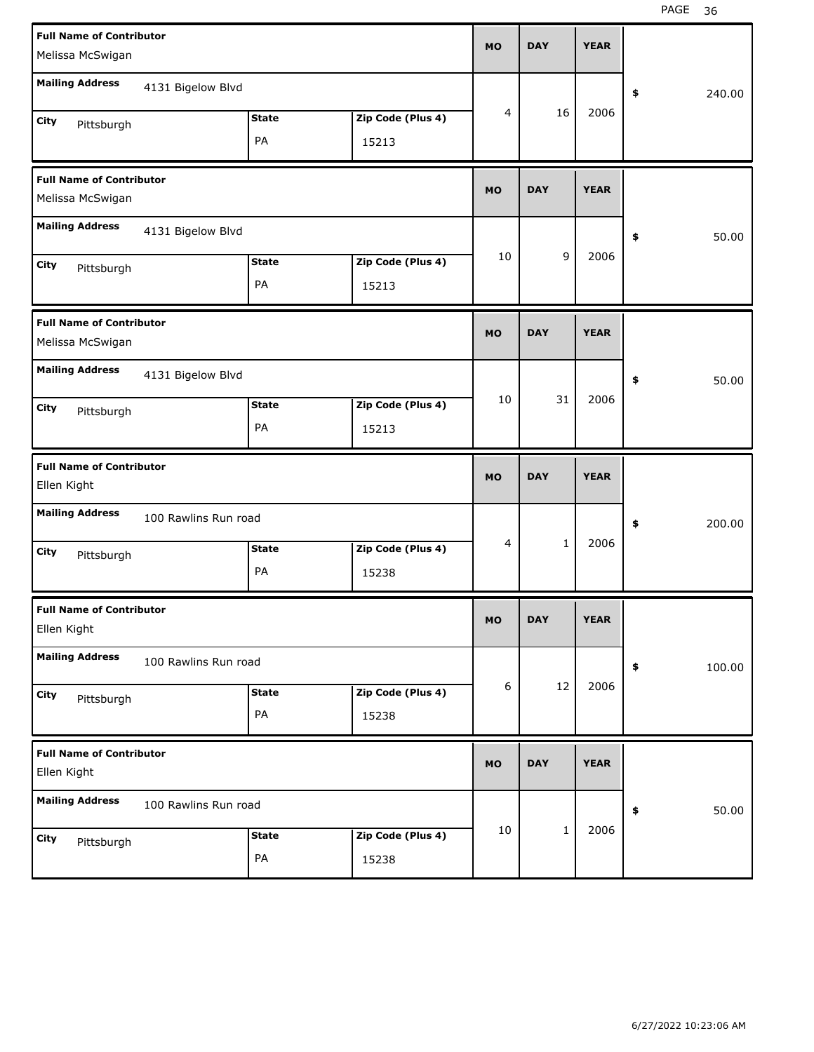| <b>Full Name of Contributor</b>                |                      |              |                   | <b>MO</b> | <b>DAY</b>   | <b>YEAR</b> |              |
|------------------------------------------------|----------------------|--------------|-------------------|-----------|--------------|-------------|--------------|
| Melissa McSwigan                               |                      |              |                   |           |              |             |              |
| <b>Mailing Address</b>                         | 4131 Bigelow Blvd    |              |                   |           |              |             | \$<br>240.00 |
| City<br>Pittsburgh                             |                      | <b>State</b> | Zip Code (Plus 4) | 4         | 16           | 2006        |              |
|                                                |                      | PA           | 15213             |           |              |             |              |
| <b>Full Name of Contributor</b>                |                      |              |                   | <b>MO</b> | <b>DAY</b>   | <b>YEAR</b> |              |
| Melissa McSwigan                               |                      |              |                   |           |              |             |              |
| <b>Mailing Address</b>                         | 4131 Bigelow Blvd    |              |                   |           |              |             | \$<br>50.00  |
| City<br>Pittsburgh                             |                      | <b>State</b> | Zip Code (Plus 4) | 10        | 9            | 2006        |              |
|                                                |                      | PA           | 15213             |           |              |             |              |
| <b>Full Name of Contributor</b>                |                      |              |                   | <b>MO</b> | <b>DAY</b>   | <b>YEAR</b> |              |
| Melissa McSwigan                               |                      |              |                   |           |              |             |              |
| <b>Mailing Address</b>                         | 4131 Bigelow Blvd    |              |                   |           |              |             | \$<br>50.00  |
| City<br>Pittsburgh                             |                      | <b>State</b> | Zip Code (Plus 4) | 10        | 31           | 2006        |              |
|                                                |                      | PA           | 15213             |           |              |             |              |
|                                                |                      |              |                   |           |              |             |              |
| <b>Full Name of Contributor</b>                |                      |              |                   |           |              |             |              |
| Ellen Kight                                    |                      |              |                   | <b>MO</b> | <b>DAY</b>   | <b>YEAR</b> |              |
| <b>Mailing Address</b>                         | 100 Rawlins Run road |              |                   |           |              |             | \$<br>200.00 |
| City                                           |                      | <b>State</b> | Zip Code (Plus 4) | 4         | $\mathbf{1}$ | 2006        |              |
| Pittsburgh                                     |                      | PA           | 15238             |           |              |             |              |
| <b>Full Name of Contributor</b>                |                      |              |                   | MO        | <b>DAY</b>   | <b>YEAR</b> |              |
| Ellen Kight                                    |                      |              |                   |           |              |             |              |
| <b>Mailing Address</b>                         | 100 Rawlins Run road |              |                   |           |              |             | \$<br>100.00 |
| City<br>Pittsburgh                             |                      | <b>State</b> | Zip Code (Plus 4) | 6         | 12           | 2006        |              |
|                                                |                      | PA           | 15238             |           |              |             |              |
| <b>Full Name of Contributor</b><br>Ellen Kight |                      |              |                   | <b>MO</b> | <b>DAY</b>   | <b>YEAR</b> |              |
| <b>Mailing Address</b>                         | 100 Rawlins Run road |              |                   |           |              |             | \$<br>50.00  |
| City<br>Pittsburgh                             |                      | <b>State</b> | Zip Code (Plus 4) | 10        | $\mathbf{1}$ | 2006        |              |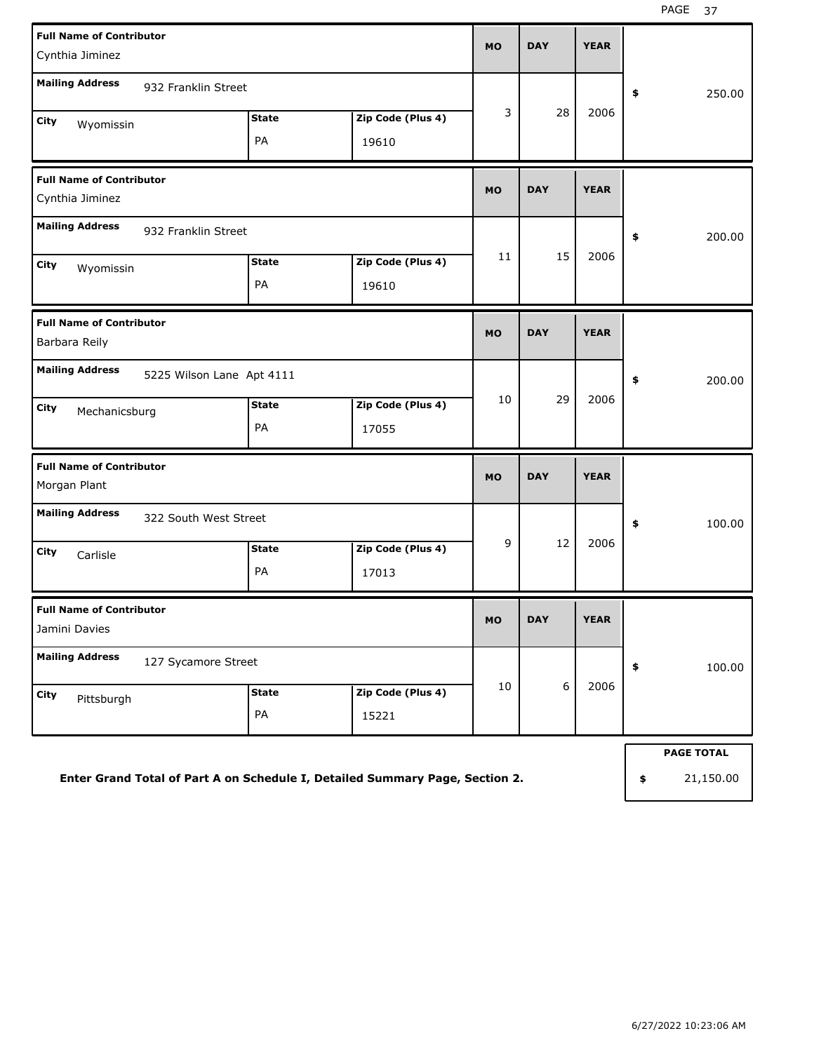| <b>Full Name of Contributor</b><br>Cynthia Jiminez                           |                    |                            | <b>MO</b> | <b>DAY</b> | <b>YEAR</b> |                   |
|------------------------------------------------------------------------------|--------------------|----------------------------|-----------|------------|-------------|-------------------|
| <b>Mailing Address</b><br>932 Franklin Street                                |                    |                            |           |            |             | \$<br>250.00      |
| City<br>Wyomissin                                                            | <b>State</b><br>PA | Zip Code (Plus 4)<br>19610 | 3         | 28         | 2006        |                   |
| <b>Full Name of Contributor</b><br>Cynthia Jiminez                           |                    |                            | <b>MO</b> | <b>DAY</b> | <b>YEAR</b> |                   |
| <b>Mailing Address</b><br>932 Franklin Street<br>City<br>Wyomissin           | <b>State</b><br>PA | Zip Code (Plus 4)<br>19610 | 11        | 15         | 2006        | \$<br>200.00      |
| <b>Full Name of Contributor</b><br>Barbara Reily                             |                    |                            | <b>MO</b> | <b>DAY</b> | <b>YEAR</b> |                   |
| <b>Mailing Address</b><br>5225 Wilson Lane Apt 4111                          |                    |                            |           |            |             | \$<br>200.00      |
| City<br>Mechanicsburg                                                        | <b>State</b><br>PA | Zip Code (Plus 4)<br>17055 | 10        | 29         | 2006        |                   |
| <b>Full Name of Contributor</b><br>Morgan Plant                              |                    |                            | <b>MO</b> | <b>DAY</b> | <b>YEAR</b> |                   |
| <b>Mailing Address</b><br>322 South West Street                              |                    |                            |           |            |             | \$<br>100.00      |
| City<br>Carlisle                                                             | <b>State</b><br>PA | Zip Code (Plus 4)<br>17013 | 9         | 12         | 2006        |                   |
| <b>Full Name of Contributor</b><br>Jamini Davies                             |                    |                            | <b>MO</b> | <b>DAY</b> | <b>YEAR</b> |                   |
| <b>Mailing Address</b><br>127 Sycamore Street                                |                    |                            |           |            |             | \$<br>100.00      |
| City<br>Pittsburgh                                                           | <b>State</b><br>PA | Zip Code (Plus 4)<br>15221 | 10        | 6          | 2006        |                   |
|                                                                              |                    |                            |           |            |             | <b>PAGE TOTAL</b> |
| Enter Grand Total of Part A on Schedule I, Detailed Summary Page, Section 2. |                    |                            |           |            |             | \$<br>21,150.00   |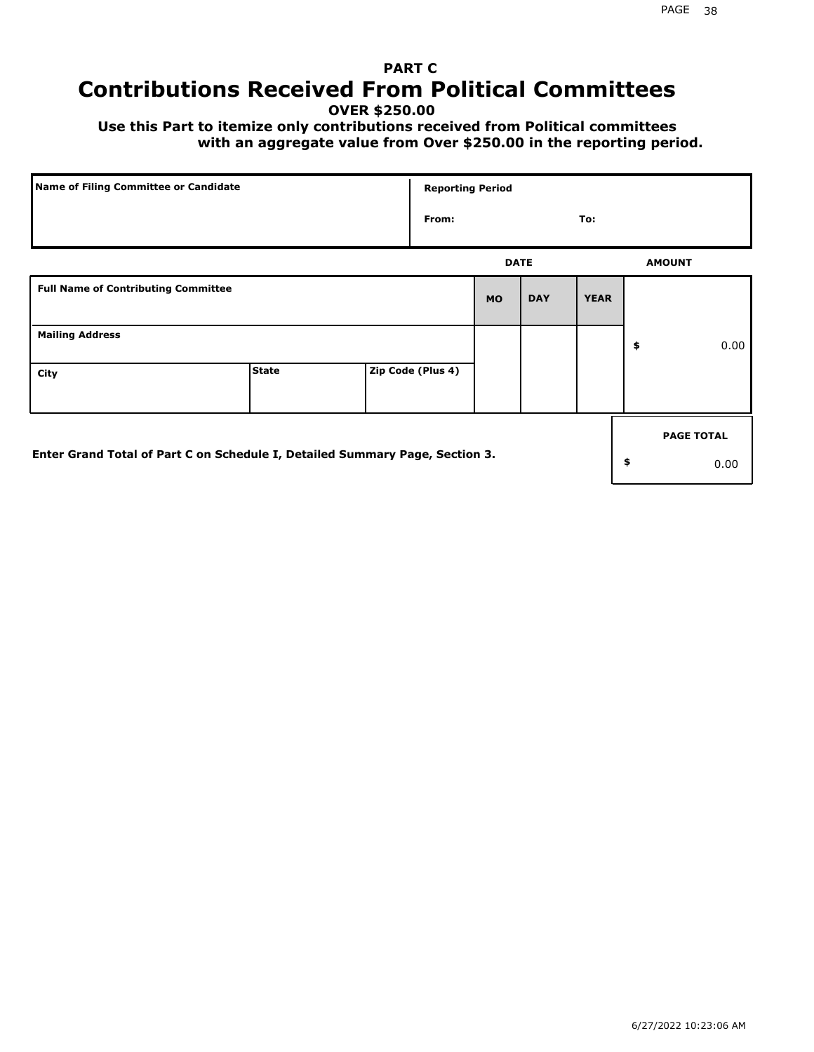## **PART C Contributions Received From Political Committees**

**OVER \$250.00**

 **Use this Part to itemize only contributions received from Political committees with an aggregate value from Over \$250.00 in the reporting period.**

| Name of Filing Committee or Candidate                                        |              | <b>Reporting Period</b> |           |             |             |                   |
|------------------------------------------------------------------------------|--------------|-------------------------|-----------|-------------|-------------|-------------------|
|                                                                              |              | From:                   |           |             | To:         |                   |
|                                                                              |              |                         |           | <b>DATE</b> |             | <b>AMOUNT</b>     |
| <b>Full Name of Contributing Committee</b>                                   |              |                         | <b>MO</b> | <b>DAY</b>  | <b>YEAR</b> |                   |
| <b>Mailing Address</b>                                                       |              |                         |           |             |             | \$<br>0.00        |
| City                                                                         | <b>State</b> | Zip Code (Plus 4)       |           |             |             |                   |
|                                                                              |              |                         |           |             |             | <b>PAGE TOTAL</b> |
| Enter Grand Total of Part C on Schedule I, Detailed Summary Page, Section 3. |              |                         |           |             |             | \$<br>0.00        |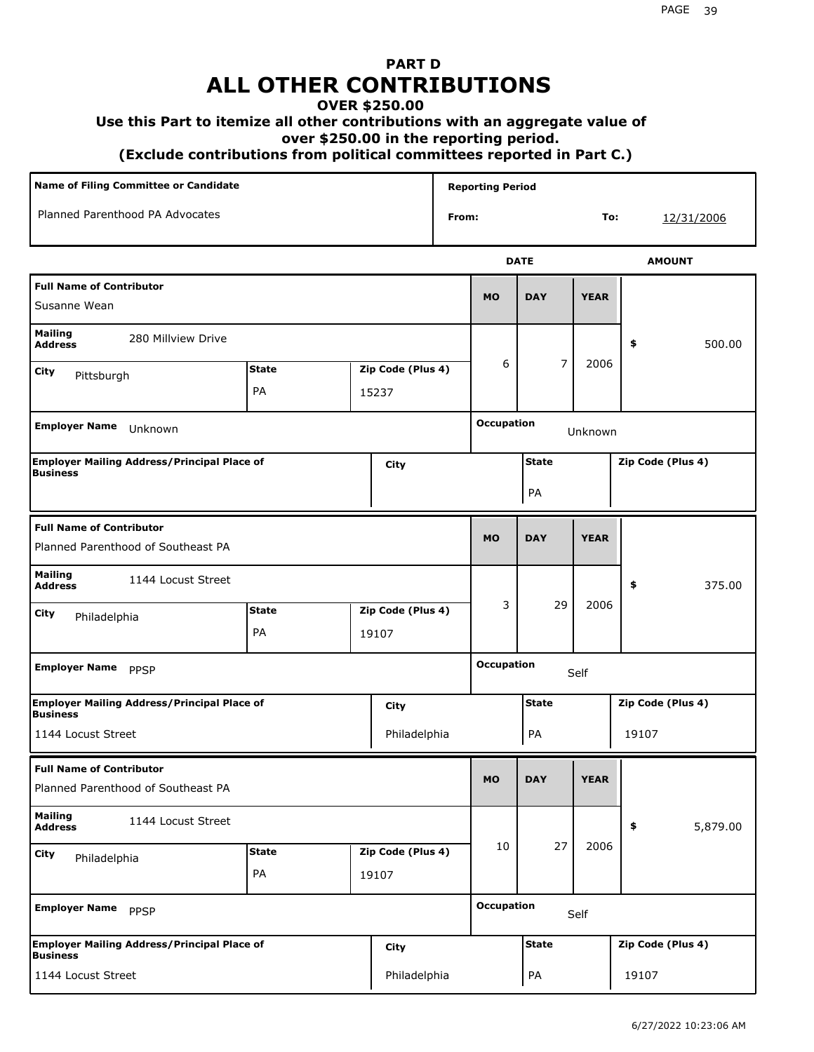## **PART D ALL OTHER CONTRIBUTIONS**

### **OVER \$250.00**

### **Use this Part to itemize all other contributions with an aggregate value of**

 **over \$250.00 in the reporting period.**

 **(Exclude contributions from political committees reported in Part C.)** 

| <b>Name of Filing Committee or Candidate</b>                          |              |  |                   |           | <b>Reporting Period</b> |              |             |                   |  |  |
|-----------------------------------------------------------------------|--------------|--|-------------------|-----------|-------------------------|--------------|-------------|-------------------|--|--|
| Planned Parenthood PA Advocates                                       |              |  |                   | From:     |                         |              | To:         | 12/31/2006        |  |  |
|                                                                       |              |  |                   |           |                         | <b>DATE</b>  |             | <b>AMOUNT</b>     |  |  |
| <b>Full Name of Contributor</b><br>Susanne Wean                       |              |  |                   |           | <b>MO</b>               | <b>DAY</b>   | <b>YEAR</b> |                   |  |  |
| <b>Mailing</b><br>280 Millview Drive<br><b>Address</b>                |              |  |                   |           |                         |              |             | 500.00<br>\$      |  |  |
| City<br>Pittsburgh                                                    | <b>State</b> |  | Zip Code (Plus 4) |           | 6                       | 7            | 2006        |                   |  |  |
|                                                                       | PA           |  | 15237             |           |                         |              |             |                   |  |  |
| <b>Employer Name</b><br>Unknown                                       |              |  |                   |           | <b>Occupation</b>       |              | Unknown     |                   |  |  |
| <b>Employer Mailing Address/Principal Place of</b><br><b>Business</b> |              |  | City              |           |                         | <b>State</b> |             | Zip Code (Plus 4) |  |  |
|                                                                       |              |  |                   |           |                         | PA           |             |                   |  |  |
| <b>Full Name of Contributor</b><br>Planned Parenthood of Southeast PA |              |  |                   | <b>MO</b> | <b>DAY</b>              | <b>YEAR</b>  |             |                   |  |  |
| <b>Mailing</b><br>1144 Locust Street<br><b>Address</b>                |              |  |                   |           |                         |              |             | \$<br>375.00      |  |  |
| City<br>Philadelphia                                                  | <b>State</b> |  | Zip Code (Plus 4) |           | 3                       | 29           | 2006        |                   |  |  |
|                                                                       | PA           |  | 19107             |           |                         |              |             |                   |  |  |
| <b>Employer Name</b><br>PPSP                                          |              |  |                   |           | <b>Occupation</b>       |              | Self        |                   |  |  |
| <b>Employer Mailing Address/Principal Place of</b><br><b>Business</b> |              |  | City              |           |                         | <b>State</b> |             | Zip Code (Plus 4) |  |  |
| 1144 Locust Street                                                    |              |  | Philadelphia      |           |                         | PA           |             | 19107             |  |  |
| <b>Full Name of Contributor</b><br>Planned Parenthood of Southeast PA |              |  |                   |           | <b>MO</b>               | <b>DAY</b>   | <b>YEAR</b> |                   |  |  |
| <b>Mailing</b><br>1144 Locust Street<br><b>Address</b>                |              |  |                   |           |                         |              |             | 5,879.00<br>\$    |  |  |
| City<br>Philadelphia                                                  | <b>State</b> |  | Zip Code (Plus 4) |           | 10                      | 27           | 2006        |                   |  |  |
|                                                                       | PA           |  | 19107             |           |                         |              |             |                   |  |  |
| <b>Employer Name</b><br>PPSP                                          |              |  |                   |           | <b>Occupation</b>       |              | Self        |                   |  |  |
| <b>Employer Mailing Address/Principal Place of</b><br><b>Business</b> |              |  | City              |           |                         | <b>State</b> |             | Zip Code (Plus 4) |  |  |
| 1144 Locust Street                                                    |              |  | Philadelphia      |           |                         | PA           |             | 19107             |  |  |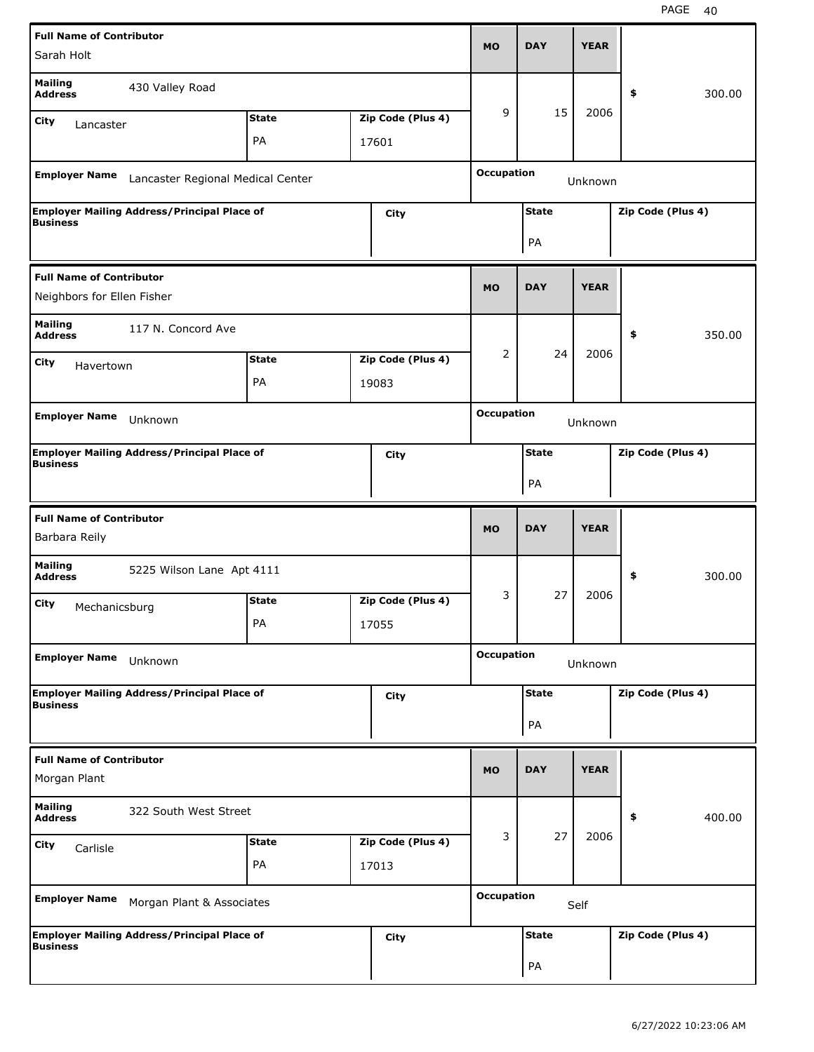| <b>Full Name of Contributor</b>                 |                                                            |              |  |                   |                              |              |                   |                   |  |  |
|-------------------------------------------------|------------------------------------------------------------|--------------|--|-------------------|------------------------------|--------------|-------------------|-------------------|--|--|
| Sarah Holt                                      |                                                            |              |  |                   | <b>MO</b>                    | <b>DAY</b>   | <b>YEAR</b>       |                   |  |  |
| <b>Mailing</b><br><b>Address</b>                | 430 Valley Road                                            |              |  |                   |                              |              |                   | \$<br>300.00      |  |  |
| City<br>Lancaster                               |                                                            | <b>State</b> |  | Zip Code (Plus 4) | 9                            | 15           | 2006              |                   |  |  |
|                                                 |                                                            | PA           |  | 17601             |                              |              |                   |                   |  |  |
|                                                 |                                                            |              |  |                   |                              |              |                   |                   |  |  |
| <b>Employer Name</b>                            | Lancaster Regional Medical Center                          |              |  |                   | <b>Occupation</b>            |              | Unknown           |                   |  |  |
| <b>Business</b>                                 | <b>Employer Mailing Address/Principal Place of</b>         |              |  | City              |                              | <b>State</b> |                   | Zip Code (Plus 4) |  |  |
|                                                 |                                                            |              |  |                   |                              | PA           |                   |                   |  |  |
| <b>Full Name of Contributor</b>                 |                                                            |              |  |                   |                              |              |                   |                   |  |  |
| Neighbors for Ellen Fisher                      |                                                            |              |  |                   | <b>MO</b>                    | <b>DAY</b>   | <b>YEAR</b>       |                   |  |  |
| <b>Mailing</b><br><b>Address</b>                | 117 N. Concord Ave                                         |              |  |                   |                              |              |                   | \$<br>350.00      |  |  |
| City<br>Havertown                               |                                                            | <b>State</b> |  | Zip Code (Plus 4) | 2                            | 24           | 2006              |                   |  |  |
|                                                 |                                                            | PA           |  | 19083             |                              |              |                   |                   |  |  |
|                                                 |                                                            |              |  |                   |                              |              |                   |                   |  |  |
| <b>Employer Name</b>                            | Unknown                                                    |              |  |                   | <b>Occupation</b><br>Unknown |              |                   |                   |  |  |
| <b>Business</b>                                 | <b>Employer Mailing Address/Principal Place of</b><br>City |              |  |                   | <b>State</b>                 |              | Zip Code (Plus 4) |                   |  |  |
|                                                 |                                                            |              |  |                   |                              | PA           |                   |                   |  |  |
|                                                 |                                                            |              |  |                   |                              |              |                   |                   |  |  |
|                                                 |                                                            |              |  |                   |                              |              |                   |                   |  |  |
| <b>Full Name of Contributor</b>                 |                                                            |              |  |                   |                              |              |                   |                   |  |  |
| Barbara Reily                                   |                                                            |              |  |                   | <b>MO</b>                    | <b>DAY</b>   | <b>YEAR</b>       |                   |  |  |
| <b>Mailing</b><br><b>Address</b>                | 5225 Wilson Lane Apt 4111                                  |              |  |                   |                              |              |                   | \$<br>300.00      |  |  |
|                                                 |                                                            | <b>State</b> |  | Zip Code (Plus 4) | 3                            | 27           | 2006              |                   |  |  |
| City<br>Mechanicsburg                           |                                                            | PA           |  |                   |                              |              |                   |                   |  |  |
|                                                 |                                                            |              |  | 17055             |                              |              |                   |                   |  |  |
| <b>Employer Name</b>                            | Unknown                                                    |              |  |                   | <b>Occupation</b>            |              | Unknown           |                   |  |  |
|                                                 | <b>Employer Mailing Address/Principal Place of</b>         |              |  | City              |                              | <b>State</b> |                   | Zip Code (Plus 4) |  |  |
| <b>Business</b>                                 |                                                            |              |  |                   |                              |              |                   |                   |  |  |
|                                                 |                                                            |              |  |                   |                              | PA           |                   |                   |  |  |
| <b>Full Name of Contributor</b><br>Morgan Plant |                                                            |              |  |                   | <b>MO</b>                    | <b>DAY</b>   | <b>YEAR</b>       |                   |  |  |
| <b>Mailing</b><br><b>Address</b>                | 322 South West Street                                      |              |  |                   |                              |              |                   | \$<br>400.00      |  |  |
|                                                 |                                                            | <b>State</b> |  |                   | 3                            | 27           | 2006              |                   |  |  |
| City<br>Carlisle                                |                                                            |              |  | Zip Code (Plus 4) |                              |              |                   |                   |  |  |
|                                                 |                                                            | PA           |  | 17013             |                              |              |                   |                   |  |  |
| <b>Employer Name</b>                            | Morgan Plant & Associates                                  |              |  |                   | <b>Occupation</b>            |              | Self              |                   |  |  |
|                                                 | <b>Employer Mailing Address/Principal Place of</b>         |              |  | City              |                              | <b>State</b> |                   | Zip Code (Plus 4) |  |  |
| <b>Business</b>                                 |                                                            |              |  |                   |                              | PA           |                   |                   |  |  |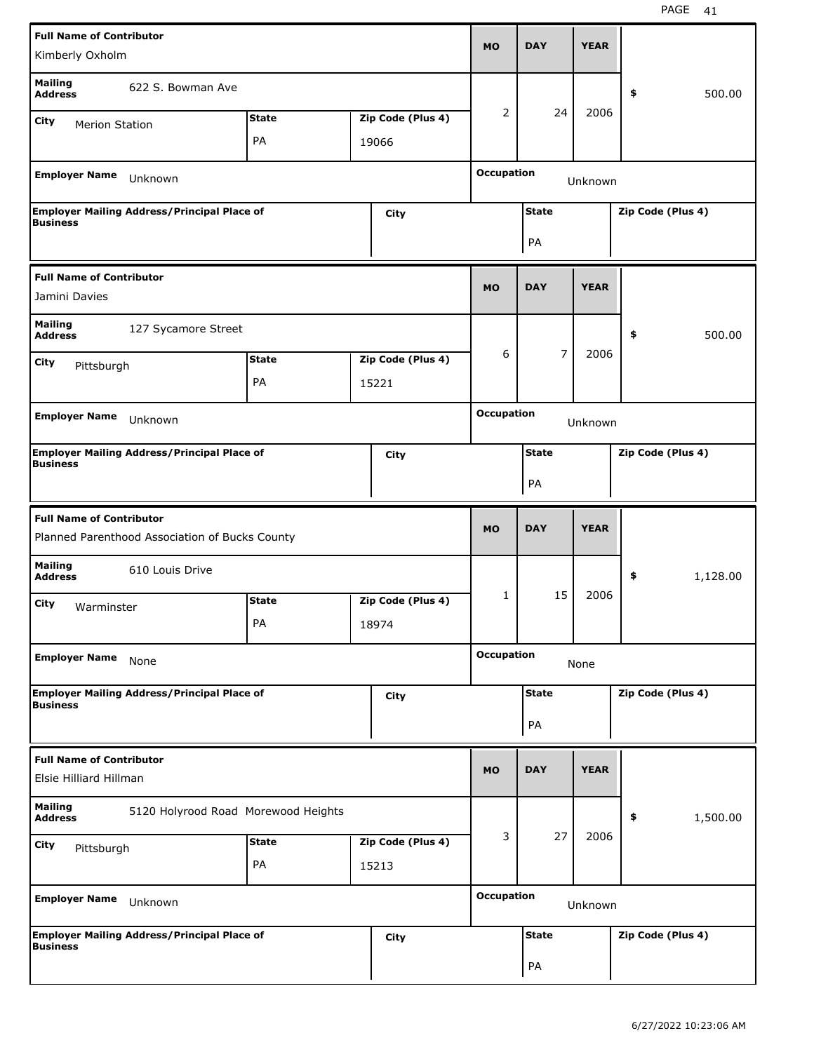| <b>Full Name of Contributor</b>                           |                                                    |              |                   |                   |                |             |                   |
|-----------------------------------------------------------|----------------------------------------------------|--------------|-------------------|-------------------|----------------|-------------|-------------------|
| Kimberly Oxholm                                           |                                                    |              |                   | <b>MO</b>         | <b>DAY</b>     | <b>YEAR</b> |                   |
| <b>Mailing</b><br><b>Address</b>                          | 622 S. Bowman Ave                                  |              |                   |                   |                |             | 500.00<br>\$      |
| City<br><b>Merion Station</b>                             |                                                    | <b>State</b> | Zip Code (Plus 4) | 2                 | 24             | 2006        |                   |
|                                                           |                                                    | PA           | 19066             |                   |                |             |                   |
|                                                           |                                                    |              |                   |                   |                |             |                   |
| <b>Employer Name</b>                                      | Unknown                                            |              |                   | <b>Occupation</b> |                | Unknown     |                   |
| <b>Business</b>                                           | <b>Employer Mailing Address/Principal Place of</b> |              | City              |                   | <b>State</b>   |             | Zip Code (Plus 4) |
|                                                           |                                                    |              |                   |                   | PA             |             |                   |
| <b>Full Name of Contributor</b>                           |                                                    |              |                   |                   |                |             |                   |
| Jamini Davies                                             |                                                    |              |                   | <b>MO</b>         | <b>DAY</b>     | <b>YEAR</b> |                   |
| <b>Mailing</b><br><b>Address</b>                          | 127 Sycamore Street                                |              |                   |                   |                |             | \$<br>500.00      |
| City<br>Pittsburgh                                        |                                                    | <b>State</b> | Zip Code (Plus 4) | 6                 | $\overline{7}$ | 2006        |                   |
|                                                           |                                                    | PA           | 15221             |                   |                |             |                   |
|                                                           |                                                    |              |                   |                   |                |             |                   |
| <b>Employer Name</b>                                      | Unknown                                            |              |                   | <b>Occupation</b> |                | Unknown     |                   |
| <b>Business</b>                                           | <b>Employer Mailing Address/Principal Place of</b> |              | City              |                   | <b>State</b>   |             | Zip Code (Plus 4) |
|                                                           |                                                    |              |                   |                   | PA             |             |                   |
|                                                           |                                                    |              |                   |                   |                |             |                   |
|                                                           |                                                    |              |                   |                   |                |             |                   |
| <b>Full Name of Contributor</b>                           |                                                    |              |                   |                   |                |             |                   |
|                                                           | Planned Parenthood Association of Bucks County     |              |                   | <b>MO</b>         | <b>DAY</b>     | <b>YEAR</b> |                   |
| <b>Mailing</b><br><b>Address</b>                          | 610 Louis Drive                                    |              |                   |                   |                |             | \$<br>1,128.00    |
| City                                                      |                                                    | <b>State</b> | Zip Code (Plus 4) | 1                 | 15             | 2006        |                   |
| Warminster                                                |                                                    | PA           | 18974             |                   |                |             |                   |
|                                                           |                                                    |              |                   |                   |                |             |                   |
| <b>Employer Name</b>                                      | None                                               |              |                   | <b>Occupation</b> |                | None        |                   |
|                                                           | <b>Employer Mailing Address/Principal Place of</b> |              | City              |                   | <b>State</b>   |             | Zip Code (Plus 4) |
| <b>Business</b>                                           |                                                    |              |                   |                   | PA             |             |                   |
|                                                           |                                                    |              |                   |                   |                |             |                   |
| <b>Full Name of Contributor</b><br>Elsie Hilliard Hillman |                                                    |              |                   | <b>MO</b>         | <b>DAY</b>     | <b>YEAR</b> |                   |
| <b>Mailing</b><br><b>Address</b>                          | 5120 Holyrood Road Morewood Heights                |              |                   |                   |                |             | 1,500.00<br>\$    |
|                                                           |                                                    | <b>State</b> | Zip Code (Plus 4) | 3                 | 27             | 2006        |                   |
| City<br>Pittsburgh                                        |                                                    | PA           | 15213             |                   |                |             |                   |
|                                                           |                                                    |              |                   |                   |                |             |                   |
| <b>Employer Name</b>                                      | Unknown                                            |              |                   | <b>Occupation</b> |                | Unknown     |                   |
|                                                           | <b>Employer Mailing Address/Principal Place of</b> |              | City              |                   | <b>State</b>   |             | Zip Code (Plus 4) |
| <b>Business</b>                                           |                                                    |              |                   |                   | PA             |             |                   |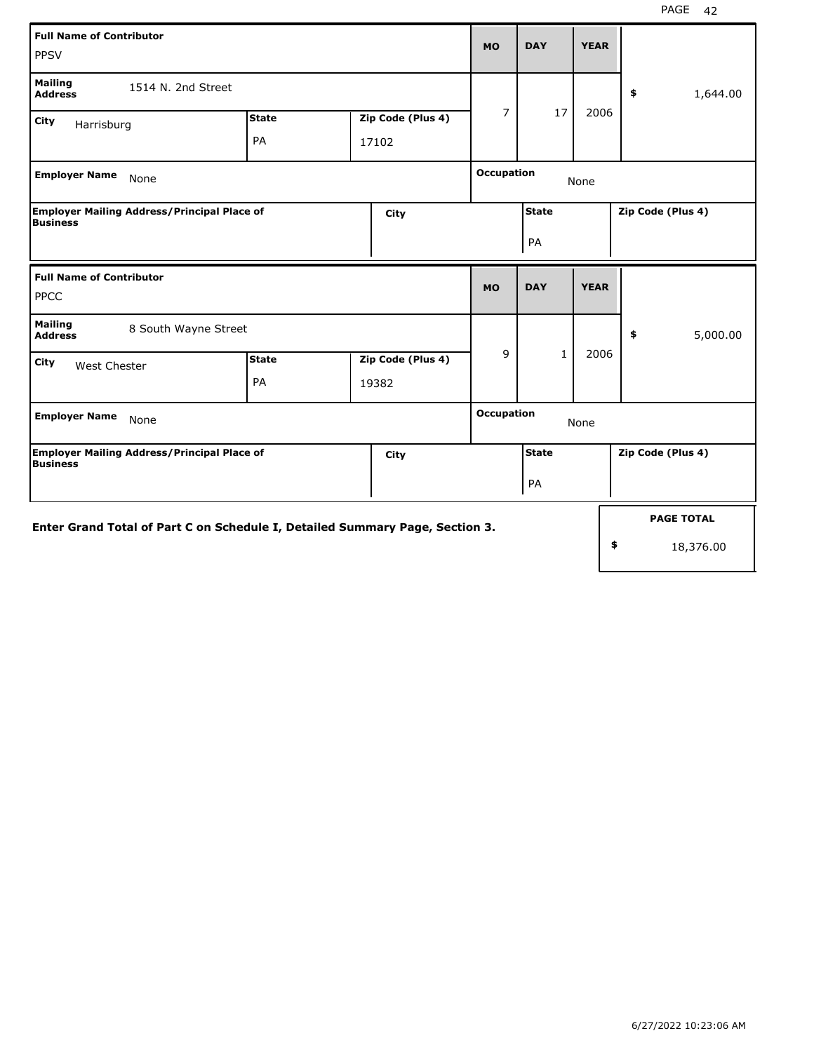| <b>Full Name of Contributor</b><br><b>PPSV</b>                               |              |                   | <b>MO</b>         | <b>DAY</b>   | <b>YEAR</b> |                   |
|------------------------------------------------------------------------------|--------------|-------------------|-------------------|--------------|-------------|-------------------|
| <b>Mailing</b><br>1514 N. 2nd Street<br><b>Address</b>                       |              |                   |                   |              |             | \$<br>1,644.00    |
| City<br>Harrisburg                                                           | <b>State</b> | Zip Code (Plus 4) | $\overline{7}$    | 17           | 2006        |                   |
|                                                                              | PA           | 17102             |                   |              |             |                   |
| <b>Employer Name</b><br>None                                                 |              |                   | <b>Occupation</b> |              | None        |                   |
| <b>Employer Mailing Address/Principal Place of</b><br><b>Business</b>        |              | City              |                   | <b>State</b> |             | Zip Code (Plus 4) |
|                                                                              |              |                   |                   | PA           |             |                   |
| <b>Full Name of Contributor</b><br><b>PPCC</b>                               |              |                   | <b>MO</b>         | <b>DAY</b>   | <b>YEAR</b> |                   |
| <b>Mailing</b><br>8 South Wayne Street<br><b>Address</b>                     |              |                   |                   |              |             | \$<br>5,000.00    |
| City<br>West Chester                                                         | <b>State</b> | Zip Code (Plus 4) | 9                 | $\mathbf{1}$ | 2006        |                   |
|                                                                              | PA           | 19382             |                   |              |             |                   |
| <b>Employer Name</b><br>None                                                 |              |                   | <b>Occupation</b> |              | None        |                   |
| <b>Employer Mailing Address/Principal Place of</b><br>Business               |              | <b>City</b>       |                   | <b>State</b> |             | Zip Code (Plus 4) |
|                                                                              |              |                   |                   | PA           |             |                   |
| Enter Grand Total of Part C on Schedule I, Detailed Summary Page, Section 3. |              |                   |                   |              |             | <b>PAGE TOTAL</b> |
|                                                                              |              |                   |                   |              |             | \$<br>18,376.00   |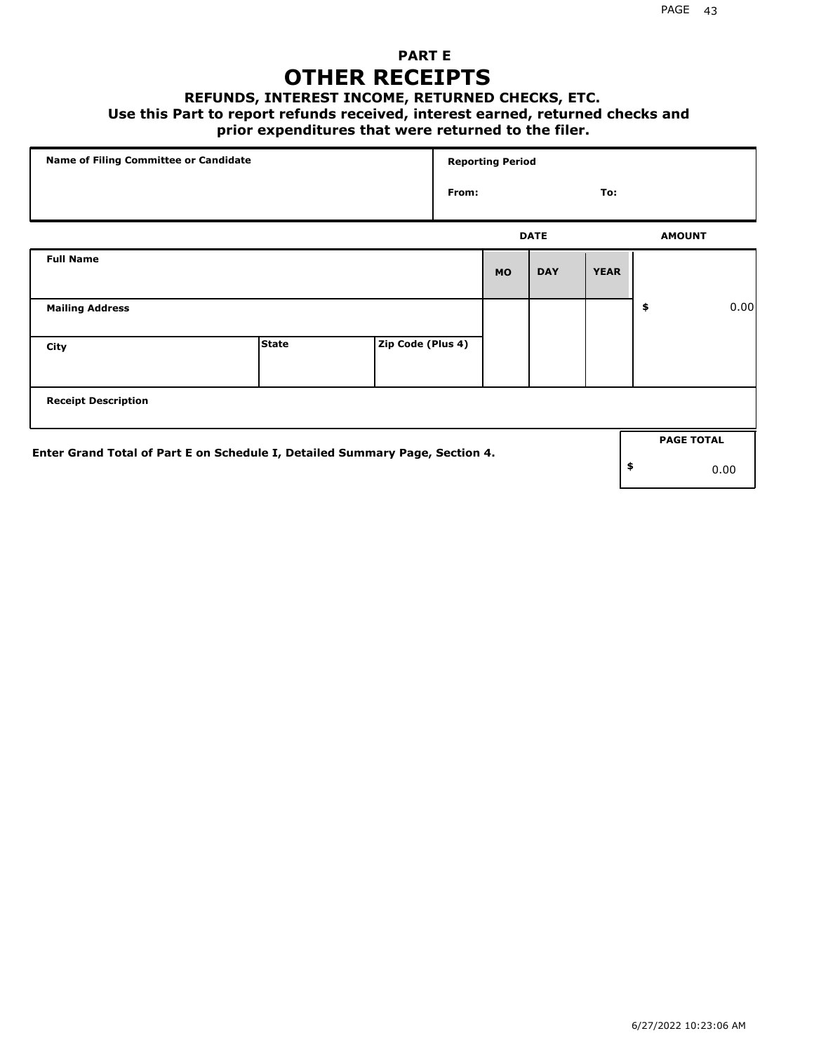## **PART E OTHER RECEIPTS**

#### **REFUNDS, INTEREST INCOME, RETURNED CHECKS, ETC.**

#### **Use this Part to report refunds received, interest earned, returned checks and**

### **prior expenditures that were returned to the filer.**

| Name of Filing Committee or Candidate                                        |              |                   |       | <b>Reporting Period</b> |             |             |                   |      |
|------------------------------------------------------------------------------|--------------|-------------------|-------|-------------------------|-------------|-------------|-------------------|------|
|                                                                              |              |                   | From: |                         |             | To:         |                   |      |
|                                                                              |              |                   |       |                         | <b>DATE</b> |             | <b>AMOUNT</b>     |      |
| <b>Full Name</b>                                                             |              |                   |       | <b>MO</b>               | <b>DAY</b>  | <b>YEAR</b> |                   |      |
| <b>Mailing Address</b>                                                       |              |                   |       |                         |             |             | \$                | 0.00 |
| City                                                                         | <b>State</b> | Zip Code (Plus 4) |       |                         |             |             |                   |      |
| <b>Receipt Description</b>                                                   |              |                   |       |                         |             |             |                   |      |
| Enter Grand Total of Part E on Schedule I, Detailed Summary Page, Section 4. |              |                   |       |                         |             |             | <b>PAGE TOTAL</b> |      |
|                                                                              |              |                   |       |                         |             |             | \$                | 0.00 |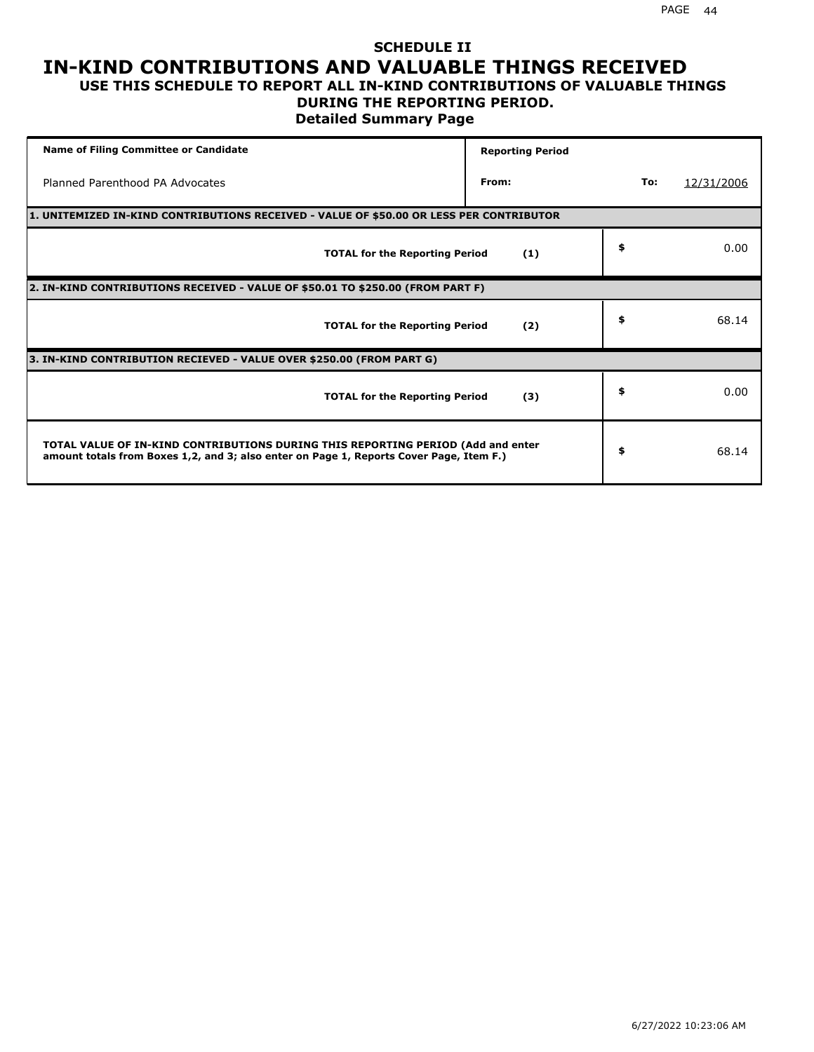### **SCHEDULE II IN-KIND CONTRIBUTIONS AND VALUABLE THINGS RECEIVED USE THIS SCHEDULE TO REPORT ALL IN-KIND CONTRIBUTIONS OF VALUABLE THINGS**

### **DURING THE REPORTING PERIOD.**

**Detailed Summary Page**

| <b>Name of Filing Committee or Candidate</b>                                                                                                                                | <b>Reporting Period</b> |     |            |
|-----------------------------------------------------------------------------------------------------------------------------------------------------------------------------|-------------------------|-----|------------|
| Planned Parenthood PA Advocates                                                                                                                                             | From:                   | To: | 12/31/2006 |
| 1. UNITEMIZED IN-KIND CONTRIBUTIONS RECEIVED - VALUE OF \$50.00 OR LESS PER CONTRIBUTOR                                                                                     |                         |     |            |
| <b>TOTAL for the Reporting Period</b>                                                                                                                                       | (1)                     | \$  | 0.00       |
| 2. IN-KIND CONTRIBUTIONS RECEIVED - VALUE OF \$50.01 TO \$250.00 (FROM PART F)                                                                                              |                         |     |            |
| <b>TOTAL for the Reporting Period</b>                                                                                                                                       | (2)                     | \$  | 68.14      |
| 3. IN-KIND CONTRIBUTION RECIEVED - VALUE OVER \$250.00 (FROM PART G)                                                                                                        |                         |     |            |
| <b>TOTAL for the Reporting Period</b>                                                                                                                                       | (3)                     | \$  | 0.00       |
| TOTAL VALUE OF IN-KIND CONTRIBUTIONS DURING THIS REPORTING PERIOD (Add and enter<br>amount totals from Boxes 1,2, and 3; also enter on Page 1, Reports Cover Page, Item F.) |                         | \$  | 68.14      |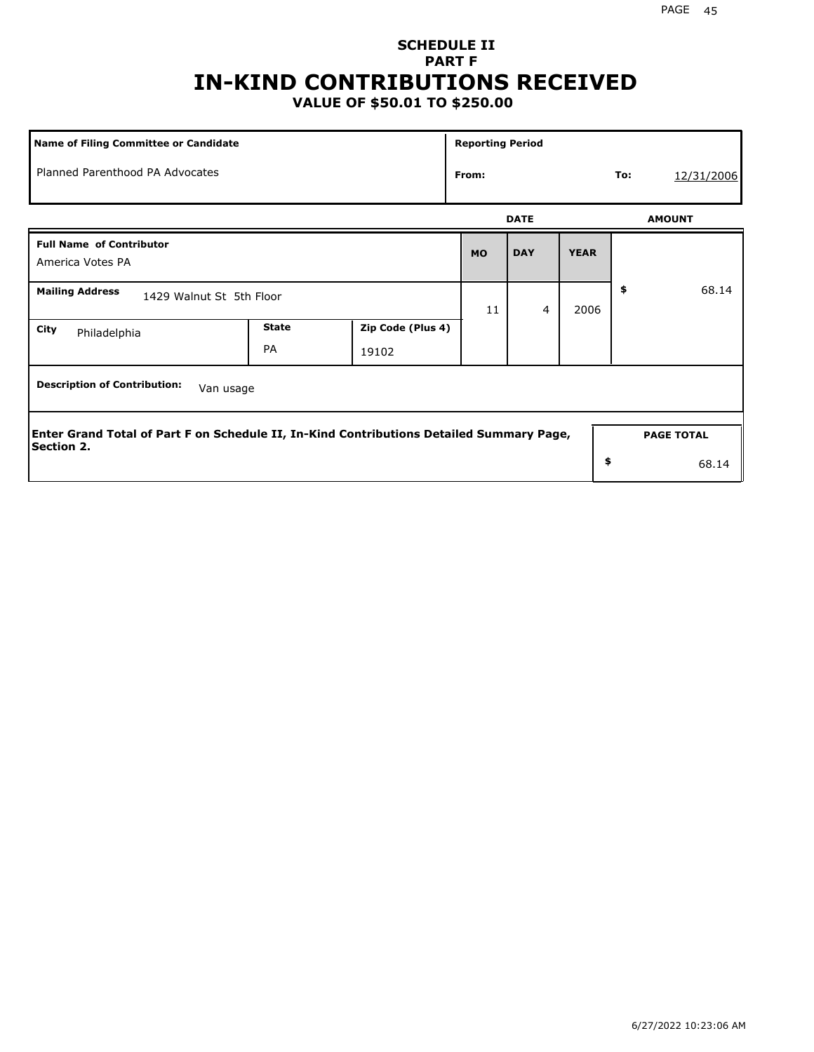## **SCHEDULE II PART F IN-KIND CONTRIBUTIONS RECEIVED**

## **VALUE OF \$50.01 TO \$250.00**

| <b>Name of Filing Committee or Candidate</b>                                                                  |              |                   | <b>Reporting Period</b> |                |             |     |                   |
|---------------------------------------------------------------------------------------------------------------|--------------|-------------------|-------------------------|----------------|-------------|-----|-------------------|
| Planned Parenthood PA Advocates                                                                               |              |                   | From:                   |                |             | To: | 12/31/2006        |
|                                                                                                               |              |                   |                         | <b>DATE</b>    |             |     | <b>AMOUNT</b>     |
| <b>Full Name of Contributor</b><br>America Votes PA                                                           |              |                   | <b>MO</b>               | <b>DAY</b>     | <b>YEAR</b> |     |                   |
| <b>Mailing Address</b><br>1429 Walnut St 5th Floor                                                            |              |                   | 11                      | $\overline{4}$ | 2006        | \$  | 68.14             |
| City<br>Philadelphia                                                                                          | <b>State</b> | Zip Code (Plus 4) |                         |                |             |     |                   |
|                                                                                                               | <b>PA</b>    | 19102             |                         |                |             |     |                   |
| <b>Description of Contribution:</b><br>Van usage                                                              |              |                   |                         |                |             |     |                   |
|                                                                                                               |              |                   |                         |                |             |     |                   |
| Enter Grand Total of Part F on Schedule II, In-Kind Contributions Detailed Summary Page,<br><b>Section 2.</b> |              |                   |                         |                |             |     | <b>PAGE TOTAL</b> |
|                                                                                                               |              |                   |                         |                |             | \$  | 68.14             |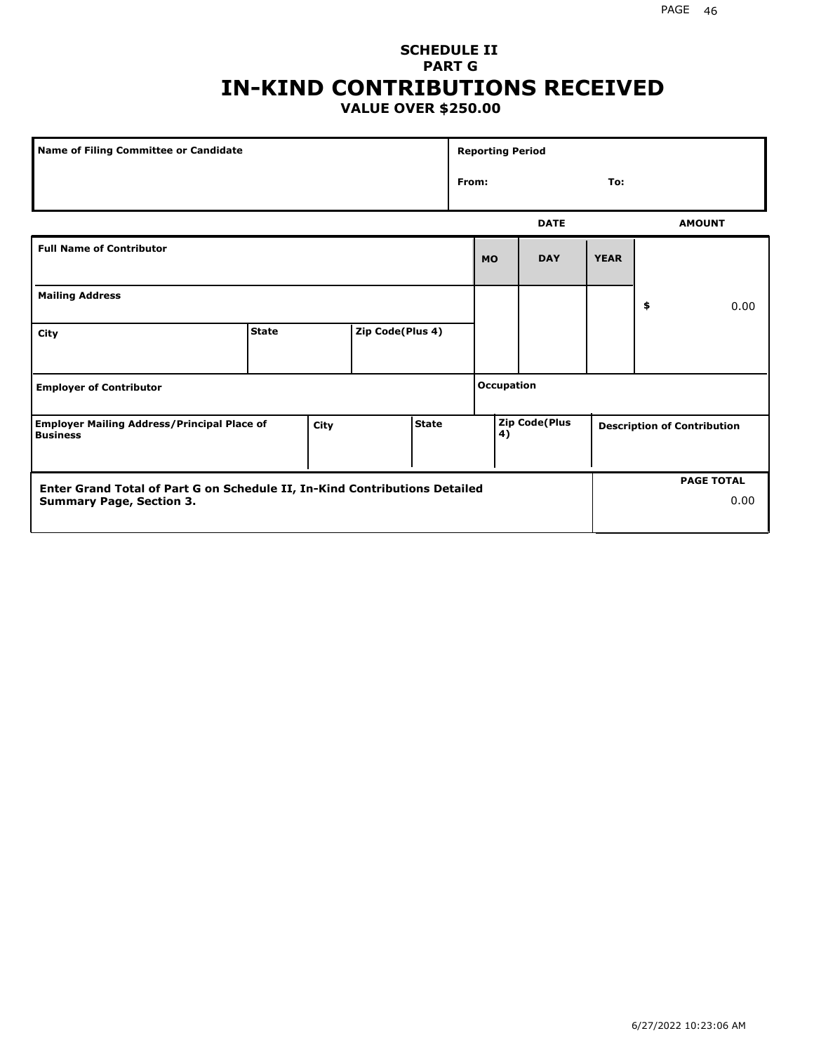0.00

### **SCHEDULE II PART G IN-KIND CONTRIBUTIONS RECEIVED VALUE OVER \$250.00**

| Name of Filing Committee or Candidate                                      |              |      |                  |              |       | <b>Reporting Period</b> |                      |             |                                    |
|----------------------------------------------------------------------------|--------------|------|------------------|--------------|-------|-------------------------|----------------------|-------------|------------------------------------|
|                                                                            |              |      |                  |              | From: |                         |                      | To:         |                                    |
|                                                                            |              |      |                  |              |       |                         | <b>DATE</b>          |             | <b>AMOUNT</b>                      |
| <b>Full Name of Contributor</b>                                            |              |      |                  |              |       | <b>MO</b>               | <b>DAY</b>           | <b>YEAR</b> |                                    |
| <b>Mailing Address</b>                                                     |              |      |                  |              |       |                         |                      |             | \$<br>0.00                         |
| City                                                                       | <b>State</b> |      | Zip Code(Plus 4) |              |       |                         |                      |             |                                    |
| <b>Employer of Contributor</b>                                             |              |      |                  |              |       | Occupation              |                      |             |                                    |
| <b>Employer Mailing Address/Principal Place of</b><br><b>Business</b>      |              | City |                  | <b>State</b> |       | 4)                      | <b>Zip Code(Plus</b> |             | <b>Description of Contribution</b> |
| Enter Grand Total of Part G on Schedule II, In-Kind Contributions Detailed |              |      |                  |              |       |                         |                      |             | <b>PAGE TOTAL</b>                  |

**Summary Page, Section 3.**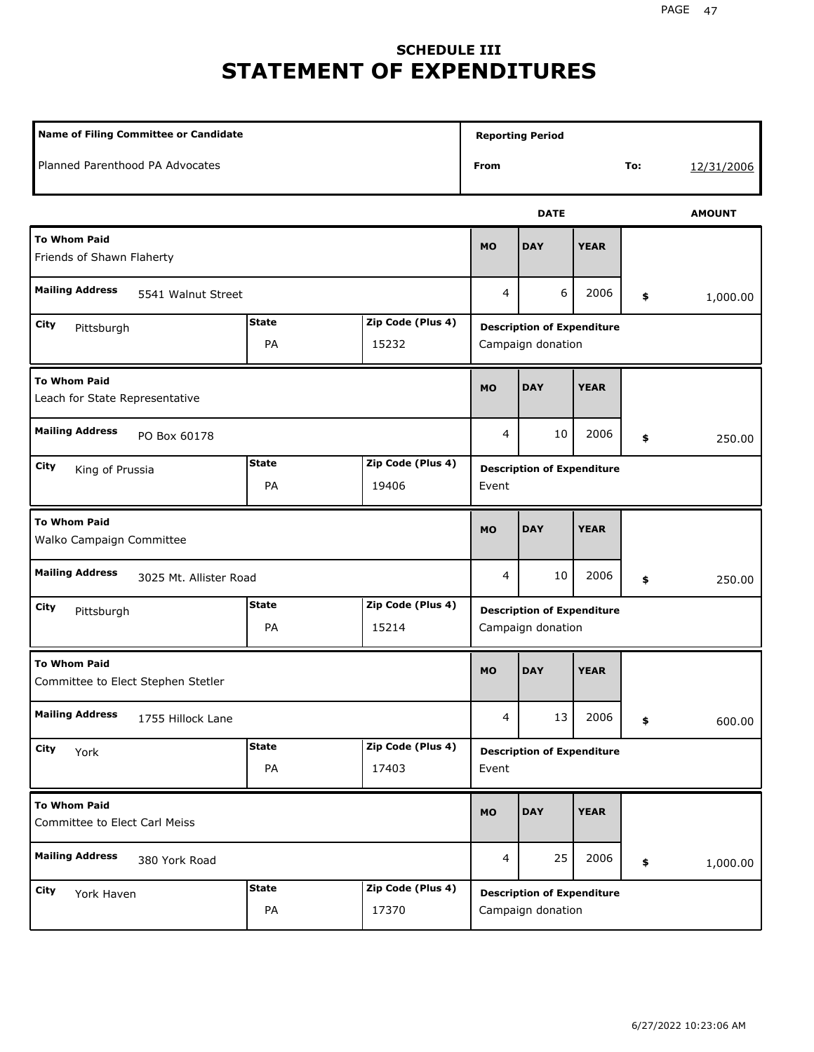## **SCHEDULE III STATEMENT OF EXPENDITURES**

| Name of Filing Committee or Candidate                                       |                    |                            |           | <b>Reporting Period</b>                                |             |     |               |
|-----------------------------------------------------------------------------|--------------------|----------------------------|-----------|--------------------------------------------------------|-------------|-----|---------------|
| Planned Parenthood PA Advocates                                             |                    |                            | From      |                                                        |             | To: | 12/31/2006    |
|                                                                             |                    |                            |           | <b>DATE</b>                                            |             |     | <b>AMOUNT</b> |
| <b>To Whom Paid</b><br>Friends of Shawn Flaherty                            |                    |                            | <b>MO</b> | <b>DAY</b>                                             | <b>YEAR</b> |     |               |
| <b>Mailing Address</b><br>5541 Walnut Street                                |                    |                            | 4         | 6                                                      | 2006        | \$  | 1,000.00      |
| City<br>Pittsburgh                                                          | <b>State</b><br>PA | Zip Code (Plus 4)<br>15232 |           | <b>Description of Expenditure</b><br>Campaign donation |             |     |               |
| <b>To Whom Paid</b><br>Leach for State Representative                       |                    |                            | <b>MO</b> | <b>DAY</b>                                             | <b>YEAR</b> |     |               |
| <b>Mailing Address</b><br>PO Box 60178                                      |                    |                            | 4         | 10                                                     | 2006        | \$  | 250.00        |
| <b>State</b><br>Zip Code (Plus 4)<br>City<br>King of Prussia<br>PA<br>19406 |                    |                            | Event     | <b>Description of Expenditure</b>                      |             |     |               |
| <b>To Whom Paid</b><br>Walko Campaign Committee                             |                    |                            | <b>MO</b> | <b>DAY</b>                                             | <b>YEAR</b> |     |               |
| <b>Mailing Address</b><br>3025 Mt. Allister Road                            |                    |                            | 4         | 10                                                     | 2006        | \$  | 250.00        |
| City<br>Pittsburgh                                                          | <b>State</b><br>PA | Zip Code (Plus 4)<br>15214 |           | <b>Description of Expenditure</b><br>Campaign donation |             |     |               |
| <b>To Whom Paid</b><br>Committee to Elect Stephen Stetler                   |                    |                            | <b>MO</b> | <b>DAY</b>                                             | <b>YEAR</b> |     |               |
| <b>Mailing Address</b><br>1755 Hillock Lane                                 |                    |                            | 4         | 13                                                     | 2006        | \$  | 600.00        |
| <b>State</b><br>Zip Code (Plus 4)<br>City<br>York<br>PA<br>17403            |                    |                            | Event     | <b>Description of Expenditure</b>                      |             |     |               |
| <b>To Whom Paid</b><br>Committee to Elect Carl Meiss                        |                    |                            | <b>MO</b> | <b>DAY</b>                                             | <b>YEAR</b> |     |               |
| <b>Mailing Address</b><br>380 York Road                                     |                    |                            | 4         | 25                                                     | 2006        | \$  | 1,000.00      |
| City<br>York Haven                                                          | <b>State</b><br>PA | Zip Code (Plus 4)<br>17370 |           | <b>Description of Expenditure</b><br>Campaign donation |             |     |               |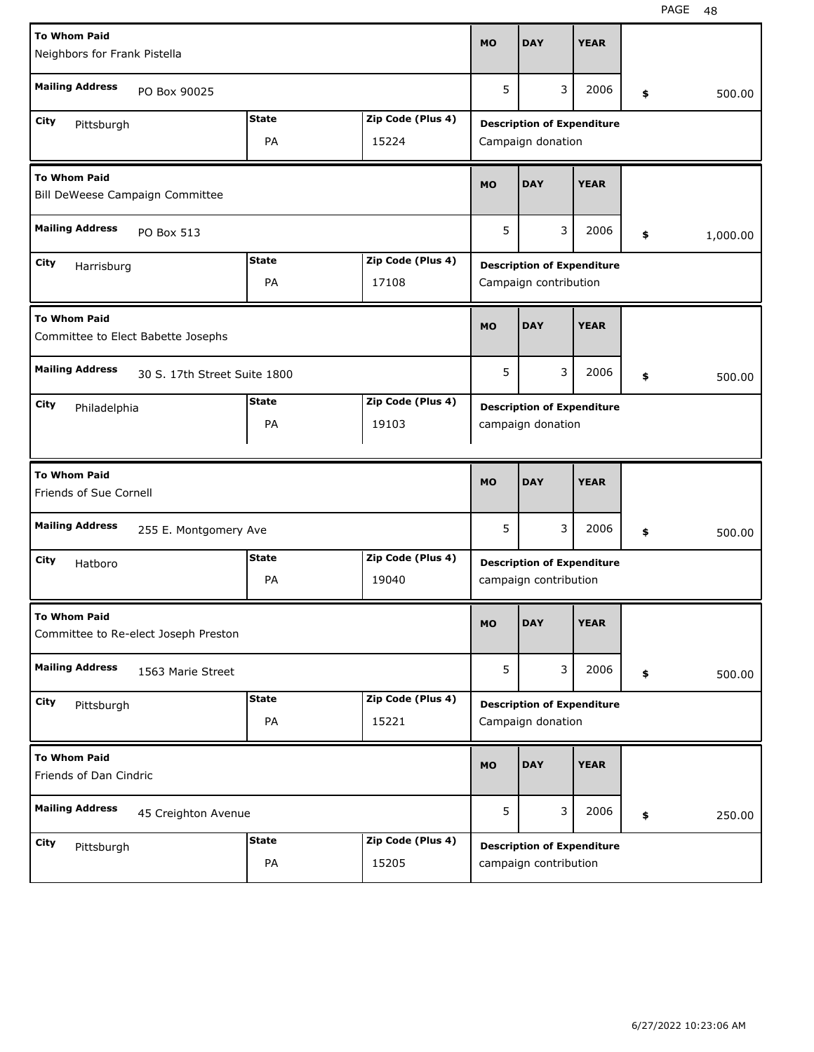| <b>To Whom Paid</b><br>Neighbors for Frank Pistella |                                      |              |                   | <b>MO</b>         | <b>DAY</b>                                             | <b>YEAR</b> |                |
|-----------------------------------------------------|--------------------------------------|--------------|-------------------|-------------------|--------------------------------------------------------|-------------|----------------|
| <b>Mailing Address</b>                              | PO Box 90025                         |              |                   | 5                 | 3                                                      | 2006        | \$<br>500.00   |
| City                                                |                                      | <b>State</b> | Zip Code (Plus 4) |                   |                                                        |             |                |
| Pittsburgh                                          |                                      | PA           | 15224             |                   | <b>Description of Expenditure</b><br>Campaign donation |             |                |
| <b>To Whom Paid</b>                                 | Bill DeWeese Campaign Committee      |              |                   | <b>MO</b>         | <b>DAY</b>                                             | <b>YEAR</b> |                |
| <b>Mailing Address</b>                              | PO Box 513                           |              |                   | 5                 | 3                                                      | 2006        | \$<br>1,000.00 |
| City<br>Harrisburg                                  |                                      | <b>State</b> | Zip Code (Plus 4) |                   | <b>Description of Expenditure</b>                      |             |                |
|                                                     |                                      | PA           | 17108             |                   | Campaign contribution                                  |             |                |
| <b>To Whom Paid</b>                                 | Committee to Elect Babette Josephs   |              |                   | <b>MO</b>         | <b>DAY</b>                                             | <b>YEAR</b> |                |
| <b>Mailing Address</b>                              | 30 S. 17th Street Suite 1800         |              |                   | 5                 | 3                                                      | 2006        | \$<br>500.00   |
| City                                                |                                      | <b>State</b> | Zip Code (Plus 4) |                   | <b>Description of Expenditure</b>                      |             |                |
| Philadelphia<br>PA<br>19103                         |                                      |              |                   | campaign donation |                                                        |             |                |
|                                                     |                                      |              |                   |                   |                                                        |             |                |
| <b>To Whom Paid</b><br>Friends of Sue Cornell       |                                      |              |                   | <b>MO</b>         | <b>DAY</b>                                             | <b>YEAR</b> |                |
| <b>Mailing Address</b>                              | 255 E. Montgomery Ave                |              |                   | 5                 | 3                                                      | 2006        | \$<br>500.00   |
| City<br>Hatboro                                     |                                      | <b>State</b> | Zip Code (Plus 4) |                   | <b>Description of Expenditure</b>                      |             |                |
|                                                     |                                      | PA           | 19040             |                   | campaign contribution                                  |             |                |
| <b>To Whom Paid</b>                                 | Committee to Re-elect Joseph Preston |              |                   | <b>MO</b>         | <b>DAY</b>                                             | <b>YEAR</b> |                |
| <b>Mailing Address</b>                              | 1563 Marie Street                    |              |                   | 5                 | 3                                                      | 2006        | \$<br>500.00   |
| City                                                |                                      | <b>State</b> | Zip Code (Plus 4) |                   | <b>Description of Expenditure</b>                      |             |                |
| Pittsburgh<br>PA<br>15221                           |                                      |              |                   |                   | Campaign donation                                      |             |                |
| <b>To Whom Paid</b>                                 |                                      |              |                   | <b>MO</b>         | <b>DAY</b>                                             | <b>YEAR</b> |                |
| Friends of Dan Cindric                              |                                      |              |                   |                   |                                                        |             |                |
| <b>Mailing Address</b>                              | 45 Creighton Avenue                  |              |                   | 5                 | 3                                                      | 2006        | \$<br>250.00   |
| City<br>Pittsburgh                                  |                                      | <b>State</b> | Zip Code (Plus 4) |                   | <b>Description of Expenditure</b>                      |             |                |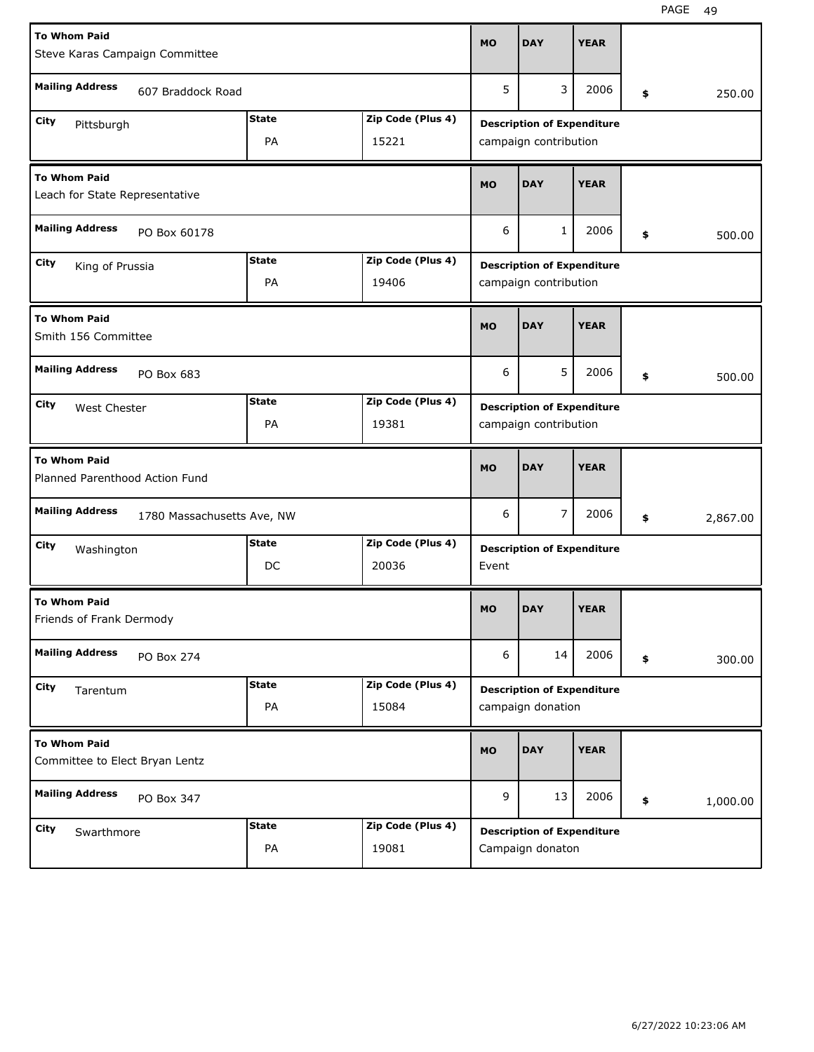| <b>To Whom Paid</b><br>Steve Karas Campaign Committee |                            |                       | <b>MO</b> | <b>DAY</b>                                            | <b>YEAR</b> |                |
|-------------------------------------------------------|----------------------------|-----------------------|-----------|-------------------------------------------------------|-------------|----------------|
| <b>Mailing Address</b><br>607 Braddock Road           |                            |                       | 5         | 3                                                     | 2006        | \$<br>250.00   |
| <b>City</b>                                           | <b>State</b>               | Zip Code (Plus 4)     |           | <b>Description of Expenditure</b>                     |             |                |
| Pittsburgh                                            |                            | campaign contribution |           |                                                       |             |                |
| <b>To Whom Paid</b><br>Leach for State Representative |                            |                       |           | <b>DAY</b>                                            | <b>YEAR</b> |                |
| <b>Mailing Address</b><br>PO Box 60178                |                            |                       | 6         | $\mathbf{1}$                                          | 2006        | \$<br>500.00   |
| <b>City</b><br>King of Prussia                        | <b>State</b>               | Zip Code (Plus 4)     |           | <b>Description of Expenditure</b>                     |             |                |
|                                                       | PA                         | 19406                 |           | campaign contribution                                 |             |                |
| <b>To Whom Paid</b><br>Smith 156 Committee            |                            |                       | <b>MO</b> | <b>DAY</b>                                            | <b>YEAR</b> |                |
| <b>Mailing Address</b><br>PO Box 683                  |                            |                       | 6         | 5                                                     | 2006        | \$<br>500.00   |
| City<br><b>West Chester</b>                           | <b>State</b>               | Zip Code (Plus 4)     |           | <b>Description of Expenditure</b>                     |             |                |
|                                                       | PA                         | 19381                 |           | campaign contribution                                 |             |                |
| <b>To Whom Paid</b>                                   |                            |                       |           |                                                       |             |                |
| Planned Parenthood Action Fund                        |                            |                       | <b>MO</b> | <b>DAY</b>                                            | <b>YEAR</b> |                |
| <b>Mailing Address</b>                                | 1780 Massachusetts Ave, NW |                       | 6         | 7                                                     | 2006        | \$<br>2,867.00 |
| City                                                  | <b>State</b>               | Zip Code (Plus 4)     |           | <b>Description of Expenditure</b>                     |             |                |
| Washington                                            | DC                         | 20036                 | Event     |                                                       |             |                |
| <b>To Whom Paid</b><br>Friends of Frank Dermody       |                            |                       | <b>MO</b> | <b>DAY</b>                                            | <b>YEAR</b> |                |
| <b>Mailing Address</b><br>PO Box 274                  |                            |                       | 6         | 14                                                    | 2006        | \$<br>300.00   |
| City<br>Tarentum                                      | <b>State</b>               | Zip Code (Plus 4)     |           | <b>Description of Expenditure</b>                     |             |                |
|                                                       | PA                         | 15084                 |           | campaign donation                                     |             |                |
| <b>To Whom Paid</b><br>Committee to Elect Bryan Lentz |                            |                       | <b>MO</b> | <b>DAY</b>                                            | <b>YEAR</b> |                |
| <b>Mailing Address</b><br>PO Box 347                  |                            |                       | 9         | 13                                                    | 2006        | \$<br>1,000.00 |
| City                                                  | <b>State</b>               | Zip Code (Plus 4)     |           |                                                       |             |                |
| Swarthmore                                            | PA                         | 19081                 |           | <b>Description of Expenditure</b><br>Campaign donaton |             |                |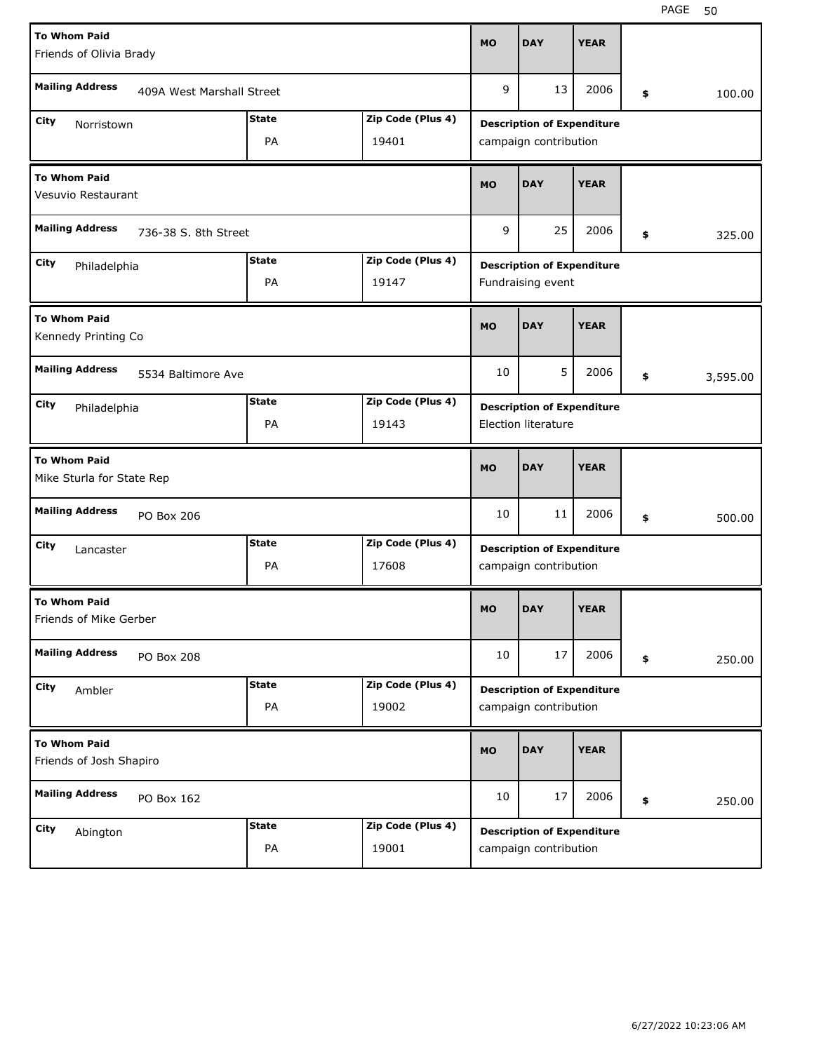| <b>To Whom Paid</b><br>Friends of Olivia Brady      |                      |              |                   | <b>MO</b> | <b>DAY</b>                        | <b>YEAR</b> |                |
|-----------------------------------------------------|----------------------|--------------|-------------------|-----------|-----------------------------------|-------------|----------------|
| <b>Mailing Address</b><br>409A West Marshall Street |                      |              |                   |           | 13                                | 2006        | \$<br>100.00   |
| City<br>Norristown                                  |                      | <b>State</b> | Zip Code (Plus 4) |           | <b>Description of Expenditure</b> |             |                |
|                                                     |                      | PA           | 19401             |           | campaign contribution             |             |                |
| <b>To Whom Paid</b><br>Vesuvio Restaurant           |                      |              |                   | <b>MO</b> | <b>DAY</b>                        | <b>YEAR</b> |                |
| <b>Mailing Address</b>                              | 736-38 S. 8th Street |              |                   | 9         | 25                                | 2006        | \$<br>325.00   |
| City<br>Philadelphia                                |                      | <b>State</b> | Zip Code (Plus 4) |           | <b>Description of Expenditure</b> |             |                |
|                                                     |                      | PA           | 19147             |           | Fundraising event                 |             |                |
| <b>To Whom Paid</b><br>Kennedy Printing Co          |                      |              |                   | <b>MO</b> | <b>DAY</b>                        | <b>YEAR</b> |                |
| <b>Mailing Address</b>                              | 5534 Baltimore Ave   |              |                   | 10        | 5                                 | 2006        | \$<br>3,595.00 |
| City<br>Philadelphia                                |                      | <b>State</b> | Zip Code (Plus 4) |           | <b>Description of Expenditure</b> |             |                |
|                                                     |                      |              |                   |           |                                   |             |                |
|                                                     |                      | PA           | 19143             |           | <b>Election literature</b>        |             |                |
| <b>To Whom Paid</b><br>Mike Sturla for State Rep    |                      |              |                   | <b>MO</b> | <b>DAY</b>                        | <b>YEAR</b> |                |
| <b>Mailing Address</b>                              | PO Box 206           |              |                   | 10        | 11                                | 2006        | \$<br>500.00   |
| City<br>Lancaster                                   |                      | <b>State</b> | Zip Code (Plus 4) |           | <b>Description of Expenditure</b> |             |                |
|                                                     |                      | PA           | 17608             |           | campaign contribution             |             |                |
| <b>To Whom Paid</b><br>Friends of Mike Gerber       |                      |              |                   | <b>MO</b> | <b>DAY</b>                        | <b>YEAR</b> |                |
| <b>Mailing Address</b>                              | PO Box 208           |              |                   | 10        | 17                                | 2006        | \$<br>250.00   |
| City<br>Ambler                                      |                      | <b>State</b> | Zip Code (Plus 4) |           | <b>Description of Expenditure</b> |             |                |
|                                                     |                      | PA           | 19002             |           | campaign contribution             |             |                |
| <b>To Whom Paid</b><br>Friends of Josh Shapiro      |                      |              |                   | <b>MO</b> | <b>DAY</b>                        | <b>YEAR</b> |                |
| <b>Mailing Address</b>                              | PO Box 162           |              |                   | 10        | 17                                | 2006        | \$<br>250.00   |
| City<br>Abington                                    |                      | <b>State</b> | Zip Code (Plus 4) |           | <b>Description of Expenditure</b> |             |                |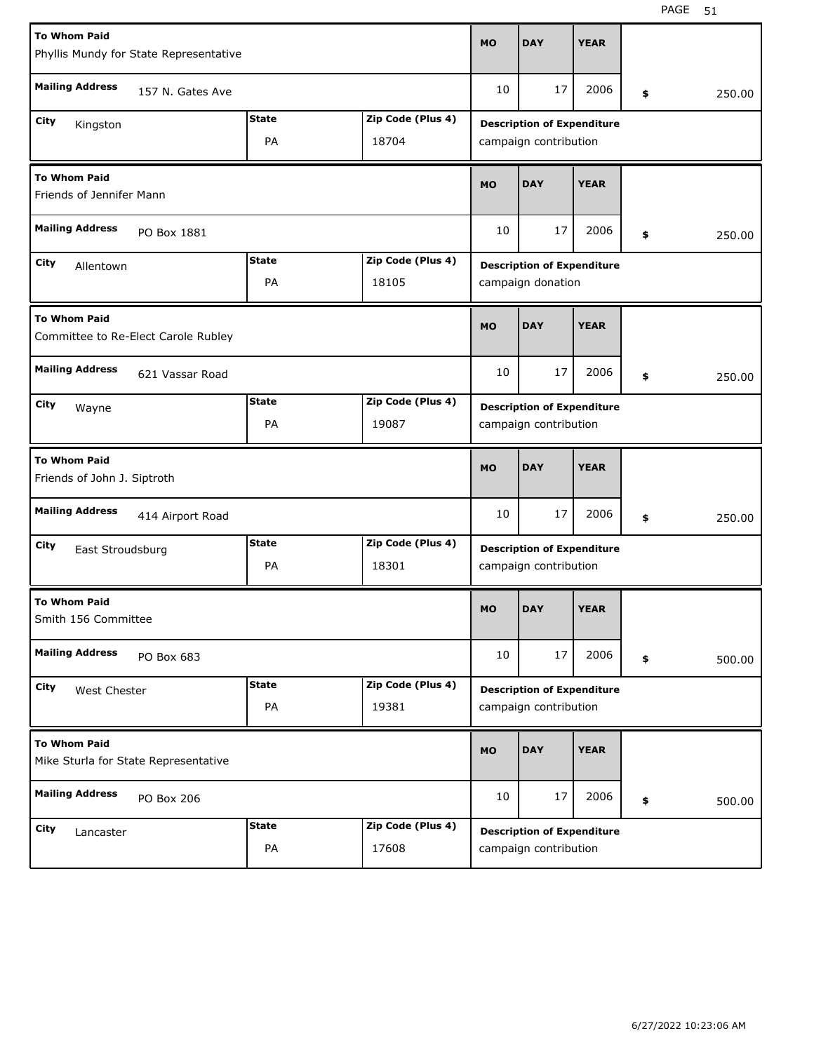| <b>To Whom Paid</b><br>Phyllis Mundy for State Representative |              |                                   | <b>MO</b> | <b>DAY</b>                        | <b>YEAR</b> |              |
|---------------------------------------------------------------|--------------|-----------------------------------|-----------|-----------------------------------|-------------|--------------|
| <b>Mailing Address</b><br>157 N. Gates Ave                    |              |                                   | 10        | 17                                | 2006        | \$<br>250.00 |
| City<br>Kingston                                              |              | <b>Description of Expenditure</b> |           |                                   |             |              |
|                                                               | PA           | 18704                             |           | campaign contribution             |             |              |
| <b>To Whom Paid</b><br>Friends of Jennifer Mann               |              |                                   | <b>MO</b> | <b>DAY</b>                        | <b>YEAR</b> |              |
| <b>Mailing Address</b><br>PO Box 1881                         |              |                                   | 10        | 17                                | 2006        | \$<br>250.00 |
| City<br>Allentown                                             | <b>State</b> | Zip Code (Plus 4)                 |           | <b>Description of Expenditure</b> |             |              |
|                                                               | PA           | 18105                             |           | campaign donation                 |             |              |
| <b>To Whom Paid</b><br>Committee to Re-Elect Carole Rubley    |              |                                   | <b>MO</b> | <b>DAY</b>                        | <b>YEAR</b> |              |
| <b>Mailing Address</b><br>621 Vassar Road                     |              |                                   | 10        | 17                                | 2006        | \$<br>250.00 |
| City<br>Wayne                                                 | <b>State</b> | Zip Code (Plus 4)                 |           | <b>Description of Expenditure</b> |             |              |
|                                                               | PA           | 19087                             |           | campaign contribution             |             |              |
|                                                               |              |                                   |           |                                   |             |              |
| <b>To Whom Paid</b><br>Friends of John J. Siptroth            |              |                                   | <b>MO</b> | <b>DAY</b>                        | <b>YEAR</b> |              |
| <b>Mailing Address</b><br>414 Airport Road                    |              |                                   | 10        | 17                                | 2006        | \$<br>250.00 |
| City<br>East Stroudsburg                                      | <b>State</b> | Zip Code (Plus 4)                 |           | <b>Description of Expenditure</b> |             |              |
|                                                               | PA           | 18301                             |           | campaign contribution             |             |              |
| <b>To Whom Paid</b><br>Smith 156 Committee                    |              |                                   | <b>MO</b> | <b>DAY</b>                        | <b>YEAR</b> |              |
| <b>Mailing Address</b><br>PO Box 683                          |              |                                   | 10        | 17                                | 2006        | \$<br>500.00 |
| City<br>West Chester                                          | <b>State</b> | Zip Code (Plus 4)                 |           | <b>Description of Expenditure</b> |             |              |
|                                                               | PA           | 19381                             |           | campaign contribution             |             |              |
| <b>To Whom Paid</b><br>Mike Sturla for State Representative   |              |                                   | MO        | <b>DAY</b>                        | <b>YEAR</b> |              |
| <b>Mailing Address</b><br>PO Box 206                          |              |                                   | 10        | 17                                | 2006        | \$<br>500.00 |
| City<br>Lancaster                                             | <b>State</b> | Zip Code (Plus 4)                 |           | <b>Description of Expenditure</b> |             |              |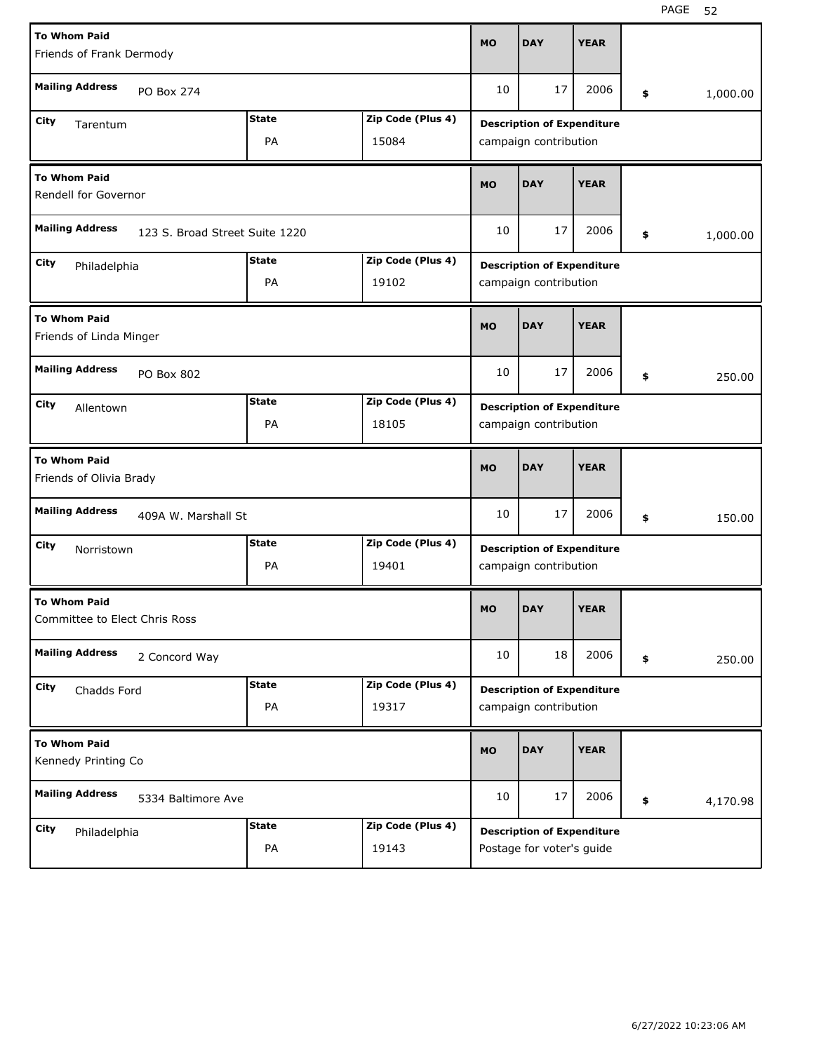| <b>To Whom Paid</b><br>Friends of Frank Dermody      |                                |              |                   |           | <b>DAY</b>                                                 | <b>YEAR</b> |                |  |
|------------------------------------------------------|--------------------------------|--------------|-------------------|-----------|------------------------------------------------------------|-------------|----------------|--|
| <b>Mailing Address</b>                               | PO Box 274                     |              |                   |           | 17                                                         | 2006        | \$<br>1,000.00 |  |
| City<br>Tarentum                                     |                                | <b>State</b> | Zip Code (Plus 4) |           | <b>Description of Expenditure</b>                          |             |                |  |
|                                                      |                                | PA           | 15084             |           | campaign contribution                                      |             |                |  |
| <b>To Whom Paid</b><br>Rendell for Governor          |                                |              |                   | <b>MO</b> | <b>DAY</b>                                                 | <b>YEAR</b> |                |  |
| <b>Mailing Address</b>                               | 123 S. Broad Street Suite 1220 |              |                   | 10        | 17                                                         | 2006        | \$<br>1,000.00 |  |
| City<br>Philadelphia                                 |                                | <b>State</b> | Zip Code (Plus 4) |           | <b>Description of Expenditure</b>                          |             |                |  |
|                                                      |                                | PA           | 19102             |           | campaign contribution                                      |             |                |  |
| <b>To Whom Paid</b><br>Friends of Linda Minger       |                                |              |                   | <b>MO</b> | <b>DAY</b>                                                 | <b>YEAR</b> |                |  |
| <b>Mailing Address</b>                               | PO Box 802                     |              |                   | 10        | 17                                                         | 2006        | \$<br>250.00   |  |
| City<br>Allentown                                    |                                | <b>State</b> | Zip Code (Plus 4) |           | <b>Description of Expenditure</b>                          |             |                |  |
|                                                      |                                | PA           | 18105             |           | campaign contribution                                      |             |                |  |
|                                                      |                                |              |                   |           |                                                            |             |                |  |
| <b>To Whom Paid</b><br>Friends of Olivia Brady       |                                |              |                   | <b>MO</b> | <b>DAY</b>                                                 | <b>YEAR</b> |                |  |
| <b>Mailing Address</b>                               | 409A W. Marshall St            |              |                   | 10        | 17                                                         | 2006        | \$<br>150.00   |  |
| City                                                 |                                | <b>State</b> | Zip Code (Plus 4) |           |                                                            |             |                |  |
| Norristown                                           |                                | PA           | 19401             |           | <b>Description of Expenditure</b><br>campaign contribution |             |                |  |
| <b>To Whom Paid</b><br>Committee to Elect Chris Ross |                                |              |                   | <b>MO</b> | <b>DAY</b>                                                 | <b>YEAR</b> |                |  |
| <b>Mailing Address</b>                               | 2 Concord Way                  |              |                   | 10        | 18                                                         | 2006        | \$<br>250.00   |  |
| City                                                 |                                | <b>State</b> | Zip Code (Plus 4) |           |                                                            |             |                |  |
| Chadds Ford                                          |                                | PA           | 19317             |           | <b>Description of Expenditure</b><br>campaign contribution |             |                |  |
| <b>To Whom Paid</b><br>Kennedy Printing Co           |                                |              |                   | <b>MO</b> | <b>DAY</b>                                                 | <b>YEAR</b> |                |  |
| <b>Mailing Address</b>                               | 5334 Baltimore Ave             |              |                   | 10        | 17                                                         | 2006        | \$<br>4,170.98 |  |
| City<br>Philadelphia                                 |                                | <b>State</b> | Zip Code (Plus 4) |           | <b>Description of Expenditure</b>                          |             |                |  |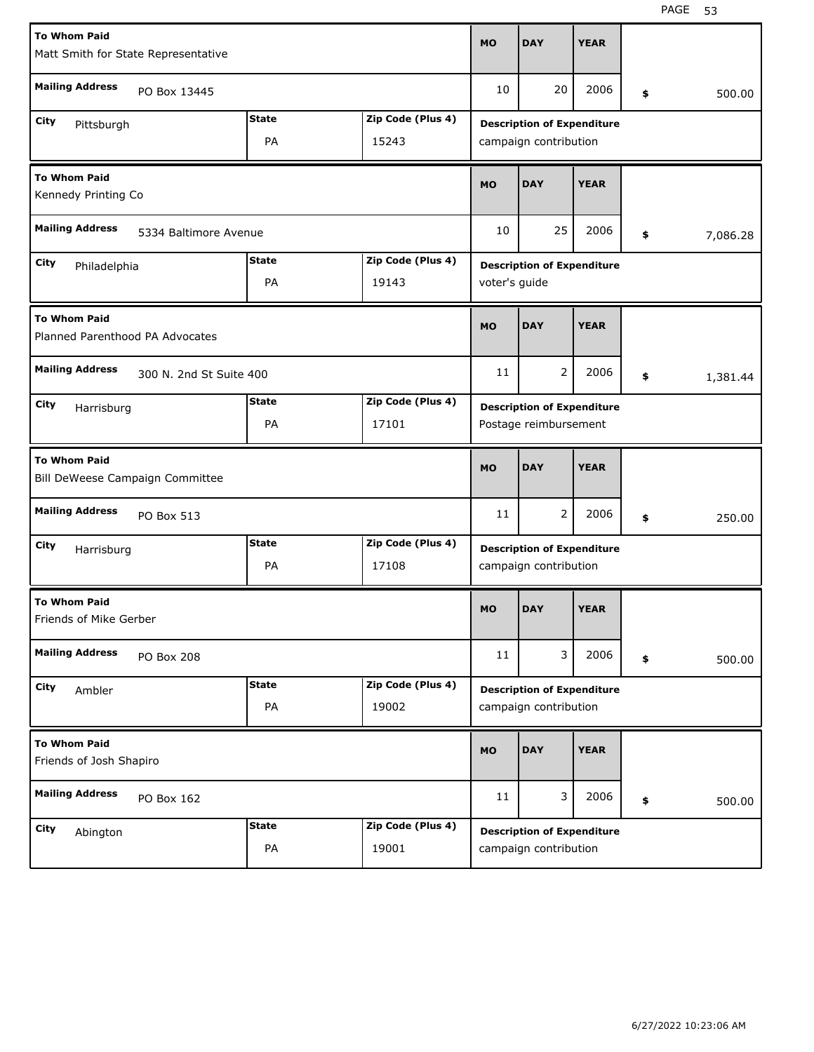| <b>To Whom Paid</b>                                    |                                   |                   | <b>MO</b>     | <b>DAY</b>                        | <b>YEAR</b> |    |          |
|--------------------------------------------------------|-----------------------------------|-------------------|---------------|-----------------------------------|-------------|----|----------|
| Matt Smith for State Representative                    |                                   |                   |               |                                   |             |    |          |
| <b>Mailing Address</b><br>PO Box 13445                 |                                   |                   | 10            | 20                                | 2006        | \$ | 500.00   |
| City<br>Pittsburgh                                     | <b>Description of Expenditure</b> |                   |               |                                   |             |    |          |
|                                                        | PA                                | 15243             |               | campaign contribution             |             |    |          |
| <b>To Whom Paid</b><br>Kennedy Printing Co             |                                   |                   | <b>MO</b>     | <b>DAY</b>                        | <b>YEAR</b> |    |          |
| <b>Mailing Address</b><br>5334 Baltimore Avenue        |                                   |                   | 10            | 25                                | 2006        | \$ | 7,086.28 |
| City<br>Philadelphia                                   | <b>State</b>                      | Zip Code (Plus 4) |               | <b>Description of Expenditure</b> |             |    |          |
|                                                        | PA                                | 19143             | voter's guide |                                   |             |    |          |
| <b>To Whom Paid</b><br>Planned Parenthood PA Advocates |                                   |                   | <b>MO</b>     | <b>DAY</b>                        | <b>YEAR</b> |    |          |
| <b>Mailing Address</b><br>300 N. 2nd St Suite 400      |                                   |                   | 11            | 2                                 | 2006        | \$ | 1,381.44 |
| City<br>Harrisburg                                     | <b>State</b>                      | Zip Code (Plus 4) |               | <b>Description of Expenditure</b> |             |    |          |
|                                                        | PA                                | 17101             |               | Postage reimbursement             |             |    |          |
|                                                        |                                   |                   |               |                                   |             |    |          |
| <b>To Whom Paid</b><br>Bill DeWeese Campaign Committee |                                   |                   | <b>MO</b>     | <b>DAY</b>                        | <b>YEAR</b> |    |          |
| <b>Mailing Address</b><br>PO Box 513                   |                                   |                   | 11            | 2                                 | 2006        | \$ | 250.00   |
| City<br>Harrisburg                                     | <b>State</b>                      | Zip Code (Plus 4) |               | <b>Description of Expenditure</b> |             |    |          |
|                                                        | PA                                | 17108             |               | campaign contribution             |             |    |          |
| <b>To Whom Paid</b><br>Friends of Mike Gerber          |                                   |                   | <b>MO</b>     | <b>DAY</b>                        | <b>YEAR</b> |    |          |
| <b>Mailing Address</b><br>PO Box 208                   |                                   |                   | 11            | 3                                 | 2006        | \$ | 500.00   |
| City<br>Ambler                                         | <b>State</b>                      | Zip Code (Plus 4) |               | <b>Description of Expenditure</b> |             |    |          |
|                                                        | PA                                | 19002             |               | campaign contribution             |             |    |          |
| <b>To Whom Paid</b><br>Friends of Josh Shapiro         |                                   |                   | <b>MO</b>     | <b>DAY</b>                        | <b>YEAR</b> |    |          |
| <b>Mailing Address</b><br>PO Box 162                   |                                   |                   | 11            | 3                                 | 2006        | \$ | 500.00   |
| City<br>Abington                                       | <b>State</b>                      | Zip Code (Plus 4) |               | <b>Description of Expenditure</b> |             |    |          |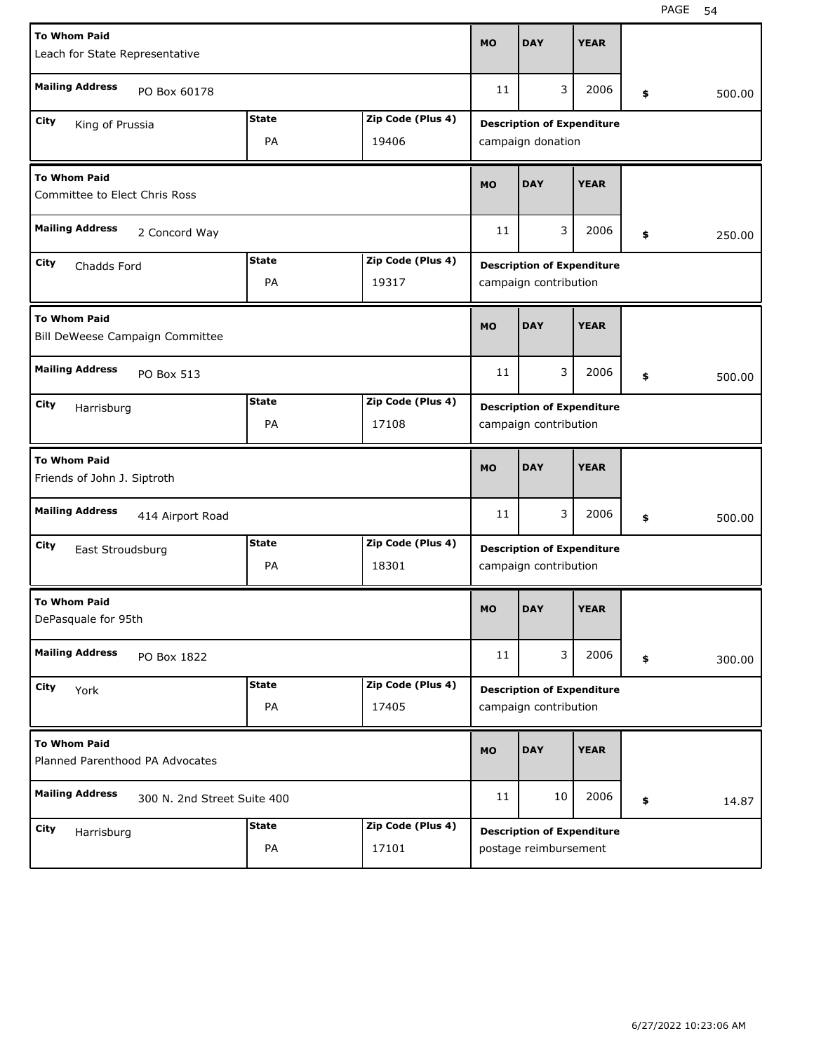| <b>To Whom Paid</b>                                    |                                   |                   | <b>MO</b> | <b>DAY</b>                        | <b>YEAR</b> |    |        |
|--------------------------------------------------------|-----------------------------------|-------------------|-----------|-----------------------------------|-------------|----|--------|
| Leach for State Representative                         |                                   |                   |           |                                   |             |    |        |
| <b>Mailing Address</b><br>PO Box 60178                 |                                   |                   | 11        | 3                                 | 2006        | \$ | 500.00 |
| City<br>King of Prussia                                | <b>Description of Expenditure</b> |                   |           |                                   |             |    |        |
|                                                        | PA                                | 19406             |           | campaign donation                 |             |    |        |
| <b>To Whom Paid</b><br>Committee to Elect Chris Ross   |                                   |                   | <b>MO</b> | <b>DAY</b>                        | <b>YEAR</b> |    |        |
| <b>Mailing Address</b><br>2 Concord Way                |                                   |                   | 11        | 3                                 | 2006        | \$ | 250.00 |
| City<br>Chadds Ford                                    | <b>State</b>                      | Zip Code (Plus 4) |           | <b>Description of Expenditure</b> |             |    |        |
|                                                        | PA                                | 19317             |           | campaign contribution             |             |    |        |
| <b>To Whom Paid</b><br>Bill DeWeese Campaign Committee |                                   |                   | <b>MO</b> | <b>DAY</b>                        | <b>YEAR</b> |    |        |
| <b>Mailing Address</b><br>PO Box 513                   |                                   |                   | 11        | 3                                 | 2006        | \$ | 500.00 |
| City<br>Harrisburg                                     | <b>State</b>                      | Zip Code (Plus 4) |           | <b>Description of Expenditure</b> |             |    |        |
|                                                        | PA                                | 17108             |           | campaign contribution             |             |    |        |
|                                                        |                                   |                   |           |                                   |             |    |        |
| <b>To Whom Paid</b><br>Friends of John J. Siptroth     |                                   |                   | <b>MO</b> | <b>DAY</b>                        | <b>YEAR</b> |    |        |
| <b>Mailing Address</b><br>414 Airport Road             |                                   |                   | 11        | 3                                 | 2006        | \$ | 500.00 |
| City<br>East Stroudsburg                               | <b>State</b>                      | Zip Code (Plus 4) |           | <b>Description of Expenditure</b> |             |    |        |
|                                                        | PA                                | 18301             |           | campaign contribution             |             |    |        |
| <b>To Whom Paid</b><br>DePasquale for 95th             |                                   |                   | <b>MO</b> | <b>DAY</b>                        | <b>YEAR</b> |    |        |
| <b>Mailing Address</b><br>PO Box 1822                  |                                   |                   | 11        | 3                                 | 2006        | \$ | 300.00 |
| City<br>York                                           | <b>State</b>                      | Zip Code (Plus 4) |           | <b>Description of Expenditure</b> |             |    |        |
|                                                        | PA                                | 17405             |           | campaign contribution             |             |    |        |
| <b>To Whom Paid</b><br>Planned Parenthood PA Advocates |                                   |                   | <b>MO</b> | <b>DAY</b>                        | <b>YEAR</b> |    |        |
| <b>Mailing Address</b><br>300 N. 2nd Street Suite 400  |                                   |                   | 11        | 10                                | 2006        | \$ | 14.87  |
| City<br>Harrisburg                                     | <b>State</b>                      | Zip Code (Plus 4) |           | <b>Description of Expenditure</b> |             |    |        |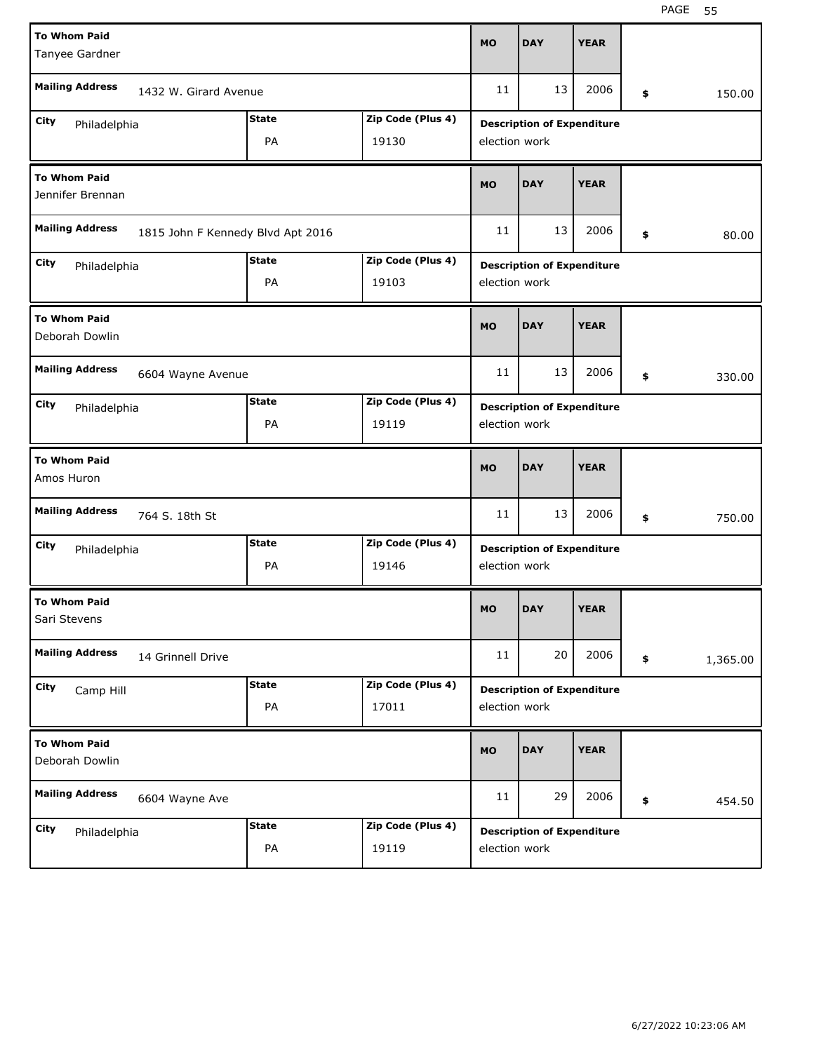| <b>To Whom Paid</b><br>Tanyee Gardner                     |                                   |              |                   |               | <b>DAY</b>                        | <b>YEAR</b> |     |          |
|-----------------------------------------------------------|-----------------------------------|--------------|-------------------|---------------|-----------------------------------|-------------|-----|----------|
| <b>Mailing Address</b>                                    | 1432 W. Girard Avenue             |              |                   |               | 13                                | 2006        | \$. | 150.00   |
| Zip Code (Plus 4)<br><b>State</b><br>City<br>Philadelphia |                                   |              |                   |               | <b>Description of Expenditure</b> |             |     |          |
| PA<br>19130                                               |                                   |              |                   | election work |                                   |             |     |          |
| <b>To Whom Paid</b><br>Jennifer Brennan                   |                                   |              |                   | <b>MO</b>     | <b>DAY</b>                        | <b>YEAR</b> |     |          |
| <b>Mailing Address</b>                                    | 1815 John F Kennedy Blvd Apt 2016 |              |                   | 11            | 13                                | 2006        | \$  | 80.00    |
| City<br>Philadelphia                                      |                                   | <b>State</b> | Zip Code (Plus 4) |               | <b>Description of Expenditure</b> |             |     |          |
|                                                           |                                   | PA           | 19103             | election work |                                   |             |     |          |
| <b>To Whom Paid</b><br>Deborah Dowlin                     |                                   |              |                   | <b>MO</b>     | <b>DAY</b>                        | <b>YEAR</b> |     |          |
| <b>Mailing Address</b>                                    | 6604 Wayne Avenue                 |              |                   | 11            | 13                                | 2006        | \$  | 330.00   |
| City<br>Philadelphia                                      |                                   | <b>State</b> | Zip Code (Plus 4) |               | <b>Description of Expenditure</b> |             |     |          |
|                                                           |                                   | PA           | 19119             | election work |                                   |             |     |          |
|                                                           |                                   |              |                   |               |                                   |             |     |          |
| <b>To Whom Paid</b><br>Amos Huron                         |                                   |              |                   | <b>MO</b>     | <b>DAY</b>                        | <b>YEAR</b> |     |          |
| <b>Mailing Address</b>                                    | 764 S. 18th St                    |              |                   | 11            | 13                                | 2006        | \$  | 750.00   |
| City                                                      |                                   | <b>State</b> | Zip Code (Plus 4) |               |                                   |             |     |          |
| Philadelphia                                              |                                   | PA           | 19146             | election work | <b>Description of Expenditure</b> |             |     |          |
| <b>To Whom Paid</b><br>Sari Stevens                       |                                   |              |                   | MO            | <b>DAY</b>                        | <b>YEAR</b> |     |          |
| <b>Mailing Address</b>                                    | 14 Grinnell Drive                 |              |                   | 11            | 20                                | 2006        | \$  | 1,365.00 |
| City                                                      |                                   | <b>State</b> | Zip Code (Plus 4) |               |                                   |             |     |          |
| Camp Hill                                                 |                                   | PA           | 17011             | election work | <b>Description of Expenditure</b> |             |     |          |
| <b>To Whom Paid</b><br>Deborah Dowlin                     |                                   |              |                   | <b>MO</b>     | <b>DAY</b>                        | <b>YEAR</b> |     |          |
| <b>Mailing Address</b>                                    | 6604 Wayne Ave                    |              |                   | 11            | 29                                | 2006        | \$  | 454.50   |
| City<br>Philadelphia                                      |                                   | <b>State</b> | Zip Code (Plus 4) |               | <b>Description of Expenditure</b> |             |     |          |